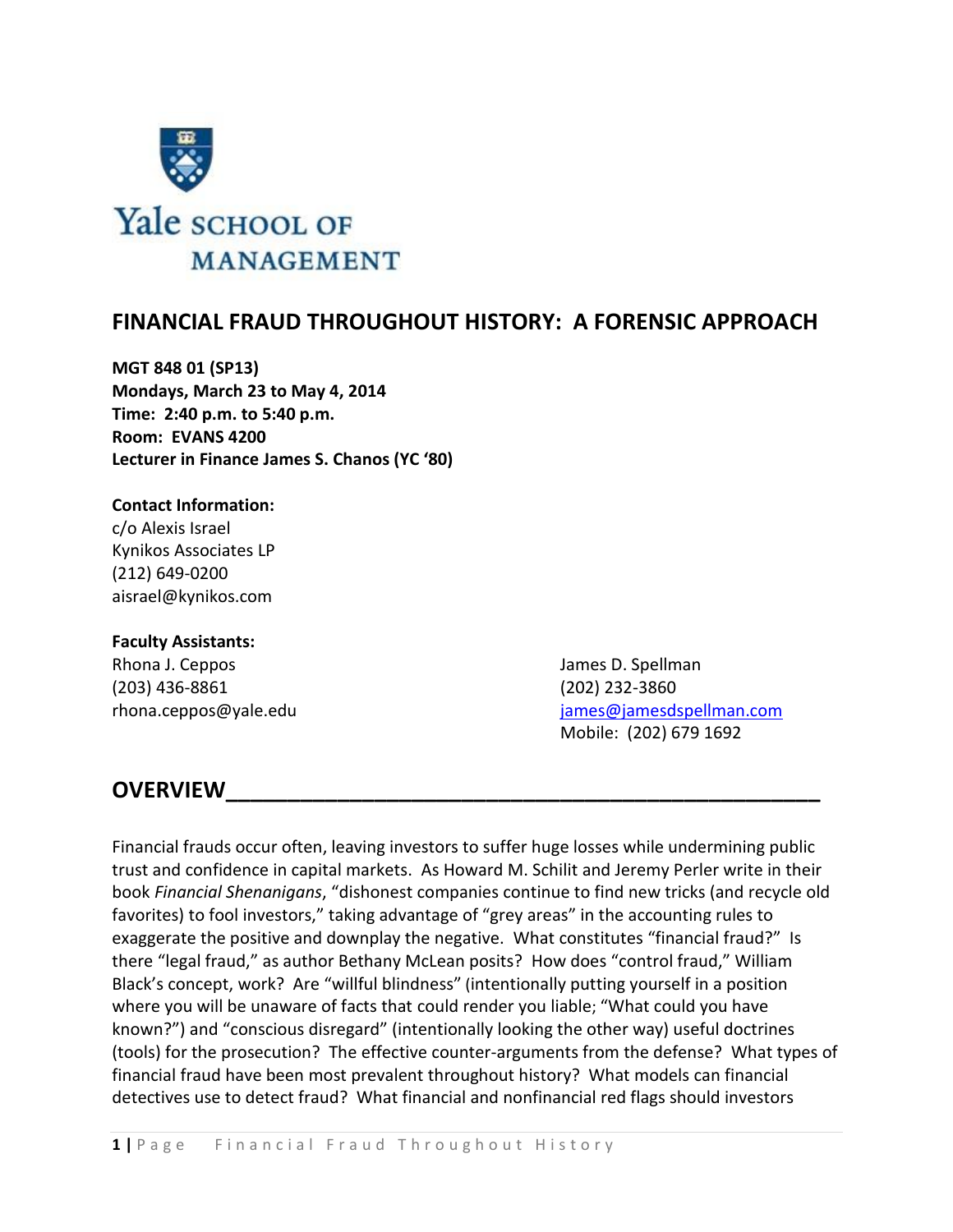

# **FINANCIAL FRAUD THROUGHOUT HISTORY: A FORENSIC APPROACH**

**MGT 848 01 (SP13) Mondays, March 23 to May 4, 2014 Time: 2:40 p.m. to 5:40 p.m. Room: EVANS 4200 Lecturer in Finance James S. Chanos (YC '80)**

### **Contact Information:**

c/o Alexis Israel Kynikos Associates LP (212) 649-0200 aisrael@kynikos.com

#### **Faculty Assistants:**

Rhona J. Ceppos James D. Spellman (203) 436-8861 (202) 232-3860

rhona.ceppos@yale.edu isotasextectured in the interval of the intervals of the intervals and intervals are intervalsed in the intervalse of the intervalse intervalse in the intervalse intervalse in the intervalse intervals Mobile: (202) 679 1692

# **OVERVIEW\_\_\_\_\_\_\_\_\_\_\_\_\_\_\_\_\_\_\_\_\_\_\_\_\_\_\_\_\_\_\_\_\_\_\_\_\_\_\_\_\_\_\_\_\_\_\_\_**

Financial frauds occur often, leaving investors to suffer huge losses while undermining public trust and confidence in capital markets. As Howard M. Schilit and Jeremy Perler write in their book *Financial Shenanigans*, "dishonest companies continue to find new tricks (and recycle old favorites) to fool investors," taking advantage of "grey areas" in the accounting rules to exaggerate the positive and downplay the negative. What constitutes "financial fraud?" Is there "legal fraud," as author Bethany McLean posits? How does "control fraud," William Black's concept, work? Are "willful blindness" (intentionally putting yourself in a position where you will be unaware of facts that could render you liable; "What could you have known?") and "conscious disregard" (intentionally looking the other way) useful doctrines (tools) for the prosecution? The effective counter-arguments from the defense? What types of financial fraud have been most prevalent throughout history? What models can financial detectives use to detect fraud? What financial and nonfinancial red flags should investors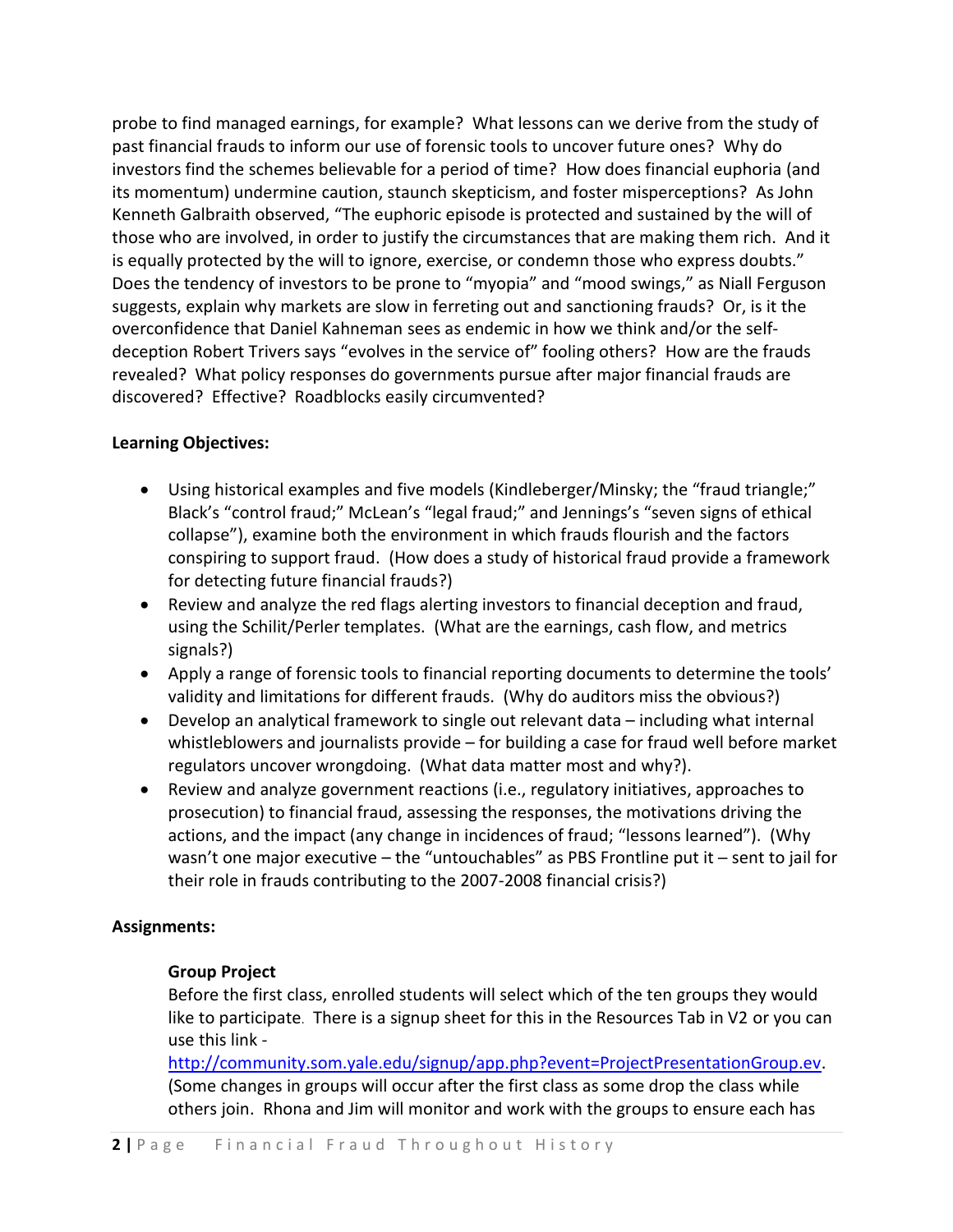probe to find managed earnings, for example? What lessons can we derive from the study of past financial frauds to inform our use of forensic tools to uncover future ones? Why do investors find the schemes believable for a period of time? How does financial euphoria (and its momentum) undermine caution, staunch skepticism, and foster misperceptions? As John Kenneth Galbraith observed, "The euphoric episode is protected and sustained by the will of those who are involved, in order to justify the circumstances that are making them rich. And it is equally protected by the will to ignore, exercise, or condemn those who express doubts." Does the tendency of investors to be prone to "myopia" and "mood swings," as Niall Ferguson suggests, explain why markets are slow in ferreting out and sanctioning frauds? Or, is it the overconfidence that Daniel Kahneman sees as endemic in how we think and/or the selfdeception Robert Trivers says "evolves in the service of" fooling others? How are the frauds revealed? What policy responses do governments pursue after major financial frauds are discovered? Effective? Roadblocks easily circumvented?

## **Learning Objectives:**

- Using historical examples and five models (Kindleberger/Minsky; the "fraud triangle;" Black's "control fraud;" McLean's "legal fraud;" and Jennings's "seven signs of ethical collapse"), examine both the environment in which frauds flourish and the factors conspiring to support fraud. (How does a study of historical fraud provide a framework for detecting future financial frauds?)
- Review and analyze the red flags alerting investors to financial deception and fraud, using the Schilit/Perler templates. (What are the earnings, cash flow, and metrics signals?)
- Apply a range of forensic tools to financial reporting documents to determine the tools' validity and limitations for different frauds. (Why do auditors miss the obvious?)
- Develop an analytical framework to single out relevant data including what internal whistleblowers and journalists provide – for building a case for fraud well before market regulators uncover wrongdoing. (What data matter most and why?).
- Review and analyze government reactions (i.e., regulatory initiatives, approaches to prosecution) to financial fraud, assessing the responses, the motivations driving the actions, and the impact (any change in incidences of fraud; "lessons learned"). (Why wasn't one major executive – the "untouchables" as PBS Frontline put it – sent to jail for their role in frauds contributing to the 2007-2008 financial crisis?)

# **Assignments:**

# **Group Project**

Before the first class, enrolled students will select which of the ten groups they would like to participate. There is a signup sheet for this in the Resources Tab in V2 or you can use this link -

[http://community.som.yale.edu/signup/app.php?event=ProjectPresentationGroup.ev.](http://community.som.yale.edu/signup/app.php?event=ProjectPresentationGroup.ev) (Some changes in groups will occur after the first class as some drop the class while others join. Rhona and Jim will monitor and work with the groups to ensure each has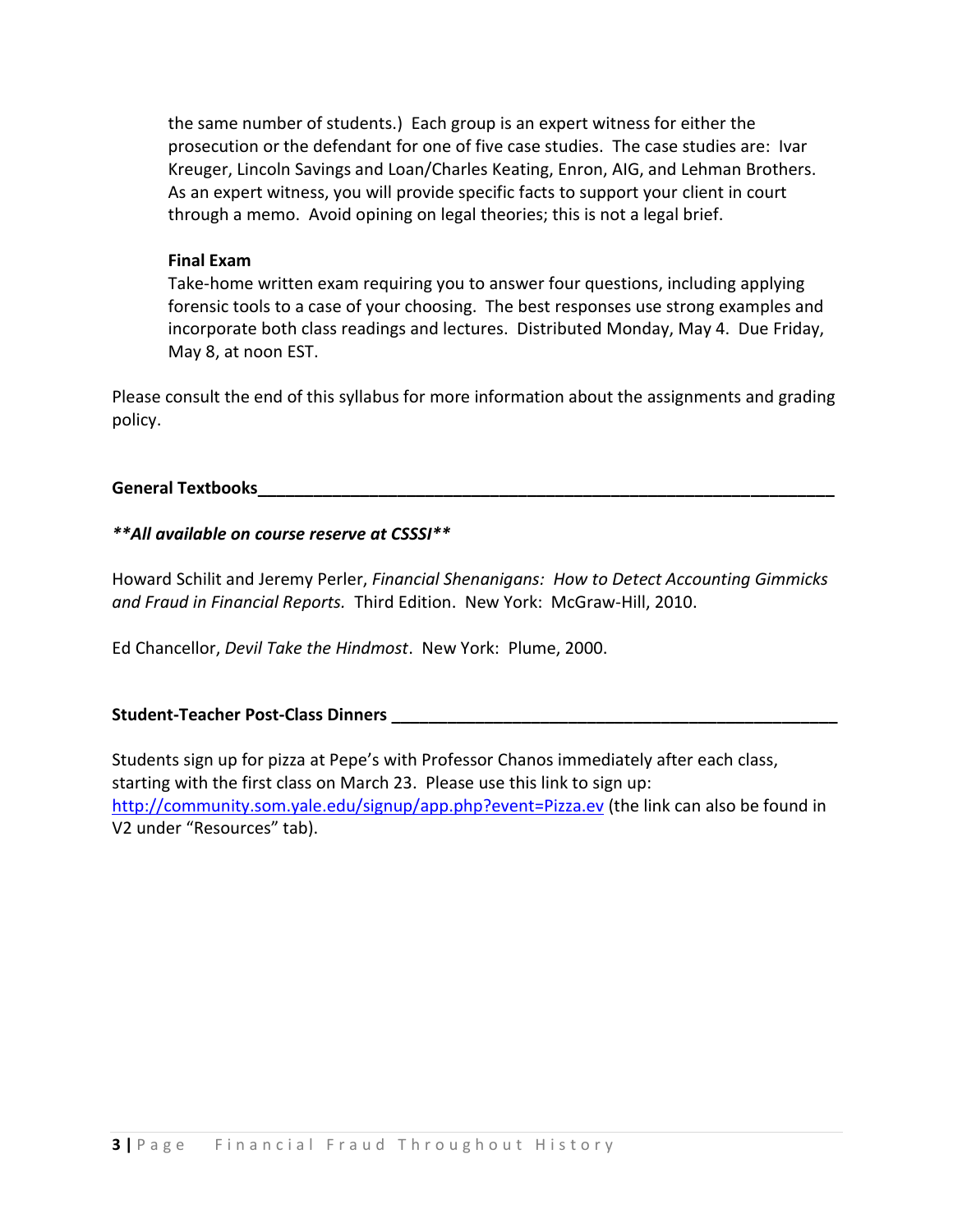the same number of students.) Each group is an expert witness for either the prosecution or the defendant for one of five case studies. The case studies are: Ivar Kreuger, Lincoln Savings and Loan/Charles Keating, Enron, AIG, and Lehman Brothers. As an expert witness, you will provide specific facts to support your client in court through a memo. Avoid opining on legal theories; this is not a legal brief.

#### **Final Exam**

Take-home written exam requiring you to answer four questions, including applying forensic tools to a case of your choosing. The best responses use strong examples and incorporate both class readings and lectures. Distributed Monday, May 4. Due Friday, May 8, at noon EST.

Please consult the end of this syllabus for more information about the assignments and grading policy.

#### **General Textbooks\_\_\_\_\_\_\_\_\_\_\_\_\_\_\_\_\_\_\_\_\_\_\_\_\_\_\_\_\_\_\_\_\_\_\_\_\_\_\_\_\_\_\_\_\_\_\_\_\_\_\_\_\_\_\_\_\_\_\_\_\_\_**

## *\*\*All available on course reserve at CSSSI\*\**

Howard Schilit and Jeremy Perler, *Financial Shenanigans: How to Detect Accounting Gimmicks and Fraud in Financial Reports.* Third Edition. New York: McGraw-Hill, 2010.

Ed Chancellor, *Devil Take the Hindmost*. New York: Plume, 2000.

### **Student-Teacher Post-Class Dinners \_\_\_\_\_\_\_\_\_\_\_\_\_\_\_\_\_\_\_\_\_\_\_\_\_\_\_\_\_\_\_\_\_\_\_\_\_\_\_\_\_\_\_\_\_\_\_\_**

Students sign up for pizza at Pepe's with Professor Chanos immediately after each class, starting with the first class on March 23. Please use this link to sign up: <http://community.som.yale.edu/signup/app.php?event=Pizza.ev> (the link can also be found in V2 under "Resources" tab).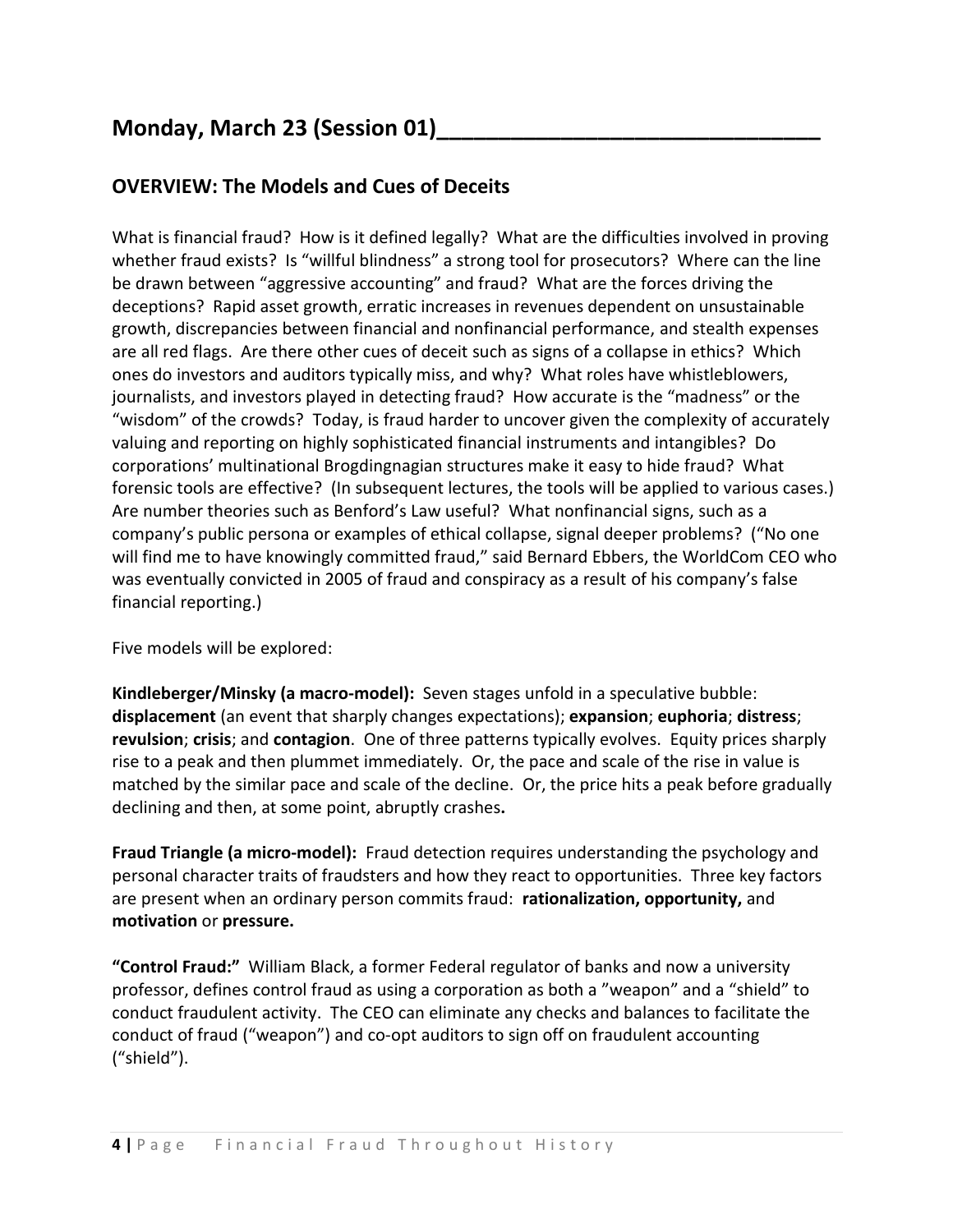# **Monday, March 23 (Session 01)\_\_\_\_\_\_\_\_\_\_\_\_\_\_\_\_\_\_\_\_\_\_\_\_\_\_\_\_\_\_\_**

# **OVERVIEW: The Models and Cues of Deceits**

What is financial fraud? How is it defined legally? What are the difficulties involved in proving whether fraud exists? Is "willful blindness" a strong tool for prosecutors? Where can the line be drawn between "aggressive accounting" and fraud? What are the forces driving the deceptions? Rapid asset growth, erratic increases in revenues dependent on unsustainable growth, discrepancies between financial and nonfinancial performance, and stealth expenses are all red flags. Are there other cues of deceit such as signs of a collapse in ethics? Which ones do investors and auditors typically miss, and why? What roles have whistleblowers, journalists, and investors played in detecting fraud? How accurate is the "madness" or the "wisdom" of the crowds? Today, is fraud harder to uncover given the complexity of accurately valuing and reporting on highly sophisticated financial instruments and intangibles? Do corporations' multinational Brogdingnagian structures make it easy to hide fraud? What forensic tools are effective? (In subsequent lectures, the tools will be applied to various cases.) Are number theories such as Benford's Law useful? What nonfinancial signs, such as a company's public persona or examples of ethical collapse, signal deeper problems? ("No one will find me to have knowingly committed fraud," said Bernard Ebbers, the WorldCom CEO who was eventually convicted in 2005 of fraud and conspiracy as a result of his company's false financial reporting.)

Five models will be explored:

**Kindleberger/Minsky (a macro-model):** Seven stages unfold in a speculative bubble: **displacement** (an event that sharply changes expectations); **expansion**; **euphoria**; **distress**; **revulsion**; **crisis**; and **contagion**. One of three patterns typically evolves. Equity prices sharply rise to a peak and then plummet immediately. Or, the pace and scale of the rise in value is matched by the similar pace and scale of the decline. Or, the price hits a peak before gradually declining and then, at some point, abruptly crashes**.**

**Fraud Triangle (a micro-model):** Fraud detection requires understanding the psychology and personal character traits of fraudsters and how they react to opportunities. Three key factors are present when an ordinary person commits fraud: **rationalization, opportunity,** and **motivation** or **pressure.**

**"Control Fraud:"** William Black, a former Federal regulator of banks and now a university professor, defines control fraud as using a corporation as both a "weapon" and a "shield" to conduct fraudulent activity. The CEO can eliminate any checks and balances to facilitate the conduct of fraud ("weapon") and co-opt auditors to sign off on fraudulent accounting ("shield").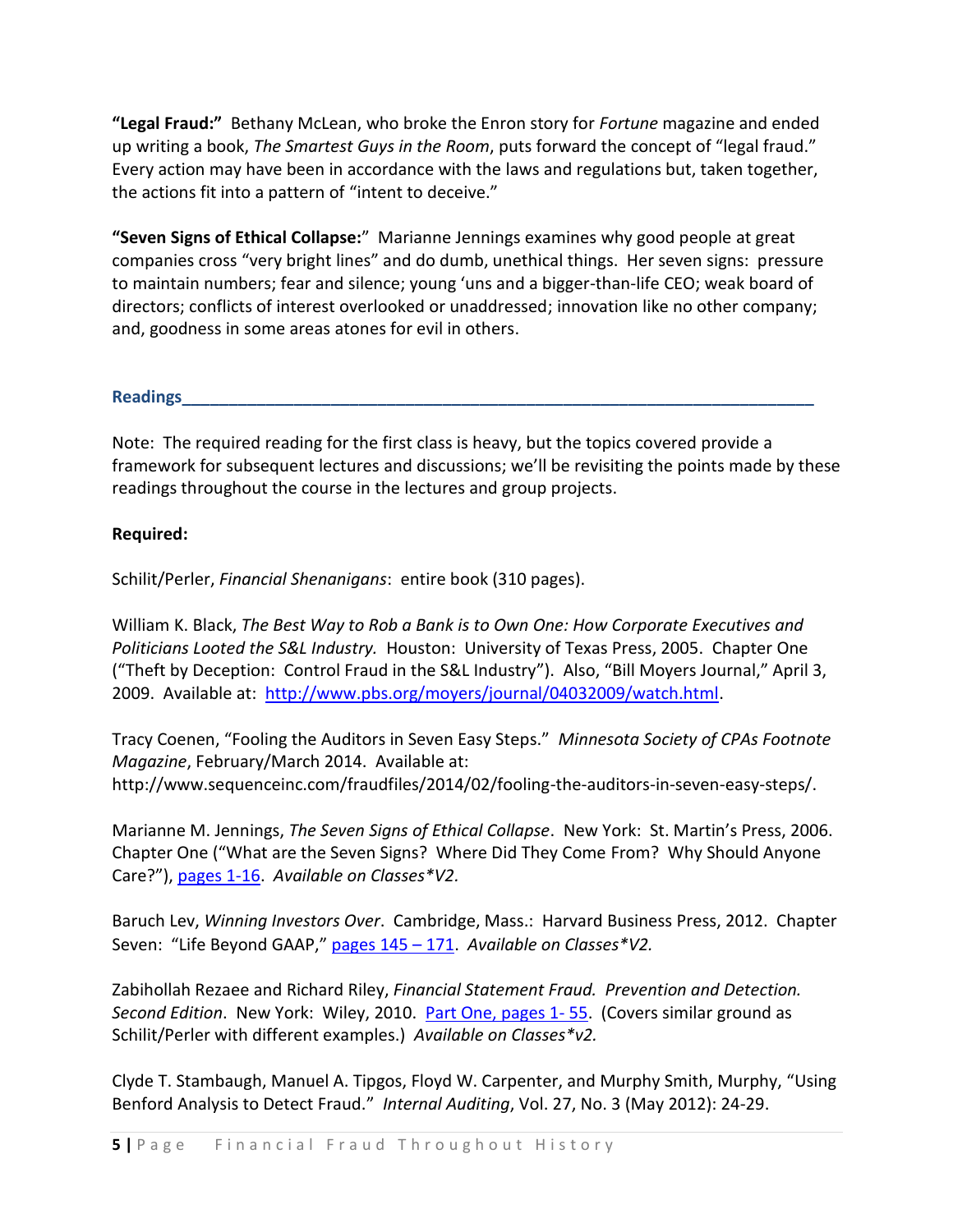**"Legal Fraud:"** Bethany McLean, who broke the Enron story for *Fortune* magazine and ended up writing a book, *The Smartest Guys in the Room*, puts forward the concept of "legal fraud." Every action may have been in accordance with the laws and regulations but, taken together, the actions fit into a pattern of "intent to deceive."

**"Seven Signs of Ethical Collapse:**" Marianne Jennings examines why good people at great companies cross "very bright lines" and do dumb, unethical things. Her seven signs: pressure to maintain numbers; fear and silence; young 'uns and a bigger-than-life CEO; weak board of directors; conflicts of interest overlooked or unaddressed; innovation like no other company; and, goodness in some areas atones for evil in others.

**Readings\_\_\_\_\_\_\_\_\_\_\_\_\_\_\_\_\_\_\_\_\_\_\_\_\_\_\_\_\_\_\_\_\_\_\_\_\_\_\_\_\_\_\_\_\_\_\_\_\_\_\_\_\_\_\_\_\_\_\_\_\_\_\_\_\_\_\_\_**

Note: The required reading for the first class is heavy, but the topics covered provide a framework for subsequent lectures and discussions; we'll be revisiting the points made by these readings throughout the course in the lectures and group projects.

## **Required:**

Schilit/Perler, *Financial Shenanigans*: entire book (310 pages).

William K. Black, *The Best Way to Rob a Bank is to Own One: How Corporate Executives and Politicians Looted the S&L Industry.* Houston: University of Texas Press, 2005. Chapter One ("Theft by Deception: Control Fraud in the S&L Industry"). Also, "Bill Moyers Journal," April 3, 2009. Available at: [http://www.pbs.org/moyers/journal/04032009/watch.html.](http://www.pbs.org/moyers/journal/04032009/watch.html)

Tracy Coenen, "Fooling the Auditors in Seven Easy Steps." *Minnesota Society of CPAs Footnote Magazine*, February/March 2014. Available at: http://www.sequenceinc.com/fraudfiles/2014/02/fooling-the-auditors-in-seven-easy-steps/.

Marianne M. Jennings, *The Seven Signs of Ethical Collapse*. New York: St. Martin's Press, 2006. Chapter One ("What are the Seven Signs? Where Did They Come From? Why Should Anyone Care?"), [pages 1-16.](http://resources.library.yale.edu/ereserves/default.asp?class=MGT848B&File=MGT_848B_1.pdf) *Available on Classes\*V2.*

Baruch Lev, *Winning Investors Over*. Cambridge, Mass.: Harvard Business Press, 2012. Chapter Seven: "Life Beyond GAAP," [pages 145](http://resources.library.yale.edu/ereserves/default.asp?class=MGT848B&File=MGT_848B_5.pdf) – 171. *Available on Classes\*V2.*

Zabihollah Rezaee and Richard Riley, *Financial Statement Fraud. Prevention and Detection. Second Edition*. New York: Wiley, 2010. [Part One, pages 1-](http://resources.library.yale.edu/ereserves/default.asp?class=MGT848B&File=MGT_848B_2.pdf) 55. (Covers similar ground as Schilit/Perler with different examples.) *Available on Classes\*v2.*

Clyde T. Stambaugh, Manuel A. Tipgos, Floyd W. Carpenter, and Murphy Smith, Murphy, "Using Benford Analysis to Detect Fraud." *Internal Auditing*, Vol. 27, No. 3 (May 2012): 24-29.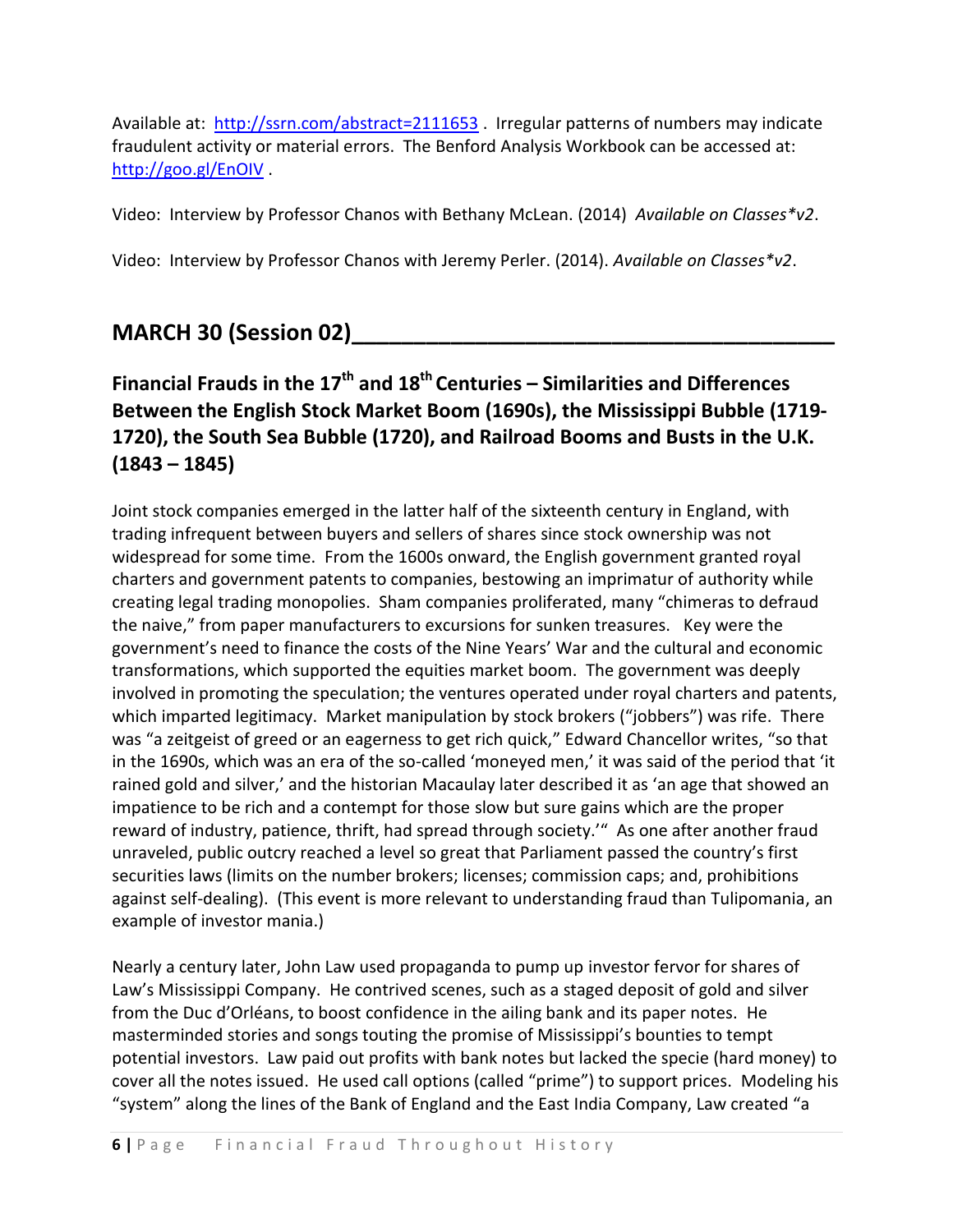Available at: <http://ssrn.com/abstract=2111653> . Irregular patterns of numbers may indicate fraudulent activity or material errors. The Benford Analysis Workbook can be accessed at: <http://goo.gl/EnOIV> .

Video: Interview by Professor Chanos with Bethany McLean. (2014) *Available on Classes\*v2*.

Video: Interview by Professor Chanos with Jeremy Perler. (2014). *Available on Classes\*v2*.

# **MARCH 30 (Session 02)\_\_\_\_\_\_\_\_\_\_\_\_\_\_\_\_\_\_\_\_\_\_\_\_\_\_\_\_\_\_\_\_\_\_\_\_\_\_\_**

# **Financial Frauds in the 17th and 18th Centuries – Similarities and Differences Between the English Stock Market Boom (1690s), the Mississippi Bubble (1719- 1720), the South Sea Bubble (1720), and Railroad Booms and Busts in the U.K. (1843 – 1845)**

Joint stock companies emerged in the latter half of the sixteenth century in England, with trading infrequent between buyers and sellers of shares since stock ownership was not widespread for some time. From the 1600s onward, the English government granted royal charters and government patents to companies, bestowing an imprimatur of authority while creating legal trading monopolies. Sham companies proliferated, many "chimeras to defraud the naive," from paper manufacturers to excursions for sunken treasures. Key were the government's need to finance the costs of the Nine Years' War and the cultural and economic transformations, which supported the equities market boom. The government was deeply involved in promoting the speculation; the ventures operated under royal charters and patents, which imparted legitimacy. Market manipulation by stock brokers ("jobbers") was rife. There was "a zeitgeist of greed or an eagerness to get rich quick," Edward Chancellor writes, "so that in the 1690s, which was an era of the so-called 'moneyed men,' it was said of the period that 'it rained gold and silver,' and the historian Macaulay later described it as 'an age that showed an impatience to be rich and a contempt for those slow but sure gains which are the proper reward of industry, patience, thrift, had spread through society.'" As one after another fraud unraveled, public outcry reached a level so great that Parliament passed the country's first securities laws (limits on the number brokers; licenses; commission caps; and, prohibitions against self-dealing). (This event is more relevant to understanding fraud than Tulipomania, an example of investor mania.)

Nearly a century later, John Law used propaganda to pump up investor fervor for shares of Law's Mississippi Company. He contrived scenes, such as a staged deposit of gold and silver from the Duc d'Orléans, to boost confidence in the ailing bank and its paper notes. He masterminded stories and songs touting the promise of Mississippi's bounties to tempt potential investors. Law paid out profits with bank notes but lacked the specie (hard money) to cover all the notes issued. He used call options (called "prime") to support prices. Modeling his "system" along the lines of the Bank of England and the East India Company, Law created "a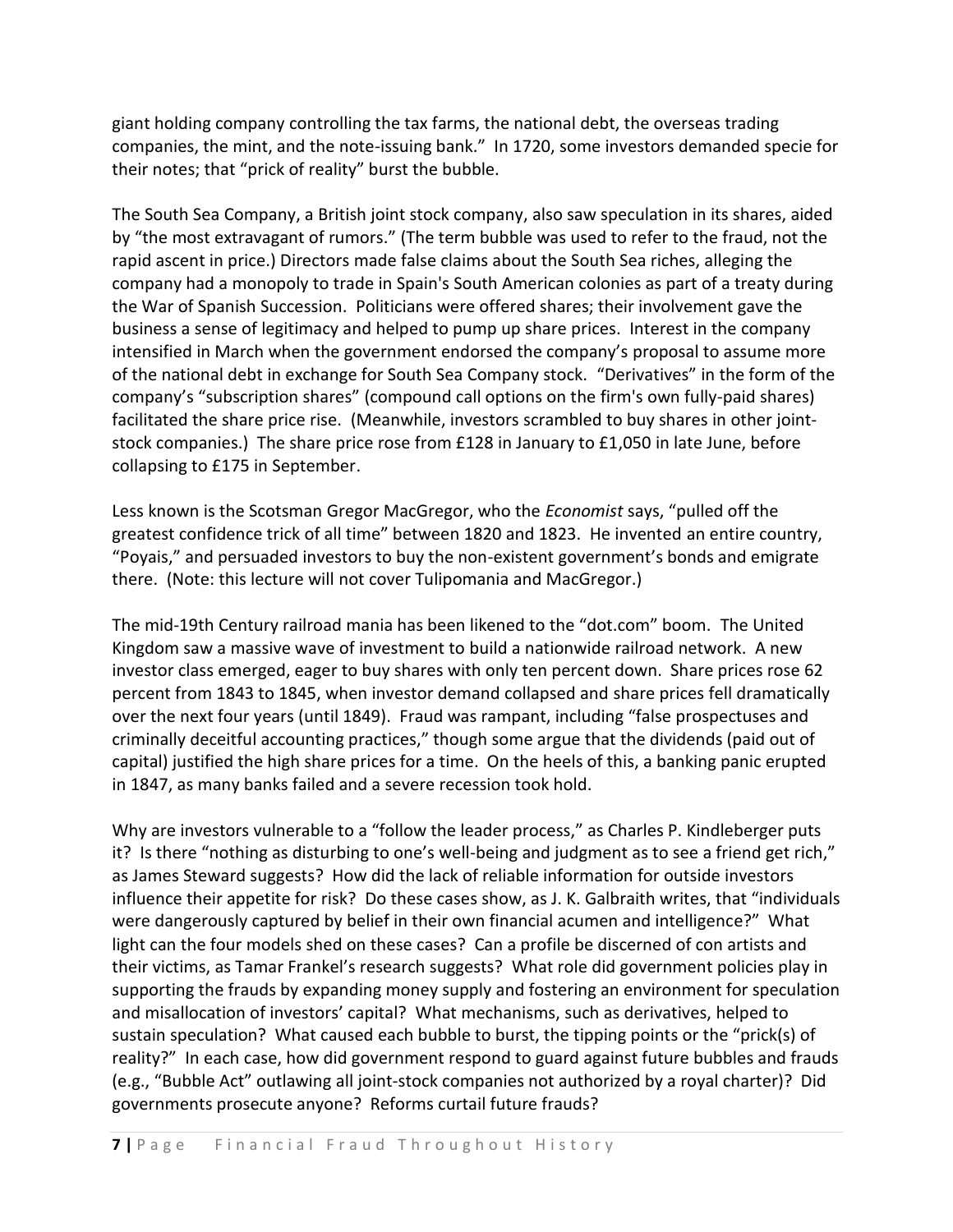giant holding company controlling the tax farms, the national debt, the overseas trading companies, the mint, and the note-issuing bank." In 1720, some investors demanded specie for their notes; that "prick of reality" burst the bubble.

The South Sea Company, a British joint stock company, also saw speculation in its shares, aided by "the most extravagant of rumors." (The term bubble was used to refer to the fraud, not the rapid ascent in price.) Directors made false claims about the South Sea riches, alleging the company had a monopoly to trade in Spain's South American colonies as part of a treaty during the War of Spanish Succession. Politicians were offered shares; their involvement gave the business a sense of legitimacy and helped to pump up share prices. Interest in the company intensified in March when the government endorsed the company's proposal to assume more of the national debt in exchange for South Sea Company stock. "Derivatives" in the form of the company's "subscription shares" (compound call options on the firm's own fully-paid shares) facilitated the share price rise. (Meanwhile, investors scrambled to buy shares in other jointstock companies.) The share price rose from £128 in January to £1,050 in late June, before collapsing to £175 in September.

Less known is the Scotsman Gregor MacGregor, who the *Economist* says, "pulled off the greatest confidence trick of all time" between 1820 and 1823. He invented an entire country, "Poyais," and persuaded investors to buy the non-existent government's bonds and emigrate there. (Note: this lecture will not cover Tulipomania and MacGregor.)

The mid-19th Century railroad mania has been likened to the "dot.com" boom. The United Kingdom saw a massive wave of investment to build a nationwide railroad network. A new investor class emerged, eager to buy shares with only ten percent down. Share prices rose 62 percent from 1843 to 1845, when investor demand collapsed and share prices fell dramatically over the next four years (until 1849). Fraud was rampant, including "false prospectuses and criminally deceitful accounting practices," though some argue that the dividends (paid out of capital) justified the high share prices for a time. On the heels of this, a banking panic erupted in 1847, as many banks failed and a severe recession took hold.

Why are investors vulnerable to a "follow the leader process," as Charles P. Kindleberger puts it? Is there "nothing as disturbing to one's well-being and judgment as to see a friend get rich," as James Steward suggests? How did the lack of reliable information for outside investors influence their appetite for risk? Do these cases show, as J. K. Galbraith writes, that "individuals were dangerously captured by belief in their own financial acumen and intelligence?" What light can the four models shed on these cases? Can a profile be discerned of con artists and their victims, as Tamar Frankel's research suggests? What role did government policies play in supporting the frauds by expanding money supply and fostering an environment for speculation and misallocation of investors' capital? What mechanisms, such as derivatives, helped to sustain speculation? What caused each bubble to burst, the tipping points or the "prick(s) of reality?" In each case, how did government respond to guard against future bubbles and frauds (e.g., "Bubble Act" outlawing all joint-stock companies not authorized by a royal charter)? Did governments prosecute anyone? Reforms curtail future frauds?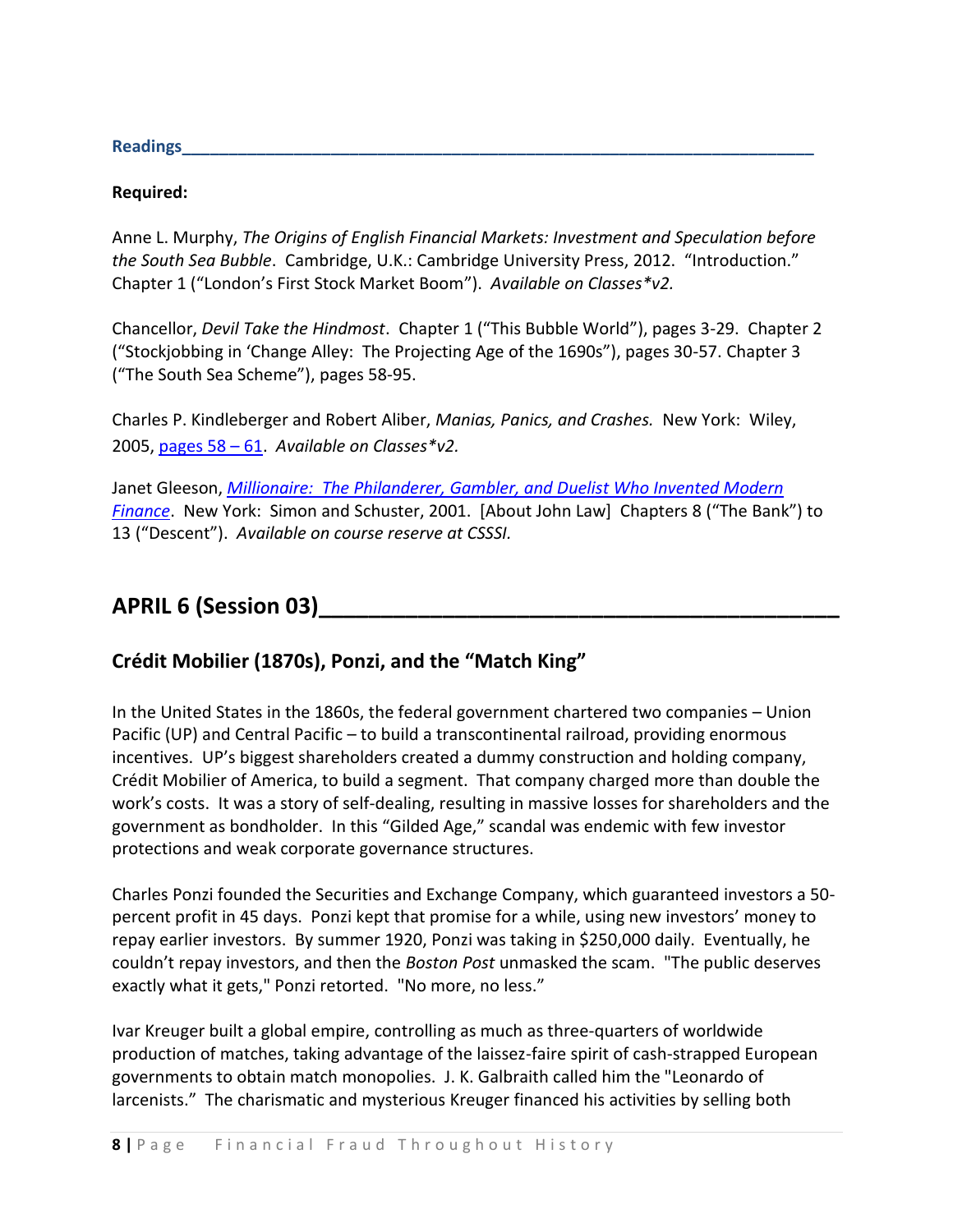**Readings\_\_\_\_\_\_\_\_\_\_\_\_\_\_\_\_\_\_\_\_\_\_\_\_\_\_\_\_\_\_\_\_\_\_\_\_\_\_\_\_\_\_\_\_\_\_\_\_\_\_\_\_\_\_\_\_\_\_\_\_\_\_\_\_\_\_\_\_**

#### **Required:**

Anne L. Murphy, *The Origins of English Financial Markets: Investment and Speculation before the South Sea Bubble*. Cambridge, U.K.: Cambridge University Press, 2012. "Introduction." Chapter 1 ("London's First Stock Market Boom"). *Available on Classes\*v2.*

Chancellor, *Devil Take the Hindmost*. Chapter 1 ("This Bubble World"), pages 3-29. Chapter 2 ("Stockjobbing in 'Change Alley: The Projecting Age of the 1690s"), pages 30-57. Chapter 3 ("The South Sea Scheme"), pages 58-95.

Charles P. Kindleberger and Robert Aliber, *Manias, Panics, and Crashes.* New York: Wiley, 2005, [pages 58](http://resources.library.yale.edu/ereserves/default.asp?class=MGT848B&File=MGT_848B_7.pdf) – 61. *Available on Classes\*v2.*

Janet Gleeson, *[Millionaire: The Philanderer, Gambler, and Duelist Who Invented Modern](http://resources.library.yale.edu/ereserves/default.asp?class=MGT848B&File=MGT_848B_10.pdf)  [Finance](http://resources.library.yale.edu/ereserves/default.asp?class=MGT848B&File=MGT_848B_10.pdf)*. New York: Simon and Schuster, 2001. [About John Law] Chapters 8 ("The Bank") to 13 ("Descent"). *Available on course reserve at CSSSI.*

# **APRIL 6 (Session 03)\_\_\_\_\_\_\_\_\_\_\_\_\_\_\_\_\_\_\_\_\_\_\_\_\_\_\_\_\_\_\_\_\_\_\_\_\_\_\_\_\_\_**

# **Crédit Mobilier (1870s), Ponzi, and the "Match King"**

In the United States in the 1860s, the federal government chartered two companies – Union Pacific (UP) and Central Pacific – to build a transcontinental railroad, providing enormous incentives. UP's biggest shareholders created a dummy construction and holding company, Crédit Mobilier of America, to build a segment. That company charged more than double the work's costs. It was a story of self-dealing, resulting in massive losses for shareholders and the government as bondholder. In this "Gilded Age," scandal was endemic with few investor protections and weak corporate governance structures.

Charles Ponzi founded the Securities and Exchange Company, which guaranteed investors a 50 percent profit in 45 days. Ponzi kept that promise for a while, using new investors' money to repay earlier investors. By summer 1920, Ponzi was taking in \$250,000 daily. Eventually, he couldn't repay investors, and then the *Boston Post* unmasked the scam. "The public deserves exactly what it gets," Ponzi retorted. "No more, no less."

Ivar Kreuger built a global empire, controlling as much as three-quarters of worldwide production of matches, taking advantage of the laissez-faire spirit of cash-strapped European governments to obtain match monopolies. J. K. Galbraith called him the "Leonardo of larcenists." The charismatic and mysterious Kreuger financed his activities by selling both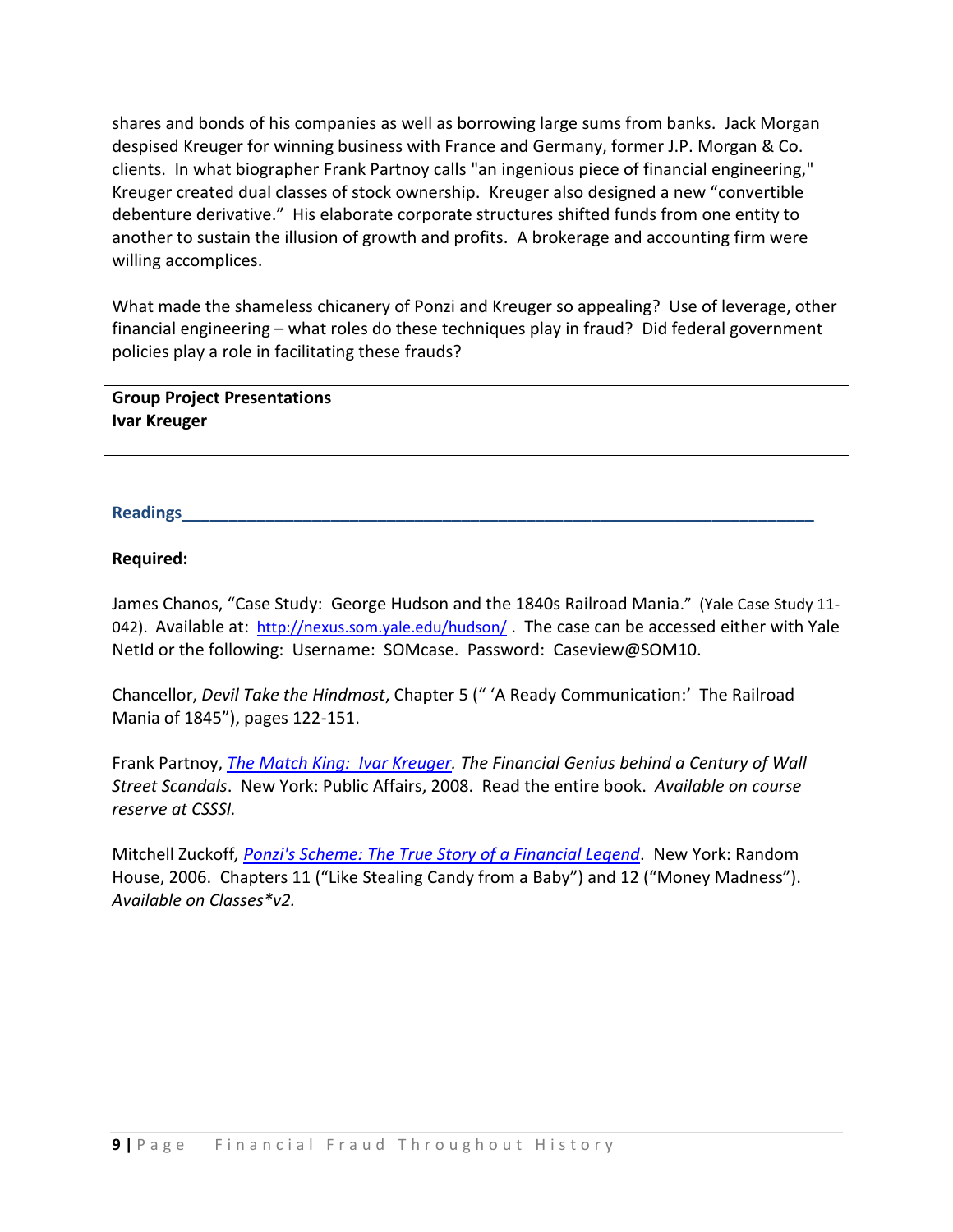shares and bonds of his companies as well as borrowing large sums from banks. Jack Morgan despised Kreuger for winning business with France and Germany, former J.P. Morgan & Co. clients. In what biographer Frank Partnoy calls "an ingenious piece of financial engineering," Kreuger created dual classes of stock ownership. Kreuger also designed a new "convertible debenture derivative." His elaborate corporate structures shifted funds from one entity to another to sustain the illusion of growth and profits. A brokerage and accounting firm were willing accomplices.

What made the shameless chicanery of Ponzi and Kreuger so appealing? Use of leverage, other financial engineering – what roles do these techniques play in fraud? Did federal government policies play a role in facilitating these frauds?

**Group Project Presentations Ivar Kreuger**

## **Readings\_\_\_\_\_\_\_\_\_\_\_\_\_\_\_\_\_\_\_\_\_\_\_\_\_\_\_\_\_\_\_\_\_\_\_\_\_\_\_\_\_\_\_\_\_\_\_\_\_\_\_\_\_\_\_\_\_\_\_\_\_\_\_\_\_\_\_\_**

## **Required:**

James Chanos, "Case Study: George Hudson and the 1840s Railroad Mania." (Yale Case Study 11 042). Available at: <http://nexus.som.yale.edu/hudson/>. The case can be accessed either with Yale NetId or the following: Username: SOMcase. Password: Caseview@SOM10.

Chancellor, *Devil Take the Hindmost*, Chapter 5 (" 'A Ready Communication:' The Railroad Mania of 1845"), pages 122-151.

Frank Partnoy, *[The Match King: Ivar Kreuger.](http://site.ebrary.com/lib/yale/docDetail.action?docID=10303239) The Financial Genius behind a Century of Wall Street Scandals*. New York: Public Affairs, 2008. Read the entire book. *Available on course reserve at CSSSI.*

Mitchell Zuckoff*, [Ponzi's Scheme: The True Story of a Financial Legend](http://site.ebrary.com/lib/yale/docDetail.action?docID=10235252)*. New York: Random House, 2006. Chapters 11 ("Like Stealing Candy from a Baby") and 12 ("Money Madness"). *Available on Classes\*v2.*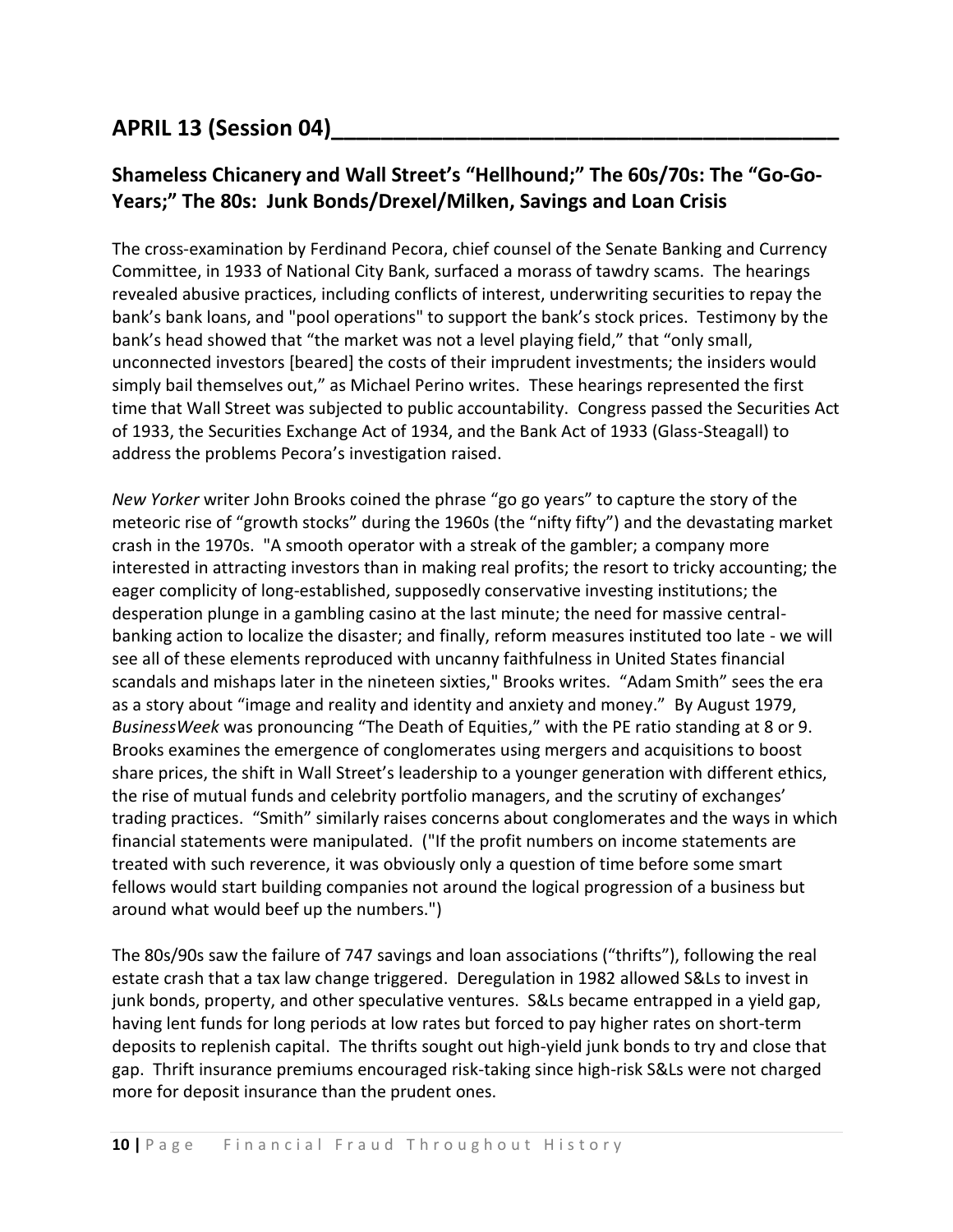# **APRIL 13 (Session 04)\_\_\_\_\_\_\_\_\_\_\_\_\_\_\_\_\_\_\_\_\_\_\_\_\_\_\_\_\_\_\_\_\_\_\_\_\_\_\_\_\_**

# **Shameless Chicanery and Wall Street's "Hellhound;" The 60s/70s: The "Go-Go-Years;" The 80s: Junk Bonds/Drexel/Milken, Savings and Loan Crisis**

The cross-examination by Ferdinand Pecora, chief counsel of the Senate Banking and Currency Committee, in 1933 of National City Bank, surfaced a morass of tawdry scams. The hearings revealed abusive practices, including conflicts of interest, underwriting securities to repay the bank's bank loans, and "pool operations" to support the bank's stock prices. Testimony by the bank's head showed that "the market was not a level playing field," that "only small, unconnected investors [beared] the costs of their imprudent investments; the insiders would simply bail themselves out," as Michael Perino writes. These hearings represented the first time that Wall Street was subjected to public accountability. Congress passed the Securities Act of 1933, the Securities Exchange Act of 1934, and the Bank Act of 1933 (Glass-Steagall) to address the problems Pecora's investigation raised.

*New Yorker* writer John Brooks coined the phrase "go go years" to capture the story of the meteoric rise of "growth stocks" during the 1960s (the "nifty fifty") and the devastating market crash in the 1970s. "A smooth operator with a streak of the gambler; a company more interested in attracting investors than in making real profits; the resort to tricky accounting; the eager complicity of long-established, supposedly conservative investing institutions; the desperation plunge in a gambling casino at the last minute; the need for massive centralbanking action to localize the disaster; and finally, reform measures instituted too late - we will see all of these elements reproduced with uncanny faithfulness in United States financial scandals and mishaps later in the nineteen sixties," Brooks writes. "Adam Smith" sees the era as a story about "image and reality and identity and anxiety and money." By August 1979, *BusinessWeek* was pronouncing "The Death of Equities," with the PE ratio standing at 8 or 9. Brooks examines the emergence of conglomerates using mergers and acquisitions to boost share prices, the shift in Wall Street's leadership to a younger generation with different ethics, the rise of mutual funds and celebrity portfolio managers, and the scrutiny of exchanges' trading practices. "Smith" similarly raises concerns about conglomerates and the ways in which financial statements were manipulated. ("If the profit numbers on income statements are treated with such reverence, it was obviously only a question of time before some smart fellows would start building companies not around the logical progression of a business but around what would beef up the numbers.")

The 80s/90s saw the failure of 747 savings and loan associations ("thrifts"), following the real estate crash that a tax law change triggered. Deregulation in 1982 allowed S&Ls to invest in junk bonds, property, and other speculative ventures. S&Ls became entrapped in a yield gap, having lent funds for long periods at low rates but forced to pay higher rates on short-term deposits to replenish capital. The thrifts sought out high-yield junk bonds to try and close that gap. Thrift insurance premiums encouraged risk-taking since high-risk S&Ls were not charged more for deposit insurance than the prudent ones.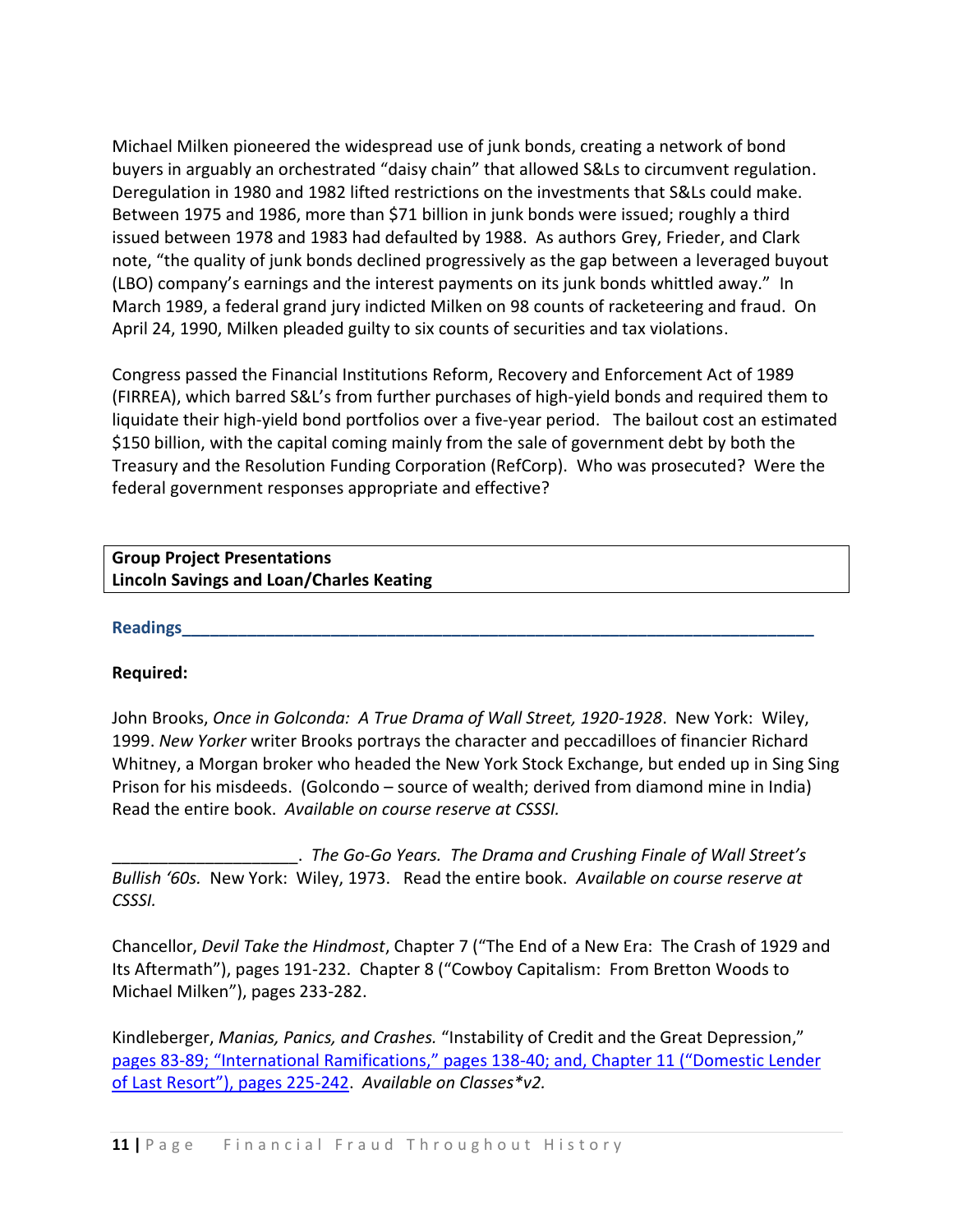Michael Milken pioneered the widespread use of junk bonds, creating a network of bond buyers in arguably an orchestrated "daisy chain" that allowed S&Ls to circumvent regulation. Deregulation in 1980 and 1982 lifted restrictions on the investments that S&Ls could make. Between 1975 and 1986, more than \$71 billion in junk bonds were issued; roughly a third issued between 1978 and 1983 had defaulted by 1988. As authors Grey, Frieder, and Clark note, "the quality of junk bonds declined progressively as the gap between a leveraged buyout (LBO) company's earnings and the interest payments on its junk bonds whittled away." In March 1989, a federal grand jury indicted Milken on 98 counts of racketeering and fraud. On April 24, 1990, Milken pleaded guilty to six counts of securities and tax violations.

Congress passed the Financial Institutions Reform, Recovery and Enforcement Act of 1989 (FIRREA), which barred S&L's from further purchases of high-yield bonds and required them to liquidate their high-yield bond portfolios over a five-year period. The bailout cost an estimated \$150 billion, with the capital coming mainly from the sale of government debt by both the Treasury and the Resolution Funding Corporation (RefCorp). Who was prosecuted? Were the federal government responses appropriate and effective?

## **Group Project Presentations Lincoln Savings and Loan/Charles Keating**

### **Readings\_\_\_\_\_\_\_\_\_\_\_\_\_\_\_\_\_\_\_\_\_\_\_\_\_\_\_\_\_\_\_\_\_\_\_\_\_\_\_\_\_\_\_\_\_\_\_\_\_\_\_\_\_\_\_\_\_\_\_\_\_\_\_\_\_\_\_\_**

### **Required:**

John Brooks, *Once in Golconda: A True Drama of Wall Street, 1920-1928*. New York: Wiley, 1999. *New Yorker* writer Brooks portrays the character and peccadilloes of financier Richard Whitney, a Morgan broker who headed the New York Stock Exchange, but ended up in Sing Sing Prison for his misdeeds. (Golcondo – source of wealth; derived from diamond mine in India) Read the entire book. *Available on course reserve at CSSSI.*

\_\_\_\_\_\_\_\_\_\_\_\_\_\_\_\_\_\_\_\_. *The Go-Go Years. The Drama and Crushing Finale of Wall Street's Bullish '60s.* New York: Wiley, 1973. Read the entire book. *Available on course reserve at CSSSI.*

Chancellor, *Devil Take the Hindmost*, Chapter 7 ("The End of a New Era: The Crash of 1929 and Its Aftermath"), pages 191-232. Chapter 8 ("Cowboy Capitalism: From Bretton Woods to Michael Milken"), pages 233-282.

Kindleberger, *Manias, Panics, and Crashes.* "Instability of Credit and the Great Depression," pages 83-[89; "International Ramifications," pages 138](http://resources.library.yale.edu/ereserves/default.asp?class=MGT848B&File=MGT_848B_12.pdf)-40; and, Chapter 11 ("Domestic Lender [of Last Resort"\), pages 225](http://resources.library.yale.edu/ereserves/default.asp?class=MGT848B&File=MGT_848B_12.pdf)-242. *Available on Classes\*v2.*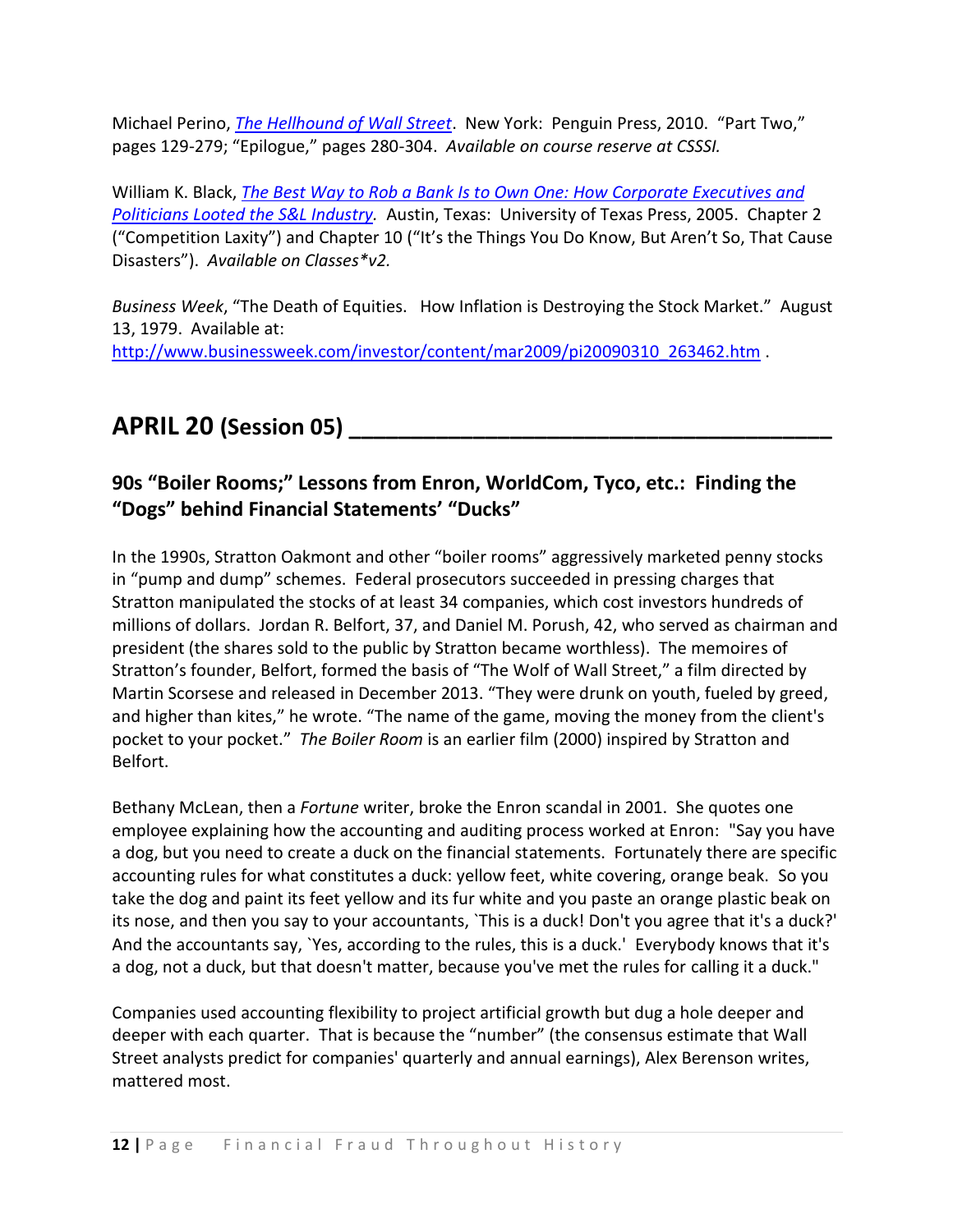Michael Perino, *[The Hellhound of Wall Street](http://resources.library.yale.edu/ereserves/default.asp?class=MGT848B&File=MGT_848B_13.pdf)*. New York: Penguin Press, 2010. "Part Two," pages 129-279; "Epilogue," pages 280-304. *Available on course reserve at CSSSI.*

William K. Black, *[The Best Way to Rob a Bank Is to Own One: How Corporate Executives and](http://site.ebrary.com/lib/yale/docDetail.action?docID=10172737)  [Politicians Looted the S&L Industry.](http://site.ebrary.com/lib/yale/docDetail.action?docID=10172737)* Austin, Texas: University of Texas Press, 2005. Chapter 2 ("Competition Laxity") and Chapter 10 ("It's the Things You Do Know, But Aren't So, That Cause Disasters"). *Available on Classes\*v2.*

*Business Week*, "The Death of Equities. How Inflation is Destroying the Stock Market." August 13, 1979. Available at: [http://www.businessweek.com/investor/content/mar2009/pi20090310\\_263462.htm](http://www.businessweek.com/investor/content/mar2009/pi20090310_263462.htm) .

# **APRIL 20 (Session 05) \_\_\_\_\_\_\_\_\_\_\_\_\_\_\_\_\_\_\_\_\_\_\_\_\_\_\_\_\_\_\_\_\_\_\_\_\_\_\_**

# **90s "Boiler Rooms;" Lessons from Enron, WorldCom, Tyco, etc.: Finding the "Dogs" behind Financial Statements' "Ducks"**

In the 1990s, Stratton Oakmont and other "boiler rooms" aggressively marketed penny stocks in "pump and dump" schemes. Federal prosecutors succeeded in pressing charges that Stratton manipulated the stocks of at least 34 companies, which cost investors hundreds of millions of dollars. Jordan R. Belfort, 37, and Daniel M. Porush, 42, who served as chairman and president (the shares sold to the public by Stratton became worthless). The memoires of Stratton's founder, Belfort, formed the basis of "The Wolf of Wall Street," a film directed by Martin Scorsese and released in December 2013. "They were drunk on youth, fueled by greed, and higher than kites," he wrote. "The name of the game, moving the money from the client's pocket to your pocket." *The Boiler Room* is an earlier film (2000) inspired by Stratton and Belfort.

Bethany McLean, then a *Fortune* writer, broke the Enron scandal in 2001. She quotes one employee explaining how the accounting and auditing process worked at Enron: "Say you have a dog, but you need to create a duck on the financial statements. Fortunately there are specific accounting rules for what constitutes a duck: yellow feet, white covering, orange beak. So you take the dog and paint its feet yellow and its fur white and you paste an orange plastic beak on its nose, and then you say to your accountants, `This is a duck! Don't you agree that it's a duck?' And the accountants say, `Yes, according to the rules, this is a duck.' Everybody knows that it's a dog, not a duck, but that doesn't matter, because you've met the rules for calling it a duck."

Companies used accounting flexibility to project artificial growth but dug a hole deeper and deeper with each quarter. That is because the "number" (the consensus estimate that Wall Street analysts predict for companies' quarterly and annual earnings), Alex Berenson writes, mattered most.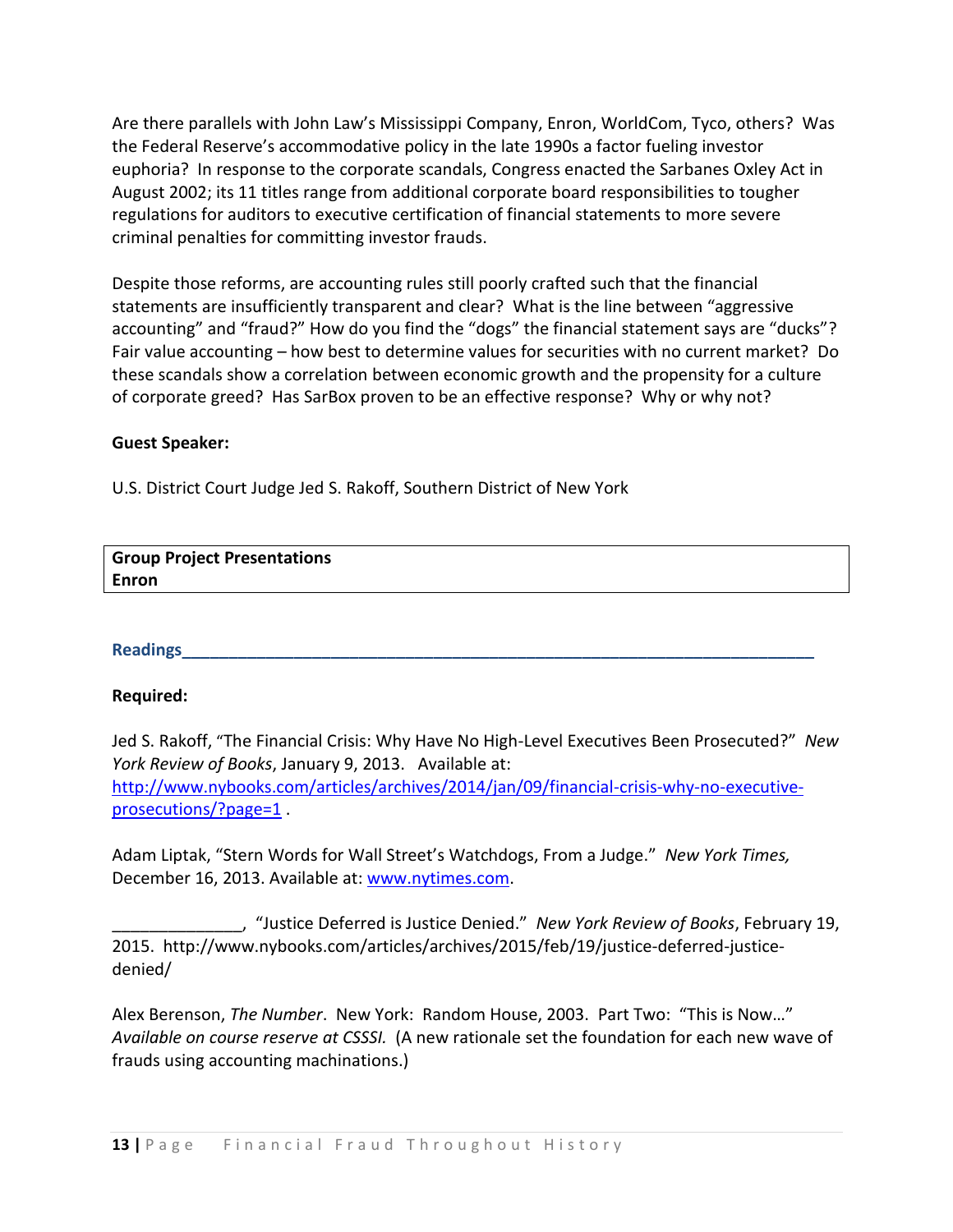Are there parallels with John Law's Mississippi Company, Enron, WorldCom, Tyco, others? Was the Federal Reserve's accommodative policy in the late 1990s a factor fueling investor euphoria?In response to the corporate scandals, Congress enacted the Sarbanes Oxley Act in August 2002; its 11 titles range from additional corporate board responsibilities to tougher regulations for auditors to executive certification of financial statements to more severe criminal penalties for committing investor frauds.

Despite those reforms, are accounting rules still poorly crafted such that the financial statements are insufficiently transparent and clear? What is the line between "aggressive accounting" and "fraud?" How do you find the "dogs" the financial statement says are "ducks"? Fair value accounting – how best to determine values for securities with no current market? Do these scandals show a correlation between economic growth and the propensity for a culture of corporate greed? Has SarBox proven to be an effective response? Why or why not?

### **Guest Speaker:**

U.S. District Court Judge Jed S. Rakoff, Southern District of New York

| <b>Group Project Presentations</b> |  |
|------------------------------------|--|
| <b>Enron</b>                       |  |

### **Readings\_\_\_\_\_\_\_\_\_\_\_\_\_\_\_\_\_\_\_\_\_\_\_\_\_\_\_\_\_\_\_\_\_\_\_\_\_\_\_\_\_\_\_\_\_\_\_\_\_\_\_\_\_\_\_\_\_\_\_\_\_\_\_\_\_\_\_\_**

### **Required:**

Jed S. Rakoff, "The Financial Crisis: Why Have No High-Level Executives Been Prosecuted?" *New York Review of Books*, January 9, 2013. Available at: [http://www.nybooks.com/articles/archives/2014/jan/09/financial-crisis-why-no-executive](http://www.nybooks.com/articles/archives/2014/jan/09/financial-crisis-why-no-executive-prosecutions/?page=1)[prosecutions/?page=1](http://www.nybooks.com/articles/archives/2014/jan/09/financial-crisis-why-no-executive-prosecutions/?page=1).

Adam Liptak, "Stern Words for Wall Street's Watchdogs, From a Judge." *New York Times,*  December 16, 2013. Available at: [www.nytimes.com.](http://www.nytimes.com/)

\_\_\_\_\_\_\_\_\_\_\_\_\_\_, "Justice Deferred is Justice Denied." *New York Review of Books*, February 19, 2015. http://www.nybooks.com/articles/archives/2015/feb/19/justice-deferred-justicedenied/

Alex Berenson, *The Number*. New York: Random House, 2003. Part Two: "This is Now…" *Available on course reserve at CSSSI.* (A new rationale set the foundation for each new wave of frauds using accounting machinations.)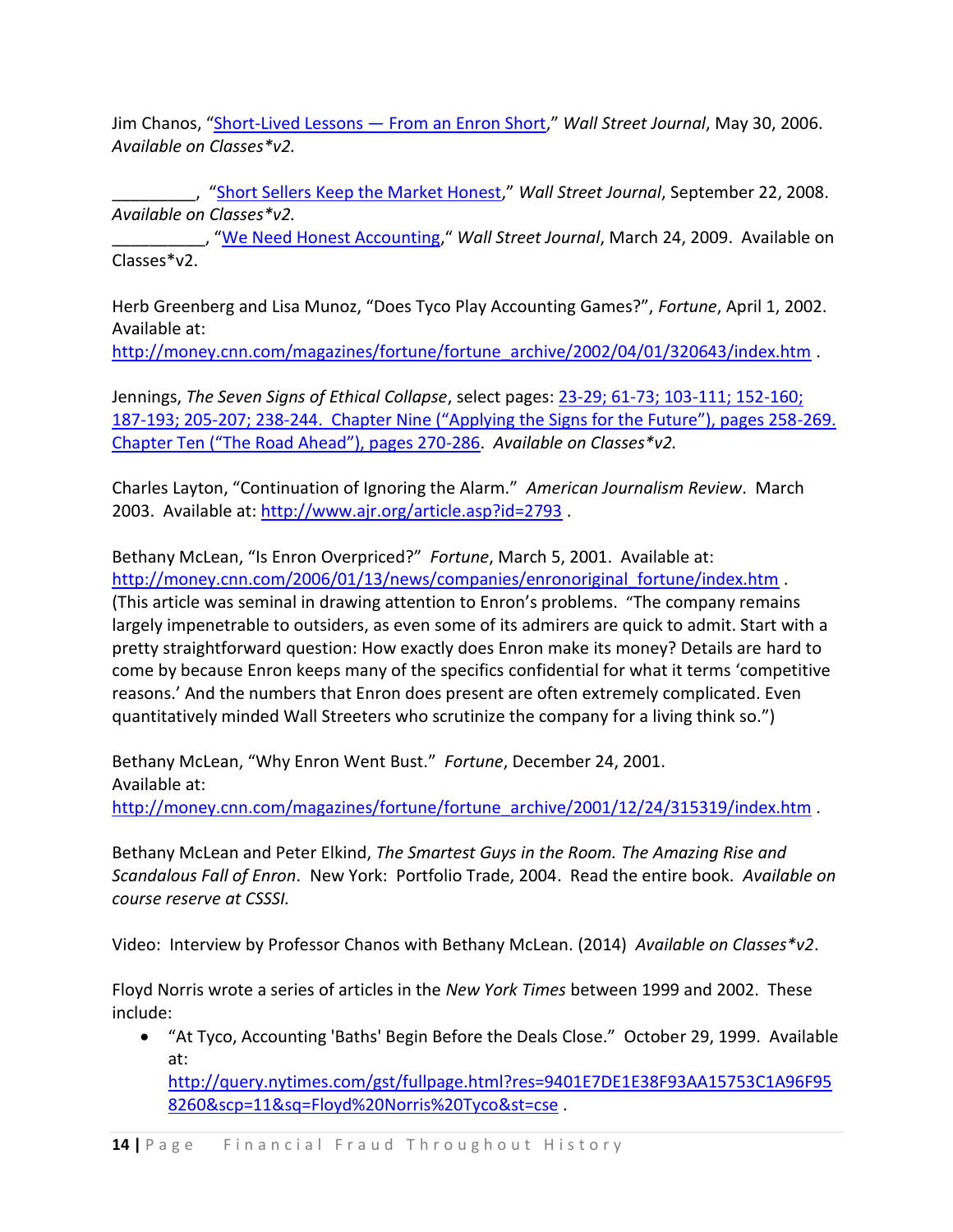Jim Chanos, "Short-Lived Lessons — [From an Enron Short](http://search.proquest.com/docview/398957436/13C4AD4D9361B59257F/1?accountid=15172)," *Wall Street Journal*, May 30, 2006. *Available on Classes\*v2.*

\_\_\_\_\_\_\_\_\_, "[Short Sellers Keep the Market Honest](http://search.proquest.com/docview/399128492/13C4AD5DE47282E56A2/1?accountid=15172)," *Wall Street Journal*, September 22, 2008. *Available on Classes\*v2.* 

\_\_\_\_\_\_\_\_\_\_, "[We Need Honest Accounting,](http://search.proquest.com/docview/399126888/13C4AD6E4994882AD1A/1?accountid=15172)" *Wall Street Journal*, March 24, 2009. Available on Classes\*v2.

Herb Greenberg and Lisa Munoz, "Does Tyco Play Accounting Games?", *Fortune*, April 1, 2002. Available at:

[http://money.cnn.com/magazines/fortune/fortune\\_archive/2002/04/01/320643/index.htm](http://money.cnn.com/magazines/fortune/fortune_archive/2002/04/01/320643/index.htm) .

Jennings, *The Seven Signs of Ethical Collapse*, select pages: [23-29; 61-73; 103-111; 152-160;](http://resources.library.yale.edu/ereserves/default.asp?class=MGT848B&File=MGT_848B_20.pdf)  187-193; 205-207; 238-[244. Chapter Nine \("Applying the Signs for the Future"\), pages 258](http://resources.library.yale.edu/ereserves/default.asp?class=MGT848B&File=MGT_848B_20.pdf)-269. [Chapter Ten \("The Road Ahead"\), pages 270](http://resources.library.yale.edu/ereserves/default.asp?class=MGT848B&File=MGT_848B_20.pdf)-286. *Available on Classes\*v2.*

Charles Layton, "Continuation of Ignoring the Alarm." *American Journalism Review*. March 2003. Available at:<http://www.ajr.org/article.asp?id=2793> .

Bethany McLean, "Is Enron Overpriced?" *Fortune*, March 5, 2001. Available at: [http://money.cnn.com/2006/01/13/news/companies/enronoriginal\\_fortune/index.htm](http://money.cnn.com/2006/01/13/news/companies/enronoriginal_fortune/index.htm) . (This article was seminal in drawing attention to Enron's problems. "The company remains largely impenetrable to outsiders, as even some of its admirers are quick to admit. Start with a pretty straightforward question: How exactly does Enron make its money? Details are hard to come by because Enron keeps many of the specifics confidential for what it terms 'competitive reasons.' And the numbers that Enron does present are often extremely complicated. Even quantitatively minded Wall Streeters who scrutinize the company for a living think so.")

Bethany McLean, "Why Enron Went Bust." *Fortune*, December 24, 2001. Available at: [http://money.cnn.com/magazines/fortune/fortune\\_archive/2001/12/24/315319/index.htm](http://money.cnn.com/magazines/fortune/fortune_archive/2001/12/24/315319/index.htm) .

Bethany McLean and Peter Elkind, *The Smartest Guys in the Room. The Amazing Rise and Scandalous Fall of Enron*. New York: Portfolio Trade, 2004. Read the entire book. *Available on course reserve at CSSSI.*

Video: Interview by Professor Chanos with Bethany McLean. (2014) *Available on Classes\*v2*.

Floyd Norris wrote a series of articles in the *New York Times* between 1999 and 2002. These include:

 "At Tyco, Accounting 'Baths' Begin Before the Deals Close." October 29, 1999. Available at:

[http://query.nytimes.com/gst/fullpage.html?res=9401E7DE1E38F93AA15753C1A96F95](http://query.nytimes.com/gst/fullpage.html?res=9401E7DE1E38F93AA15753C1A96F958260&scp=11&sq=Floyd%20Norris%20Tyco&st=cse) [8260&scp=11&sq=Floyd%20Norris%20Tyco&st=cse](http://query.nytimes.com/gst/fullpage.html?res=9401E7DE1E38F93AA15753C1A96F958260&scp=11&sq=Floyd%20Norris%20Tyco&st=cse) .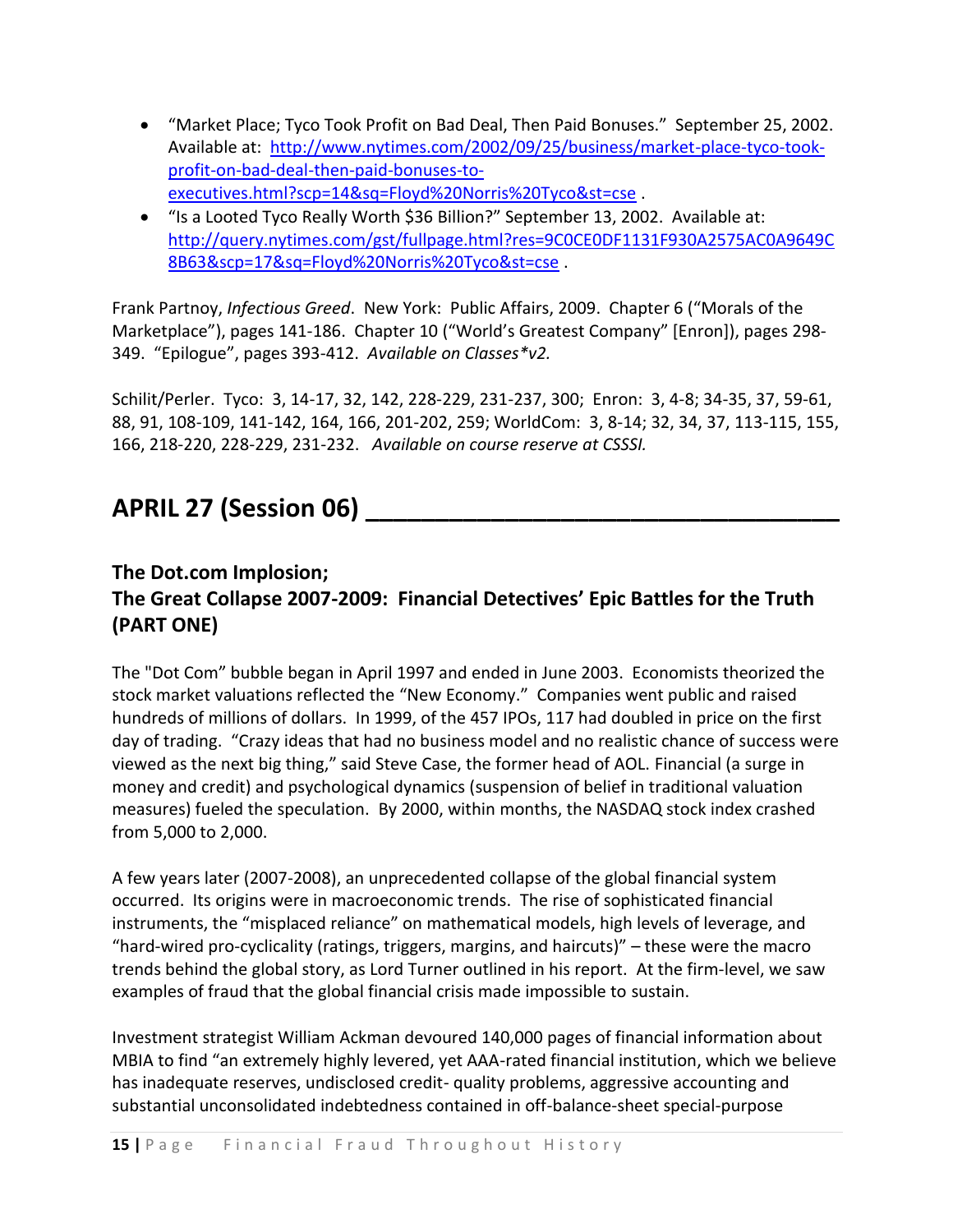- "Market Place; Tyco Took Profit on Bad Deal, Then Paid Bonuses." September 25, 2002. Available at: [http://www.nytimes.com/2002/09/25/business/market-place-tyco-took](http://www.nytimes.com/2002/09/25/business/market-place-tyco-took-profit-on-bad-deal-then-paid-bonuses-to-executives.html?scp=14&sq=Floyd%20Norris%20Tyco&st=cse)[profit-on-bad-deal-then-paid-bonuses-to](http://www.nytimes.com/2002/09/25/business/market-place-tyco-took-profit-on-bad-deal-then-paid-bonuses-to-executives.html?scp=14&sq=Floyd%20Norris%20Tyco&st=cse)[executives.html?scp=14&sq=Floyd%20Norris%20Tyco&st=cse](http://www.nytimes.com/2002/09/25/business/market-place-tyco-took-profit-on-bad-deal-then-paid-bonuses-to-executives.html?scp=14&sq=Floyd%20Norris%20Tyco&st=cse) .
- "Is a Looted Tyco Really Worth \$36 Billion?" September 13, 2002. Available at: [http://query.nytimes.com/gst/fullpage.html?res=9C0CE0DF1131F930A2575AC0A9649C](http://query.nytimes.com/gst/fullpage.html?res=9C0CE0DF1131F930A2575AC0A9649C8B63&scp=17&sq=Floyd%20Norris%20Tyco&st=cse) [8B63&scp=17&sq=Floyd%20Norris%20Tyco&st=cse](http://query.nytimes.com/gst/fullpage.html?res=9C0CE0DF1131F930A2575AC0A9649C8B63&scp=17&sq=Floyd%20Norris%20Tyco&st=cse) .

Frank Partnoy, *[Infectious Greed](http://site.ebrary.com/lib/yale/docDetail.action?docID=10326243)*. New York: Public Affairs, 2009. Chapter 6 ("Morals of the Marketplace"), pages 141-186. Chapter 10 ("World's Greatest Company" [Enron]), pages 298- 349. "Epilogue", pages 393-412. *Available on Classes\*v2.*

Schilit/Perler. Tyco: 3, 14-17, 32, 142, 228-229, 231-237, 300; Enron: 3, 4-8; 34-35, 37, 59-61, 88, 91, 108-109, 141-142, 164, 166, 201-202, 259; WorldCom: 3, 8-14; 32, 34, 37, 113-115, 155, 166, 218-220, 228-229, 231-232. *Available on course reserve at CSSSI.*

# **APRIL 27 (Session 06) \_\_\_\_\_\_\_\_\_\_\_\_\_\_\_\_\_\_\_\_\_\_\_\_\_\_\_\_\_\_\_\_\_\_**

# **The Dot.com Implosion;**

# **The Great Collapse 2007-2009: Financial Detectives' Epic Battles for the Truth (PART ONE)**

The "Dot Com" bubble began in April 1997 and ended in June 2003. Economists theorized the stock market valuations reflected the "New Economy." Companies went public and raised hundreds of millions of dollars. In 1999, of the 457 IPOs, 117 had doubled in price on the first day of trading. "Crazy ideas that had no business model and no realistic chance of success were viewed as the next big thing," said Steve Case, the former head of AOL. Financial (a surge in money and credit) and psychological dynamics (suspension of belief in traditional valuation measures) fueled the speculation. By 2000, within months, the NASDAQ stock index crashed from 5,000 to 2,000.

A few years later (2007-2008), an unprecedented collapse of the global financial system occurred. Its origins were in macroeconomic trends. The rise of sophisticated financial instruments, the "misplaced reliance" on mathematical models, high levels of leverage, and "hard-wired pro-cyclicality (ratings, triggers, margins, and haircuts)" – these were the macro trends behind the global story, as Lord Turner outlined in his report. At the firm-level, we saw examples of fraud that the global financial crisis made impossible to sustain.

Investment strategist William Ackman devoured 140,000 pages of financial information about MBIA to find "an extremely highly levered, yet AAA-rated financial institution, which we believe has inadequate reserves, undisclosed credit- quality problems, aggressive accounting and substantial unconsolidated indebtedness contained in off-balance-sheet special-purpose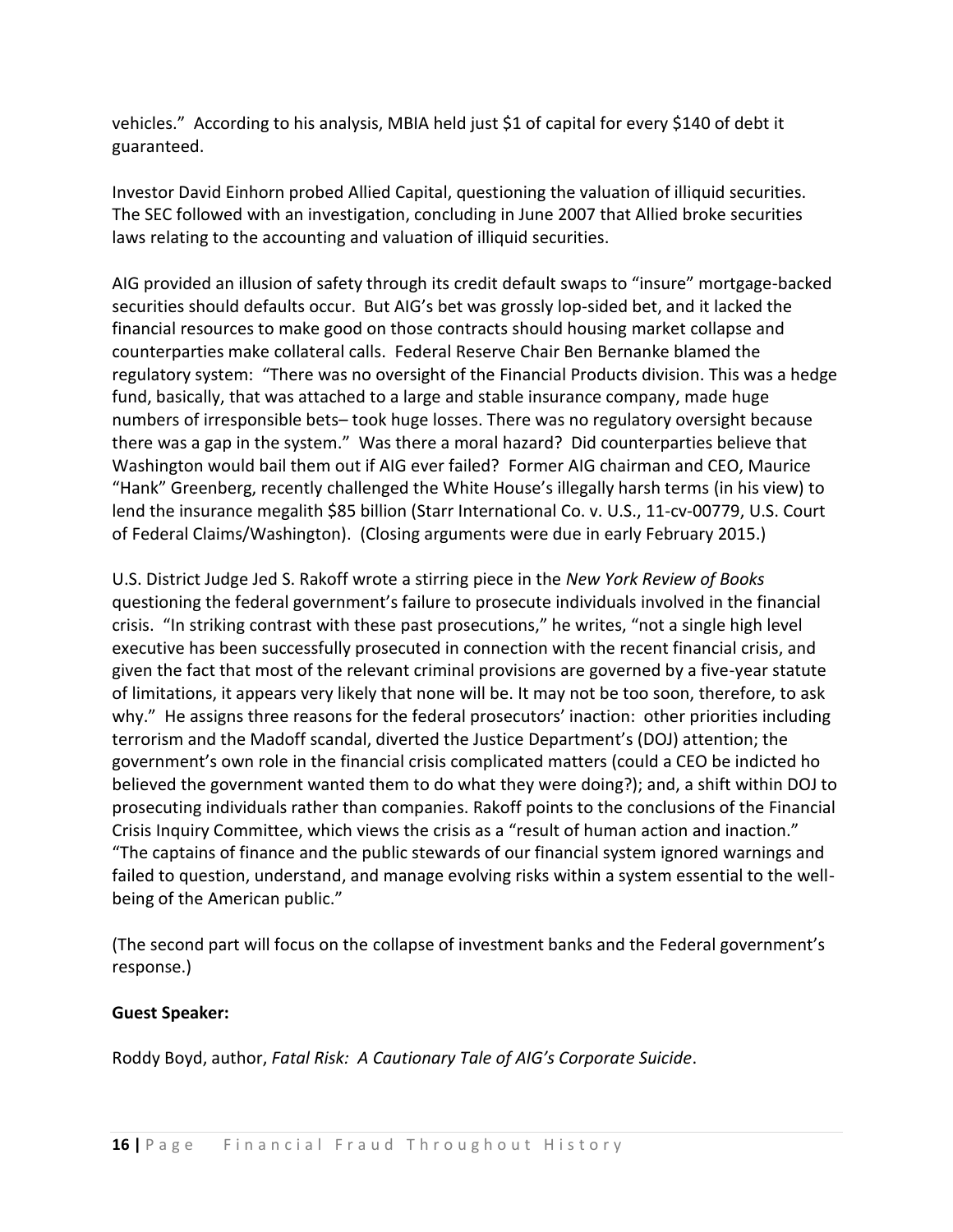vehicles." According to his analysis, MBIA held just \$1 of capital for every \$140 of debt it guaranteed.

Investor David Einhorn probed Allied Capital, questioning the valuation of illiquid securities. The SEC followed with an investigation, concluding in June 2007 that Allied broke securities laws relating to the accounting and valuation of illiquid securities.

AIG provided an illusion of safety through its credit default swaps to "insure" mortgage-backed securities should defaults occur. But AIG's bet was grossly lop-sided bet, and it lacked the financial resources to make good on those contracts should housing market collapse and counterparties make collateral calls. Federal Reserve Chair Ben Bernanke blamed the regulatory system: "There was no oversight of the Financial Products division. This was a hedge fund, basically, that was attached to a large and stable insurance company, made huge numbers of irresponsible bets– took huge losses. There was no regulatory oversight because there was a gap in the system." Was there a moral hazard? Did counterparties believe that Washington would bail them out if AIG ever failed? Former AIG chairman and CEO, Maurice "Hank" Greenberg, recently challenged the White House's illegally harsh terms (in his view) to lend the insurance megalith \$85 billion (Starr International Co. v. U.S., 11-cv-00779, U.S. Court of Federal Claims/Washington). (Closing arguments were due in early February 2015.)

U.S. District Judge Jed S. Rakoff wrote a stirring piece in the *New York Review of Books* questioning the federal government's failure to prosecute individuals involved in the financial crisis. "In striking contrast with these past prosecutions," he writes, "not a single high level executive has been successfully prosecuted in connection with the recent financial crisis, and given the fact that most of the relevant criminal provisions are governed by a five-year statute of limitations, it appears very likely that none will be. It may not be too soon, therefore, to ask why." He assigns three reasons for the federal prosecutors' inaction: other priorities including terrorism and the Madoff scandal, diverted the Justice Department's (DOJ) attention; the government's own role in the financial crisis complicated matters (could a CEO be indicted ho believed the government wanted them to do what they were doing?); and, a shift within DOJ to prosecuting individuals rather than companies. Rakoff points to the conclusions of the Financial Crisis Inquiry Committee, which views the crisis as a "result of human action and inaction." "The captains of finance and the public stewards of our financial system ignored warnings and failed to question, understand, and manage evolving risks within a system essential to the wellbeing of the American public."

(The second part will focus on the collapse of investment banks and the Federal government's response.)

# **Guest Speaker:**

Roddy Boyd, author, *Fatal Risk: A Cautionary Tale of AIG's Corporate Suicide*.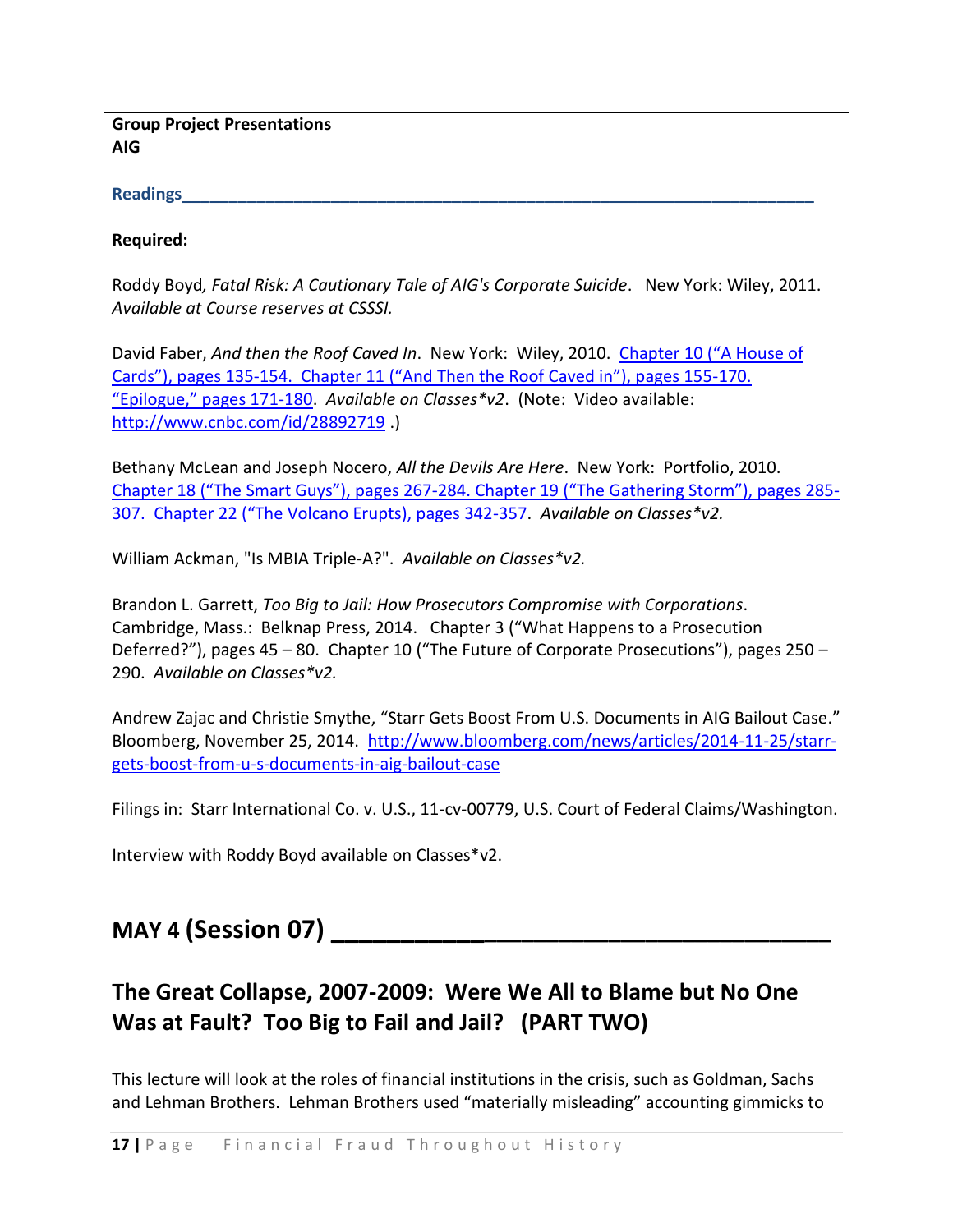**Group Project Presentations AIG**

# **Readings\_\_\_\_\_\_\_\_\_\_\_\_\_\_\_\_\_\_\_\_\_\_\_\_\_\_\_\_\_\_\_\_\_\_\_\_\_\_\_\_\_\_\_\_\_\_\_\_\_\_\_\_\_\_\_\_\_\_\_\_\_\_\_\_\_\_\_\_**

#### **Required:**

Roddy Boyd*, Fatal Risk: A Cautionary Tale of AIG's Corporate Suicide*. New York: Wiley, 2011. *Available at Course reserves at CSSSI.*

David Faber, *And then the Roof Caved In*. New York: Wiley, 2010. [Chapter 10 \("A H](http://resources.library.yale.edu/ereserves/default.asp?class=MGT848B&File=MGT_848B_24.pdf)ouse of Cards"), pages 135-[154. Chapter 11 \("And Then the Roof Caved in"\), pages 155](http://resources.library.yale.edu/ereserves/default.asp?class=MGT848B&File=MGT_848B_24.pdf)-170. ["Epilogue," pages 171](http://resources.library.yale.edu/ereserves/default.asp?class=MGT848B&File=MGT_848B_24.pdf)-180. *Available on Classes\*v2*. (Note: Video available: <http://www.cnbc.com/id/28892719> .)

Bethany McLean and Joseph Nocero, *All the Devils Are Here*. New York: Portfolio, 2010. Chapter 18 ("The Smart Guys"), pages 267-284. Chapter 19 (["The Gathering Storm"\), pages 285](http://resources.library.yale.edu/ereserves/default.asp?class=MGT848B&File=MGT_848B_25.pdf)- [307. Chapter 22 \("The Volcano Erupts\), pages 342](http://resources.library.yale.edu/ereserves/default.asp?class=MGT848B&File=MGT_848B_25.pdf)-357. *Available on Classes\*v2.*

William Ackman, "Is MBIA Triple-A?". *Available on Classes\*v2.*

Brandon L. Garrett, *Too Big to Jail: How Prosecutors Compromise with Corporations*. Cambridge, Mass.: Belknap Press, 2014. Chapter 3 ("What Happens to a Prosecution Deferred?"), pages 45 – 80. Chapter 10 ("The Future of Corporate Prosecutions"), pages 250 – 290. *Available on Classes\*v2.*

Andrew Zajac and Christie Smythe, "Starr Gets Boost From U.S. Documents in AIG Bailout Case." Bloomberg, November 25, 2014. [http://www.bloomberg.com/news/articles/2014-11-25/starr](http://www.bloomberg.com/news/articles/2014-11-25/starr-gets-boost-from-u-s-documents-in-aig-bailout-case)[gets-boost-from-u-s-documents-in-aig-bailout-case](http://www.bloomberg.com/news/articles/2014-11-25/starr-gets-boost-from-u-s-documents-in-aig-bailout-case)

Filings in: Starr International Co. v. U.S., 11-cv-00779, U.S. Court of Federal Claims/Washington.

Interview with Roddy Boyd available on Classes\*v2.

# **MAY 4 (Session 07) \_\_\_\_\_\_\_\_\_\_\_\_\_\_\_\_\_\_\_\_\_\_\_\_\_\_\_\_\_\_\_\_\_\_\_\_\_\_\_**

# **The Great Collapse, 2007-2009: Were We All to Blame but No One Was at Fault? Too Big to Fail and Jail? (PART TWO)**

This lecture will look at the roles of financial institutions in the crisis, such as Goldman, Sachs and Lehman Brothers. Lehman Brothers used "materially misleading" accounting gimmicks to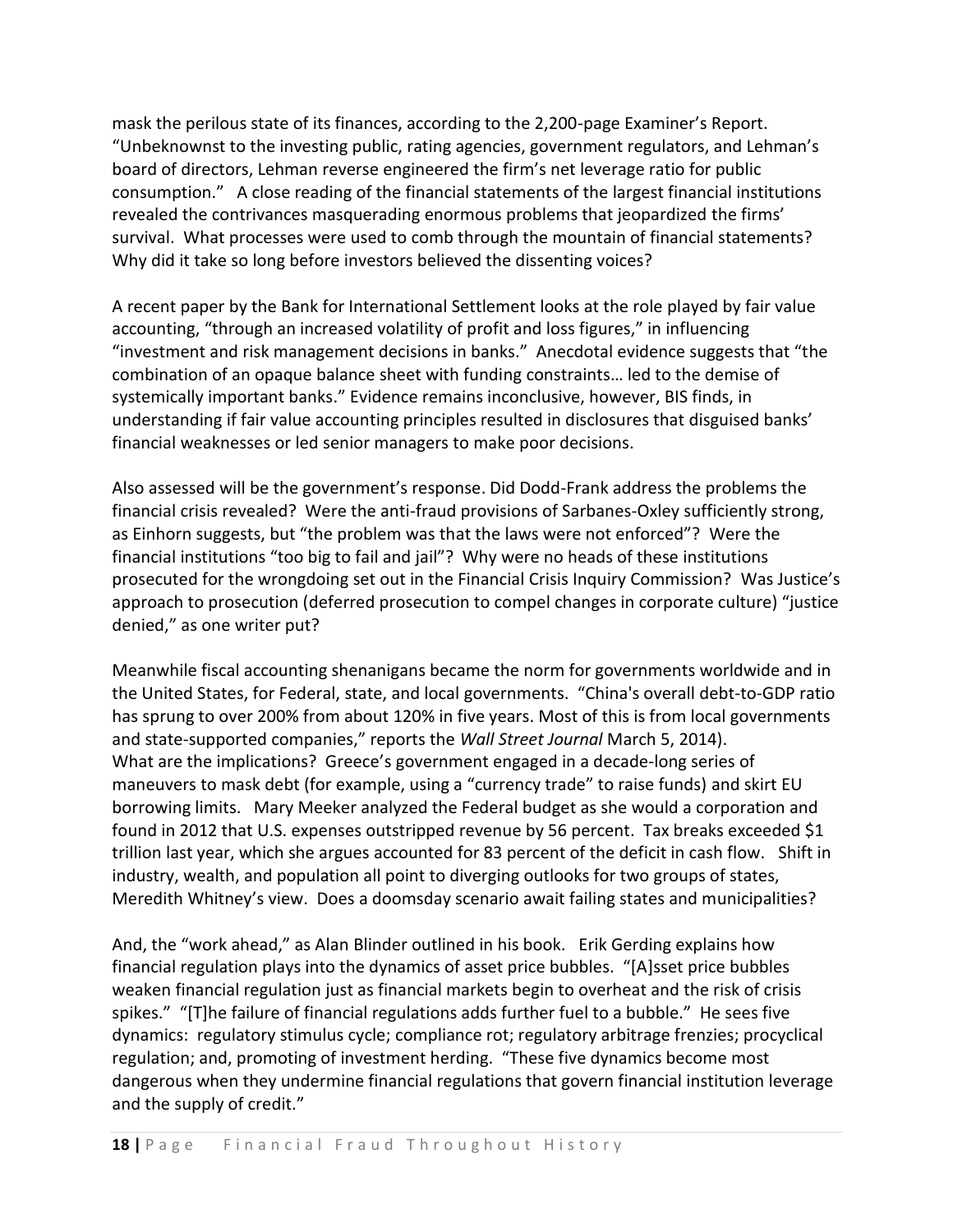mask the perilous state of its finances, according to the 2,200-page Examiner's Report. "Unbeknownst to the investing public, rating agencies, government regulators, and Lehman's board of directors, Lehman reverse engineered the firm's net leverage ratio for public consumption." A close reading of the financial statements of the largest financial institutions revealed the contrivances masquerading enormous problems that jeopardized the firms' survival. What processes were used to comb through the mountain of financial statements? Why did it take so long before investors believed the dissenting voices?

A recent paper by the Bank for International Settlement looks at the role played by fair value accounting, "through an increased volatility of profit and loss figures," in influencing "investment and risk management decisions in banks." Anecdotal evidence suggests that "the combination of an opaque balance sheet with funding constraints… led to the demise of systemically important banks." Evidence remains inconclusive, however, BIS finds, in understanding if fair value accounting principles resulted in disclosures that disguised banks' financial weaknesses or led senior managers to make poor decisions.

Also assessed will be the government's response. Did Dodd-Frank address the problems the financial crisis revealed? Were the anti-fraud provisions of Sarbanes-Oxley sufficiently strong, as Einhorn suggests, but "the problem was that the laws were not enforced"? Were the financial institutions "too big to fail and jail"? Why were no heads of these institutions prosecuted for the wrongdoing set out in the Financial Crisis Inquiry Commission? Was Justice's approach to prosecution (deferred prosecution to compel changes in corporate culture) "justice denied," as one writer put?

Meanwhile fiscal accounting shenanigans became the norm for governments worldwide and in the United States, for Federal, state, and local governments. "China's overall debt-to-GDP ratio has sprung to over 200% from about 120% in five years. Most of this is from local governments and state-supported companies," reports the *Wall Street Journal* March 5, 2014). What are the implications? Greece's government engaged in a decade-long series of maneuvers to mask debt (for example, using a "currency trade" to raise funds) and skirt EU borrowing limits. Mary Meeker analyzed the Federal budget as she would a corporation and found in 2012 that U.S. expenses outstripped revenue by 56 percent. Tax breaks exceeded \$1 trillion last year, which she argues accounted for 83 percent of the deficit in cash flow. Shift in industry, wealth, and population all point to diverging outlooks for two groups of states, Meredith Whitney's view. Does a doomsday scenario await failing states and municipalities?

And, the "work ahead," as Alan Blinder outlined in his book. Erik Gerding explains how financial regulation plays into the dynamics of asset price bubbles. "[A]sset price bubbles weaken financial regulation just as financial markets begin to overheat and the risk of crisis spikes." "[T]he failure of financial regulations adds further fuel to a bubble." He sees five dynamics: regulatory stimulus cycle; compliance rot; regulatory arbitrage frenzies; procyclical regulation; and, promoting of investment herding. "These five dynamics become most dangerous when they undermine financial regulations that govern financial institution leverage and the supply of credit."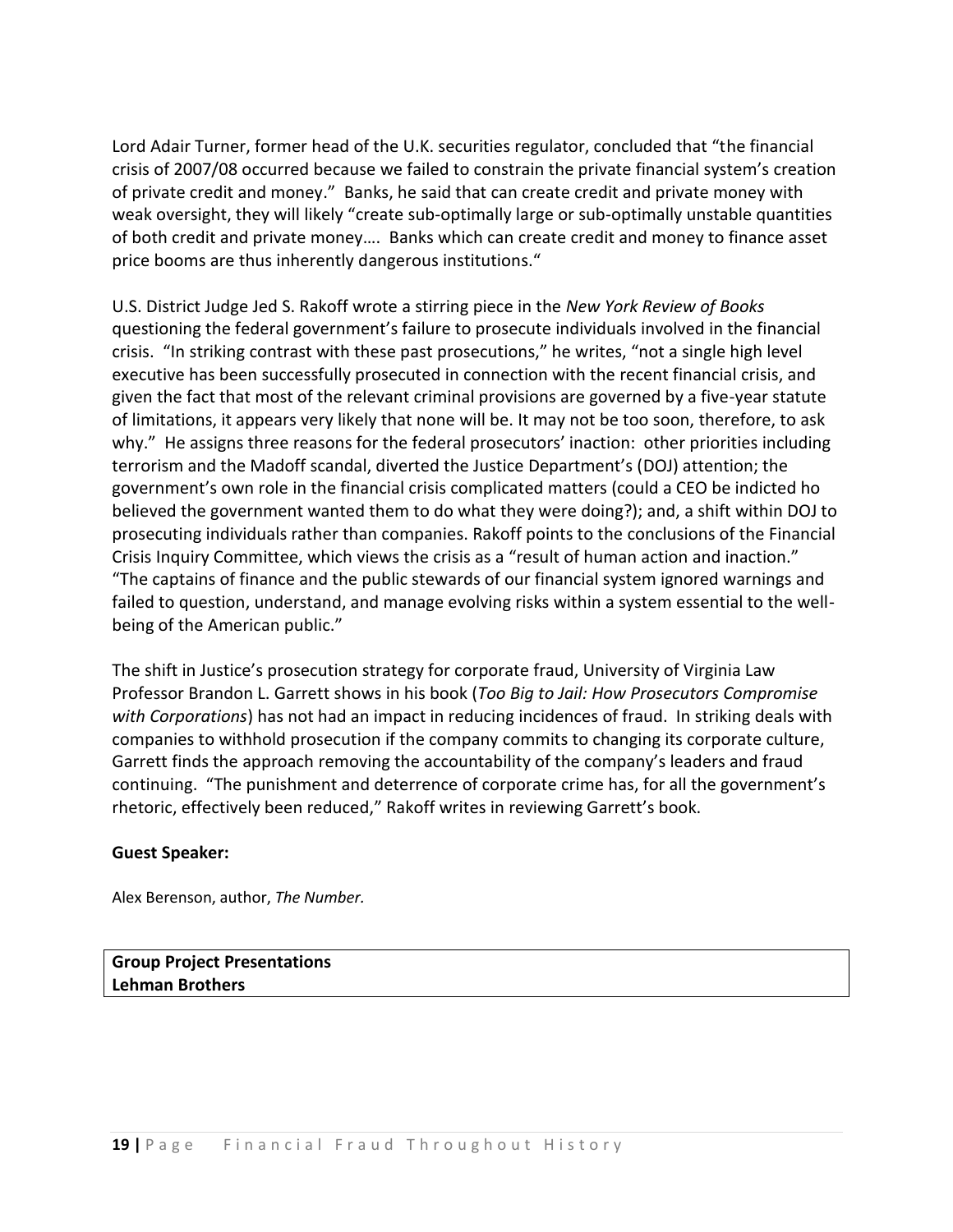Lord Adair Turner, former head of the U.K. securities regulator, concluded that "the financial crisis of 2007/08 occurred because we failed to constrain the private financial system's creation of private credit and money." Banks, he said that can create credit and private money with weak oversight, they will likely "create sub-optimally large or sub-optimally unstable quantities of both credit and private money…. Banks which can create credit and money to finance asset price booms are thus inherently dangerous institutions."

U.S. District Judge Jed S. Rakoff wrote a stirring piece in the *New York Review of Books* questioning the federal government's failure to prosecute individuals involved in the financial crisis. "In striking contrast with these past prosecutions," he writes, "not a single high level executive has been successfully prosecuted in connection with the recent financial crisis, and given the fact that most of the relevant criminal provisions are governed by a five-year statute of limitations, it appears very likely that none will be. It may not be too soon, therefore, to ask why." He assigns three reasons for the federal prosecutors' inaction: other priorities including terrorism and the Madoff scandal, diverted the Justice Department's (DOJ) attention; the government's own role in the financial crisis complicated matters (could a CEO be indicted ho believed the government wanted them to do what they were doing?); and, a shift within DOJ to prosecuting individuals rather than companies. Rakoff points to the conclusions of the Financial Crisis Inquiry Committee, which views the crisis as a "result of human action and inaction." "The captains of finance and the public stewards of our financial system ignored warnings and failed to question, understand, and manage evolving risks within a system essential to the wellbeing of the American public."

The shift in Justice's prosecution strategy for corporate fraud, University of Virginia Law Professor Brandon L. Garrett shows in his book (*Too Big to Jail: How Prosecutors Compromise with Corporations*) has not had an impact in reducing incidences of fraud. In striking deals with companies to withhold prosecution if the company commits to changing its corporate culture, Garrett finds the approach removing the accountability of the company's leaders and fraud continuing. "The punishment and deterrence of corporate crime has, for all the government's rhetoric, effectively been reduced," Rakoff writes in reviewing Garrett's book.

### **Guest Speaker:**

Alex Berenson, author, *The Number.*

**Group Project Presentations Lehman Brothers**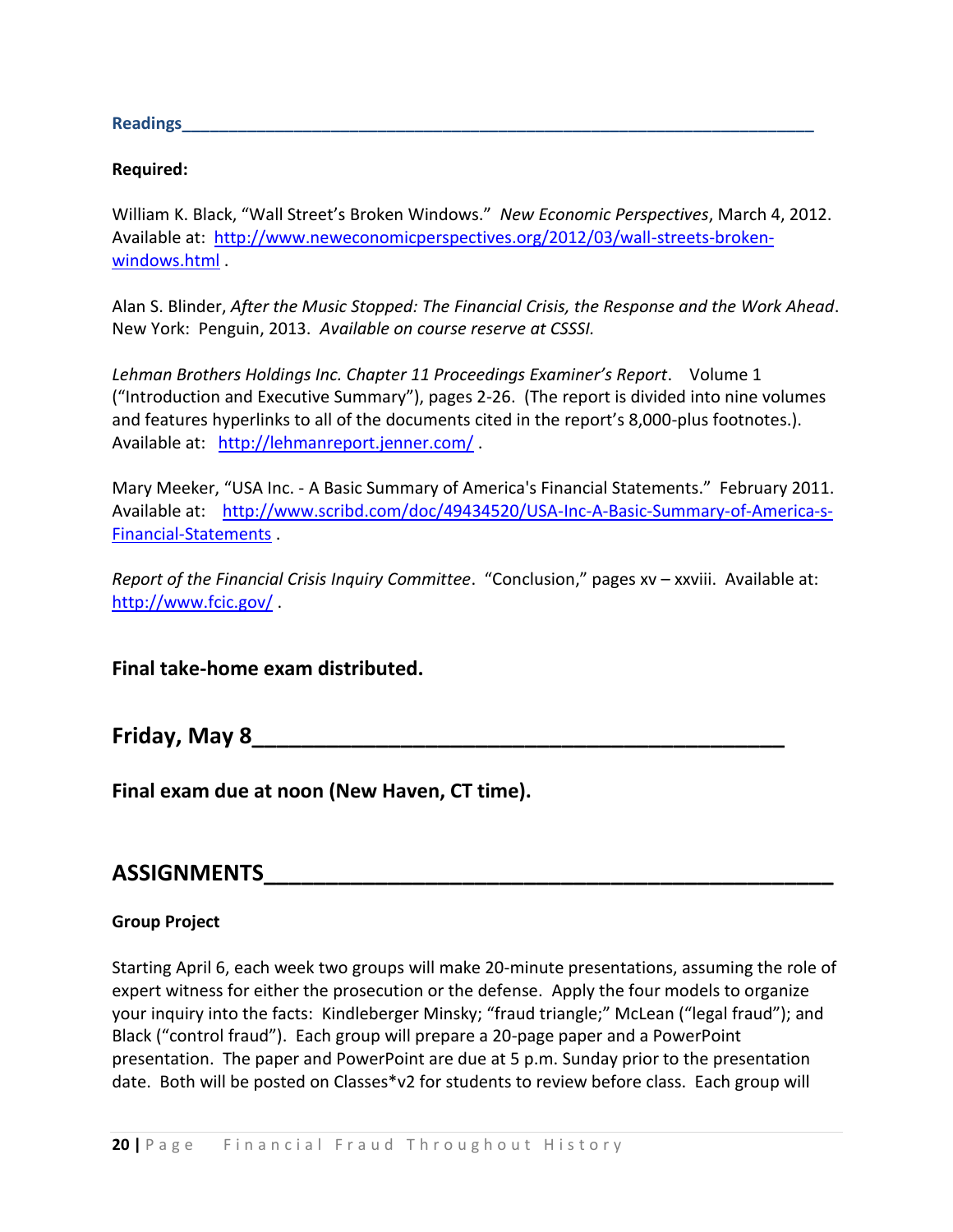**Readings\_\_\_\_\_\_\_\_\_\_\_\_\_\_\_\_\_\_\_\_\_\_\_\_\_\_\_\_\_\_\_\_\_\_\_\_\_\_\_\_\_\_\_\_\_\_\_\_\_\_\_\_\_\_\_\_\_\_\_\_\_\_\_\_\_\_\_\_**

#### **Required:**

William K. Black, "Wall Street's Broken Windows." *New Economic Perspectives*, March 4, 2012. Available at: [http://www.neweconomicperspectives.org/2012/03/wall-streets-broken](http://www.neweconomicperspectives.org/2012/03/wall-streets-broken-windows.html)[windows.html](http://www.neweconomicperspectives.org/2012/03/wall-streets-broken-windows.html) .

Alan S. Blinder, *After the Music Stopped: The Financial Crisis, the Response and the Work Ahead*. New York: Penguin, 2013. *Available on course reserve at CSSSI.*

*Lehman Brothers Holdings Inc. Chapter 11 Proceedings Examiner's Report*. Volume 1 ("Introduction and Executive Summary"), pages 2-26. (The report is divided into nine volumes and features hyperlinks to all of the documents cited in the report's 8,000-plus footnotes.). Available at: <http://lehmanreport.jenner.com/>.

Mary Meeker, "USA Inc. - A Basic Summary of America's Financial Statements." February 2011. Available at: [http://www.scribd.com/doc/49434520/USA-Inc-A-Basic-Summary-of-America-s-](http://www.scribd.com/doc/49434520/USA-Inc-A-Basic-Summary-of-America-s-Financial-Statements)[Financial-Statements](http://www.scribd.com/doc/49434520/USA-Inc-A-Basic-Summary-of-America-s-Financial-Statements) .

*Report of the Financial Crisis Inquiry Committee*. "Conclusion," pages xv – xxviii. Available at: <http://www.fcic.gov/> .

**Final take-home exam distributed.** 

**Friday, May 8\_\_\_\_\_\_\_\_\_\_\_\_\_\_\_\_\_\_\_\_\_\_\_\_\_\_\_\_\_\_\_\_\_\_\_\_\_\_\_\_\_\_\_**

**Final exam due at noon (New Haven, CT time).**

# **ASSIGNMENTS\_\_\_\_\_\_\_\_\_\_\_\_\_\_\_\_\_\_\_\_\_\_\_\_\_\_\_\_\_\_\_\_\_\_\_\_\_\_\_\_\_\_\_\_\_\_**

### **Group Project**

Starting April 6, each week two groups will make 20-minute presentations, assuming the role of expert witness for either the prosecution or the defense. Apply the four models to organize your inquiry into the facts: Kindleberger Minsky; "fraud triangle;" McLean ("legal fraud"); and Black ("control fraud"). Each group will prepare a 20-page paper and a PowerPoint presentation. The paper and PowerPoint are due at 5 p.m. Sunday prior to the presentation date. Both will be posted on Classes\*v2 for students to review before class. Each group will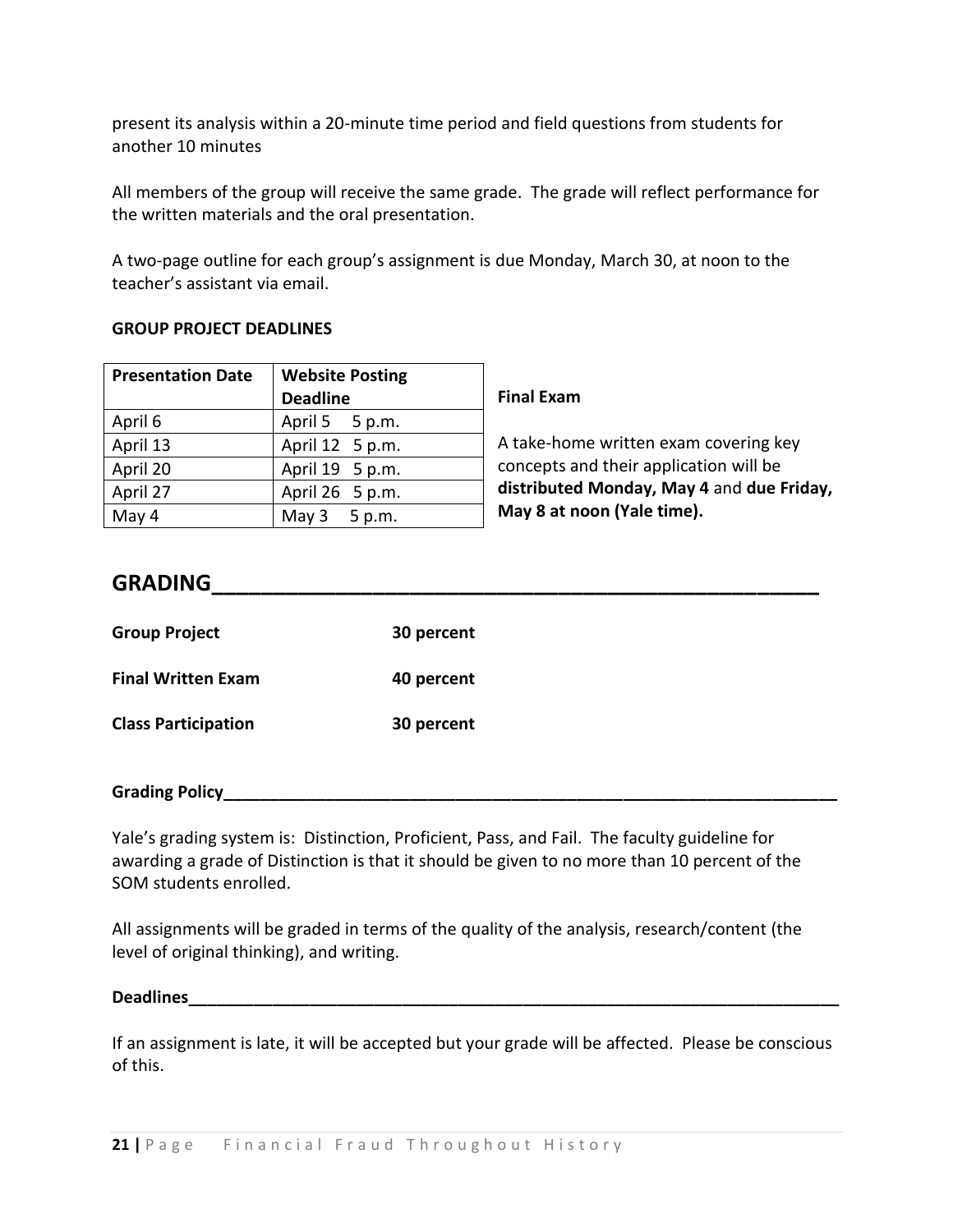present its analysis within a 20-minute time period and field questions from students for another 10 minutes

All members of the group will receive the same grade. The grade will reflect performance for the written materials and the oral presentation.

A two-page outline for each group's assignment is due Monday, March 30, at noon to the teacher's assistant via email.

## **GROUP PROJECT DEADLINES**

| <b>Presentation Date</b> | <b>Website Posting</b> |
|--------------------------|------------------------|
|                          | <b>Deadline</b>        |
| April 6                  | April 5 5 p.m.         |
| April 13                 | April 12 5 p.m.        |
| April 20                 | April 19 5 p.m.        |
| April 27                 | April 26 5 p.m.        |
| May 4                    | May 3 5 p.m.           |

## **Final Exam**

A take-home written exam covering key concepts and their application will be **distributed Monday, May 4** and **due Friday, May 8 at noon (Yale time).**

# **GRADING\_\_\_\_\_\_\_\_\_\_\_\_\_\_\_\_\_\_\_\_\_\_\_\_\_\_\_\_\_\_\_\_\_\_\_\_\_\_\_\_\_\_\_\_\_\_\_\_\_**

| <b>Group Project</b>       | 30 percent |
|----------------------------|------------|
| <b>Final Written Exam</b>  | 40 percent |
| <b>Class Participation</b> | 30 percent |

### **Grading Policy\_\_\_\_\_\_\_\_\_\_\_\_\_\_\_\_\_\_\_\_\_\_\_\_\_\_\_\_\_\_\_\_\_\_\_\_\_\_\_\_\_\_\_\_\_\_\_\_\_\_\_\_\_\_\_\_\_\_\_\_\_\_\_\_\_\_**

Yale's grading system is: Distinction, Proficient, Pass, and Fail. The faculty guideline for awarding a grade of Distinction is that it should be given to no more than 10 percent of the SOM students enrolled.

All assignments will be graded in terms of the quality of the analysis, research/content (the level of original thinking), and writing.

### Deadlines

If an assignment is late, it will be accepted but your grade will be affected. Please be conscious of this.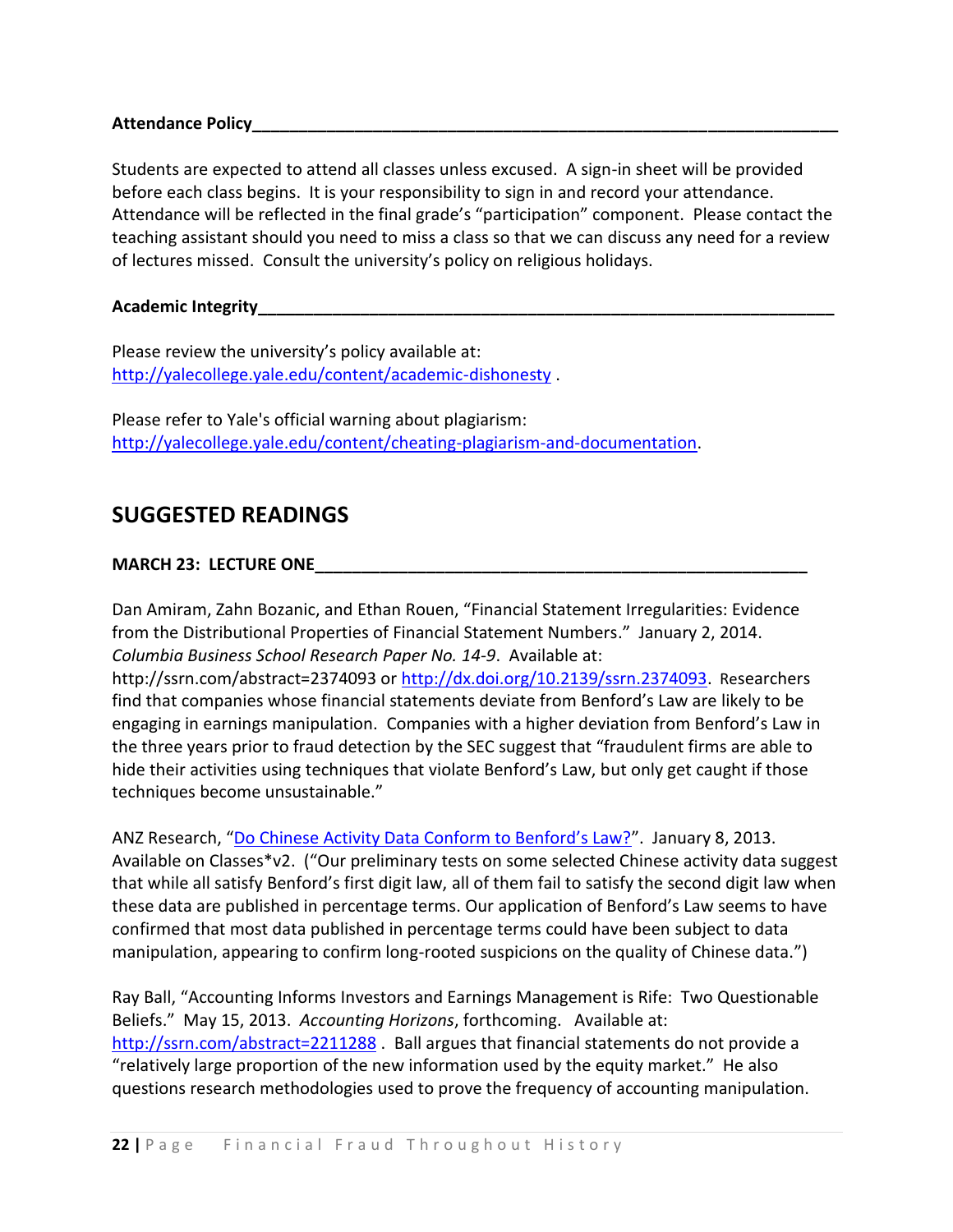**Attendance Policy\_\_\_\_\_\_\_\_\_\_\_\_\_\_\_\_\_\_\_\_\_\_\_\_\_\_\_\_\_\_\_\_\_\_\_\_\_\_\_\_\_\_\_\_\_\_\_\_\_\_\_\_\_\_\_\_\_\_\_\_\_\_\_**

Students are expected to attend all classes unless excused. A sign-in sheet will be provided before each class begins. It is your responsibility to sign in and record your attendance. Attendance will be reflected in the final grade's "participation" component. Please contact the teaching assistant should you need to miss a class so that we can discuss any need for a review of lectures missed. Consult the university's policy on religious holidays.

**Academic Integrity\_\_\_\_\_\_\_\_\_\_\_\_\_\_\_\_\_\_\_\_\_\_\_\_\_\_\_\_\_\_\_\_\_\_\_\_\_\_\_\_\_\_\_\_\_\_\_\_\_\_\_\_\_\_\_\_\_\_\_\_\_\_**

Please review the university's policy available at: <http://yalecollege.yale.edu/content/academic-dishonesty> .

Please refer to Yale's official warning about plagiarism: [http://yalecollege.yale.edu/content/cheating-plagiarism-and-documentation.](http://yalecollege.yale.edu/content/cheating-plagiarism-and-documentation)

# **SUGGESTED READINGS**

## **MARCH 23: LECTURE ONE**

Dan Amiram, Zahn Bozanic, and Ethan Rouen, "Financial Statement Irregularities: Evidence from the Distributional Properties of Financial Statement Numbers." January 2, 2014. *Columbia Business School Research Paper No. 14-9*. Available at: http://ssrn.com/abstract=2374093 or [http://dx.doi.org/10.2139/ssrn.2374093.](http://dx.doi.org/10.2139/ssrn.2374093) Researchers find that companies whose financial statements deviate from Benford's Law are likely to be engaging in earnings manipulation. Companies with a higher deviation from Benford's Law in the three years prior to fraud detection by the SEC suggest that "fraudulent firms are able to hide their activities using techniques that violate Benford's Law, but only get caught if those techniques become unsustainable."

ANZ Research, ["Do Chinese Activity Data Conform to Benford's Law?"](http://resources.library.yale.edu/ereserves/default.asp?class=MGT848B&File=MGT_848B_33.pdf). January 8, 2013. Available on Classes\*v2. ("Our preliminary tests on some selected Chinese activity data suggest that while all satisfy Benford's first digit law, all of them fail to satisfy the second digit law when these data are published in percentage terms. Our application of Benford's Law seems to have confirmed that most data published in percentage terms could have been subject to data manipulation, appearing to confirm long-rooted suspicions on the quality of Chinese data.")

Ray Ball, "Accounting Informs Investors and Earnings Management is Rife: Two Questionable Beliefs." May 15, 2013. *Accounting Horizons*, forthcoming. Available at: <http://ssrn.com/abstract=2211288>. Ball argues that financial statements do not provide a "relatively large proportion of the new information used by the equity market." He also questions research methodologies used to prove the frequency of accounting manipulation.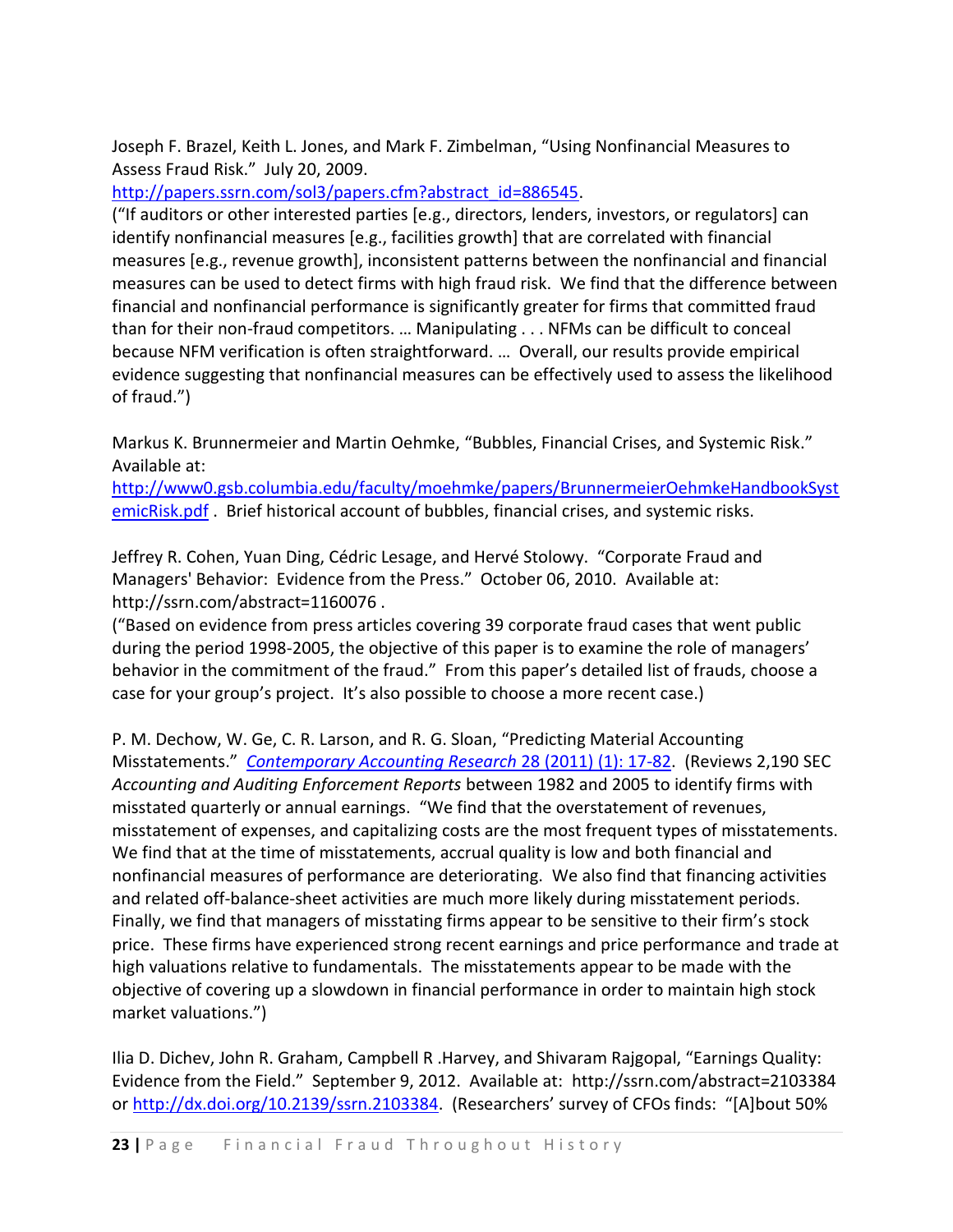Joseph F. Brazel, Keith L. Jones, and Mark F. Zimbelman, "Using Nonfinancial Measures to Assess Fraud Risk." July 20, 2009.

[http://papers.ssrn.com/sol3/papers.cfm?abstract\\_id=886545.](http://papers.ssrn.com/sol3/papers.cfm?abstract_id=886545)

("If auditors or other interested parties [e.g., directors, lenders, investors, or regulators] can identify nonfinancial measures [e.g., facilities growth] that are correlated with financial measures [e.g., revenue growth], inconsistent patterns between the nonfinancial and financial measures can be used to detect firms with high fraud risk. We find that the difference between financial and nonfinancial performance is significantly greater for firms that committed fraud than for their non-fraud competitors. … Manipulating . . . NFMs can be difficult to conceal because NFM verification is often straightforward. … Overall, our results provide empirical evidence suggesting that nonfinancial measures can be effectively used to assess the likelihood of fraud.")

Markus K. Brunnermeier and Martin Oehmke, "Bubbles, Financial Crises, and Systemic Risk." Available at:

[http://www0.gsb.columbia.edu/faculty/moehmke/papers/BrunnermeierOehmkeHandbookSyst](http://www0.gsb.columbia.edu/faculty/moehmke/papers/BrunnermeierOehmkeHandbookSystemicRisk.pdf) [emicRisk.pdf](http://www0.gsb.columbia.edu/faculty/moehmke/papers/BrunnermeierOehmkeHandbookSystemicRisk.pdf) . Brief historical account of bubbles, financial crises, and systemic risks.

Jeffrey R. Cohen, Yuan Ding, Cédric Lesage, and Hervé Stolowy. "Corporate Fraud and Managers' Behavior: Evidence from the Press." October 06, 2010. Available at: http://ssrn.com/abstract=1160076 .

("Based on evidence from press articles covering 39 corporate fraud cases that went public during the period 1998-2005, the objective of this paper is to examine the role of managers' behavior in the commitment of the fraud." From this paper's detailed list of frauds, choose a case for your group's project. It's also possible to choose a more recent case.)

P. M. Dechow, W. Ge, C. R. Larson, and R. G. Sloan, "Predicting Material Accounting Misstatements." *[Contemporary Accounting Research](http://onlinelibrary.wiley.com/doi/10.1111/j.1911-3846.2010.01041.x/pdf)* 28 (2011) (1): 17-82. (Reviews 2,190 SEC *Accounting and Auditing Enforcement Reports* between 1982 and 2005 to identify firms with misstated quarterly or annual earnings. "We find that the overstatement of revenues, misstatement of expenses, and capitalizing costs are the most frequent types of misstatements. We find that at the time of misstatements, accrual quality is low and both financial and nonfinancial measures of performance are deteriorating. We also find that financing activities and related off-balance-sheet activities are much more likely during misstatement periods. Finally, we find that managers of misstating firms appear to be sensitive to their firm's stock price. These firms have experienced strong recent earnings and price performance and trade at high valuations relative to fundamentals. The misstatements appear to be made with the objective of covering up a slowdown in financial performance in order to maintain high stock market valuations.")

Ilia D. Dichev, John R. Graham, Campbell R .Harvey, and Shivaram Rajgopal, "Earnings Quality: Evidence from the Field." September 9, 2012. Available at: http://ssrn.com/abstract=2103384 or [http://dx.doi.org/10.2139/ssrn.2103384.](http://dx.doi.org/10.2139/ssrn.2103384) (Researchers' survey of CFOs finds: "[A]bout 50%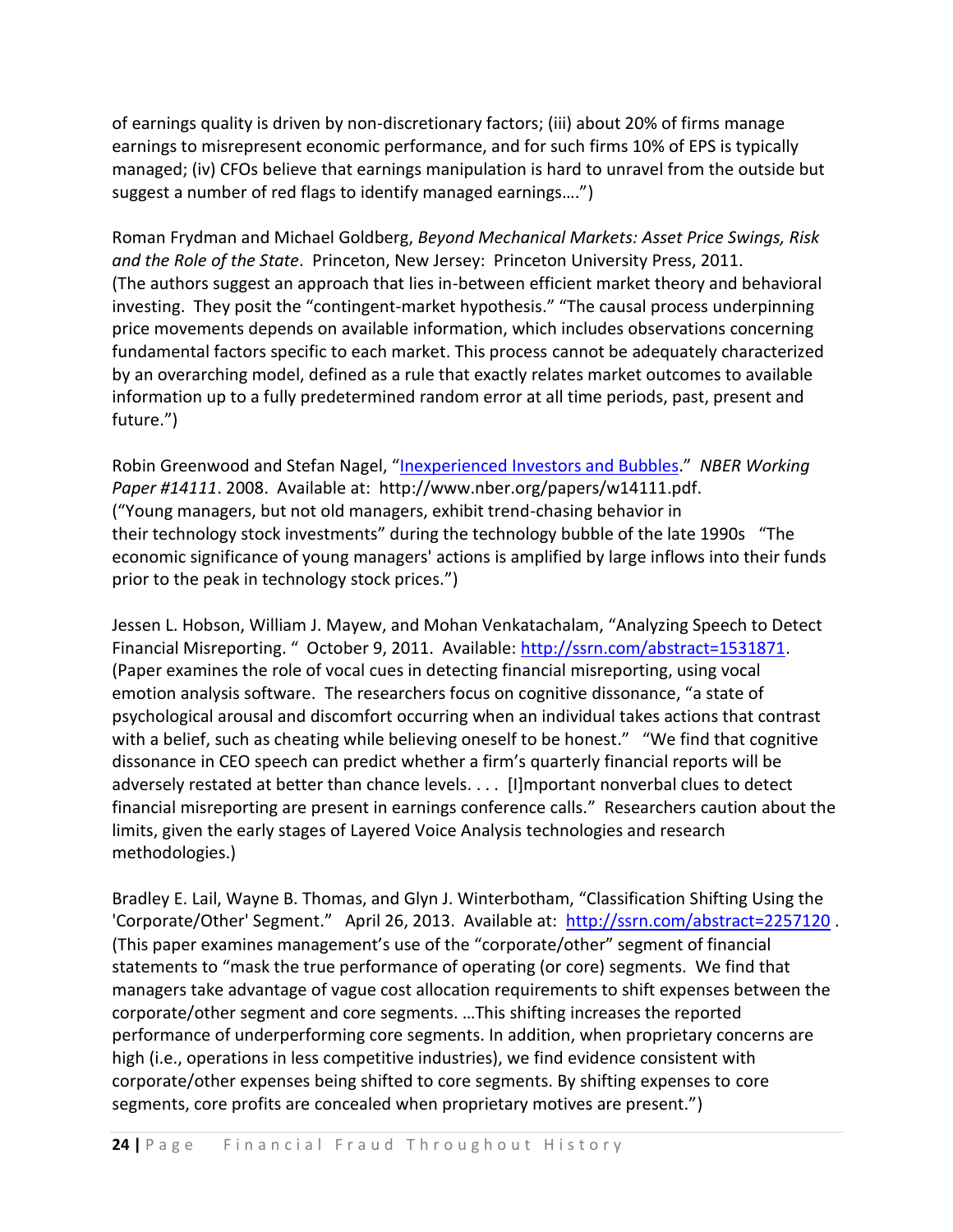of earnings quality is driven by non-discretionary factors; (iii) about 20% of firms manage earnings to misrepresent economic performance, and for such firms 10% of EPS is typically managed; (iv) CFOs believe that earnings manipulation is hard to unravel from the outside but suggest a number of red flags to identify managed earnings….")

Roman Frydman and Michael Goldberg, *Beyond Mechanical Markets: Asset Price Swings, Risk and the Role of the State*. Princeton, New Jersey: Princeton University Press, 2011. (The authors suggest an approach that lies in-between efficient market theory and behavioral investing. They posit the "contingent-market hypothesis." "The causal process underpinning price movements depends on available information, which includes observations concerning fundamental factors specific to each market. This process cannot be adequately characterized by an overarching model, defined as a rule that exactly relates market outcomes to available information up to a fully predetermined random error at all time periods, past, present and future.")

Robin Greenwood and Stefan Nagel, "[Inexperienced Investors and Bubbles](http://www.nber.org/papers/w14111.pdf)." *NBER Working Paper #14111*. 2008. Available at: http://www.nber.org/papers/w14111.pdf. ("Young managers, but not old managers, exhibit trend-chasing behavior in their technology stock investments" during the technology bubble of the late 1990s "The economic significance of young managers' actions is amplified by large inflows into their funds prior to the peak in technology stock prices.")

Jessen L. Hobson, William J. Mayew, and Mohan Venkatachalam, "Analyzing Speech to Detect Financial Misreporting. " October 9, 2011. Available: [http://ssrn.com/abstract=1531871.](http://ssrn.com/abstract=1531871) (Paper examines the role of vocal cues in detecting financial misreporting, using vocal emotion analysis software. The researchers focus on cognitive dissonance, "a state of psychological arousal and discomfort occurring when an individual takes actions that contrast with a belief, such as cheating while believing oneself to be honest." "We find that cognitive dissonance in CEO speech can predict whether a firm's quarterly financial reports will be adversely restated at better than chance levels. . . . [I]mportant nonverbal clues to detect financial misreporting are present in earnings conference calls." Researchers caution about the limits, given the early stages of Layered Voice Analysis technologies and research methodologies.)

Bradley E. Lail, Wayne B. Thomas, and Glyn J. Winterbotham, "Classification Shifting Using the 'Corporate/Other' Segment." April 26, 2013. Available at: <http://ssrn.com/abstract=2257120>. (This paper examines management's use of the "corporate/other" segment of financial statements to "mask the true performance of operating (or core) segments. We find that managers take advantage of vague cost allocation requirements to shift expenses between the corporate/other segment and core segments. …This shifting increases the reported performance of underperforming core segments. In addition, when proprietary concerns are high (i.e., operations in less competitive industries), we find evidence consistent with corporate/other expenses being shifted to core segments. By shifting expenses to core segments, core profits are concealed when proprietary motives are present.")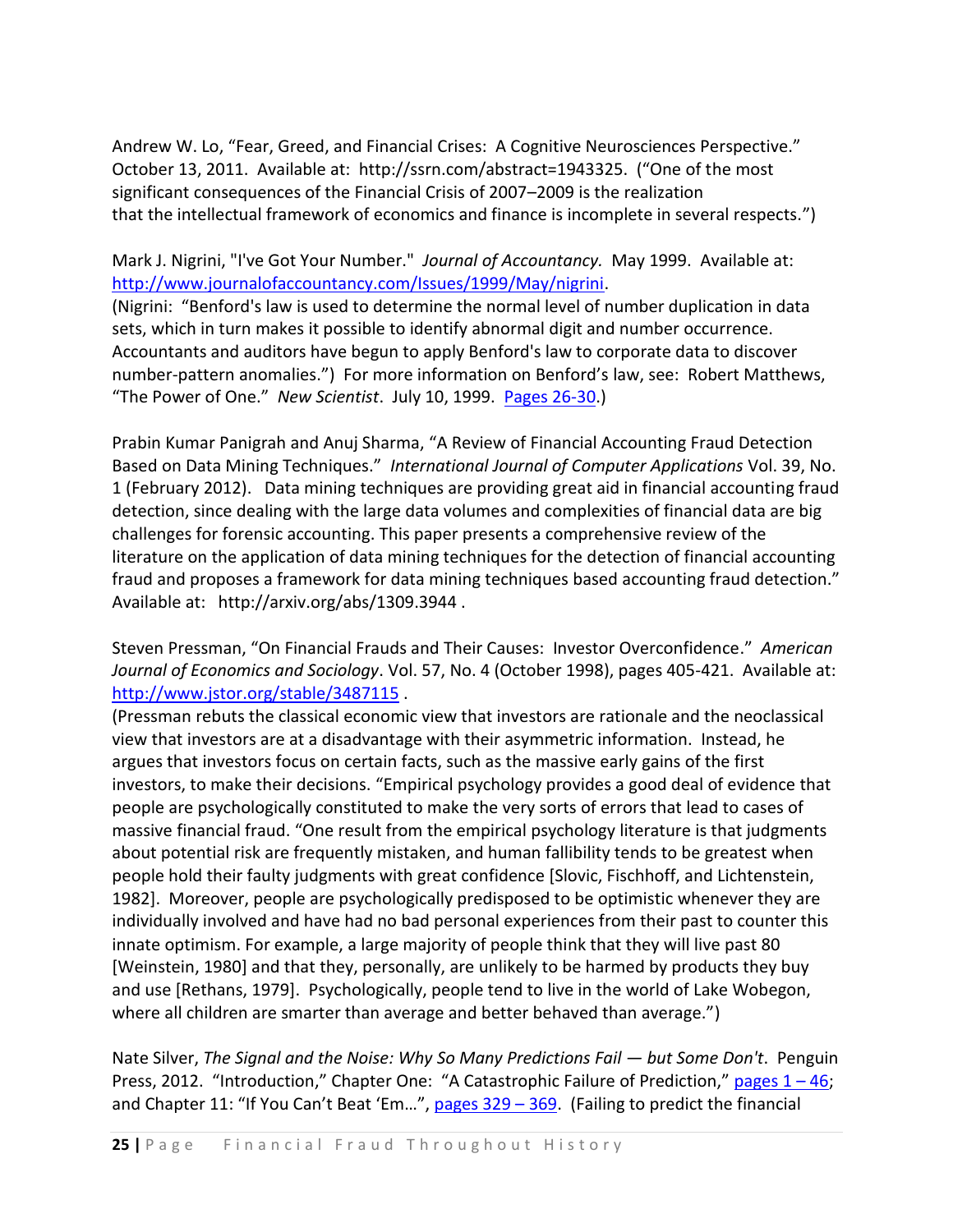Andrew W. Lo, "Fear, Greed, and Financial Crises: A Cognitive Neurosciences Perspective." October 13, 2011. Available at: http://ssrn.com/abstract=1943325. ("One of the most significant consequences of the Financial Crisis of 2007–2009 is the realization that the intellectual framework of economics and finance is incomplete in several respects.")

# Mark J. Nigrini, "I've Got Your Number." *Journal of Accountancy.* May 1999. Available at: [http://www.journalofaccountancy.com/Issues/1999/May/nigrini.](http://www.journalofaccountancy.com/Issues/1999/May/nigrini)

(Nigrini: "Benford's law is used to determine the normal level of number duplication in data sets, which in turn makes it possible to identify abnormal digit and number occurrence. Accountants and auditors have begun to apply Benford's law to corporate data to discover number-pattern anomalies.") For more information on Benford's law, see: Robert Matthews, "The Power of One." *New Scientist*. July 10, 1999. [Pages 26-30.](http://www.lexisnexis.com/lnacui2api/api/version1/getDocCui?lni=3WXM-7CR0-0025-80WK&csi=164760&hl=t&hv=t&hnsd=f&hns=t&hgn=t&oc=00240&perma=true))

Prabin Kumar Panigrah and Anuj Sharma, "A Review of Financial Accounting Fraud Detection Based on Data Mining Techniques." *International Journal of Computer Applications* Vol. 39, No. 1 (February 2012). Data mining techniques are providing great aid in financial accounting fraud detection, since dealing with the large data volumes and complexities of financial data are big challenges for forensic accounting. This paper presents a comprehensive review of the literature on the application of data mining techniques for the detection of financial accounting fraud and proposes a framework for data mining techniques based accounting fraud detection." Available at: http://arxiv.org/abs/1309.3944 .

Steven Pressman, "On Financial Frauds and Their Causes: Investor Overconfidence." *American Journal of Economics and Sociology*. Vol. 57, No. 4 (October 1998), pages 405-421. Available at: <http://www.jstor.org/stable/3487115> .

(Pressman rebuts the classical economic view that investors are rationale and the neoclassical view that investors are at a disadvantage with their asymmetric information. Instead, he argues that investors focus on certain facts, such as the massive early gains of the first investors, to make their decisions. "Empirical psychology provides a good deal of evidence that people are psychologically constituted to make the very sorts of errors that lead to cases of massive financial fraud. "One result from the empirical psychology literature is that judgments about potential risk are frequently mistaken, and human fallibility tends to be greatest when people hold their faulty judgments with great confidence [Slovic, Fischhoff, and Lichtenstein, 1982]. Moreover, people are psychologically predisposed to be optimistic whenever they are individually involved and have had no bad personal experiences from their past to counter this innate optimism. For example, a large majority of people think that they will live past 80 [Weinstein, 1980] and that they, personally, are unlikely to be harmed by products they buy and use [Rethans, 1979]. Psychologically, people tend to live in the world of Lake Wobegon, where all children are smarter than average and better behaved than average.")

Nate Silver, *The Signal and the Noise: Why So Many Predictions Fail — but Some Don't*. Penguin Press, 2012. "Introduction," Chapter One: "A Catastrophic Failure of Prediction," [pages 1](http://resources.library.yale.edu/ereserves/default.asp?class=MGT848B&File=MGT_848B_3.pdf) – 46; and Chapter 11: "If You Can't Beat 'Em...", pages  $329 - 369$ . (Failing to predict the financial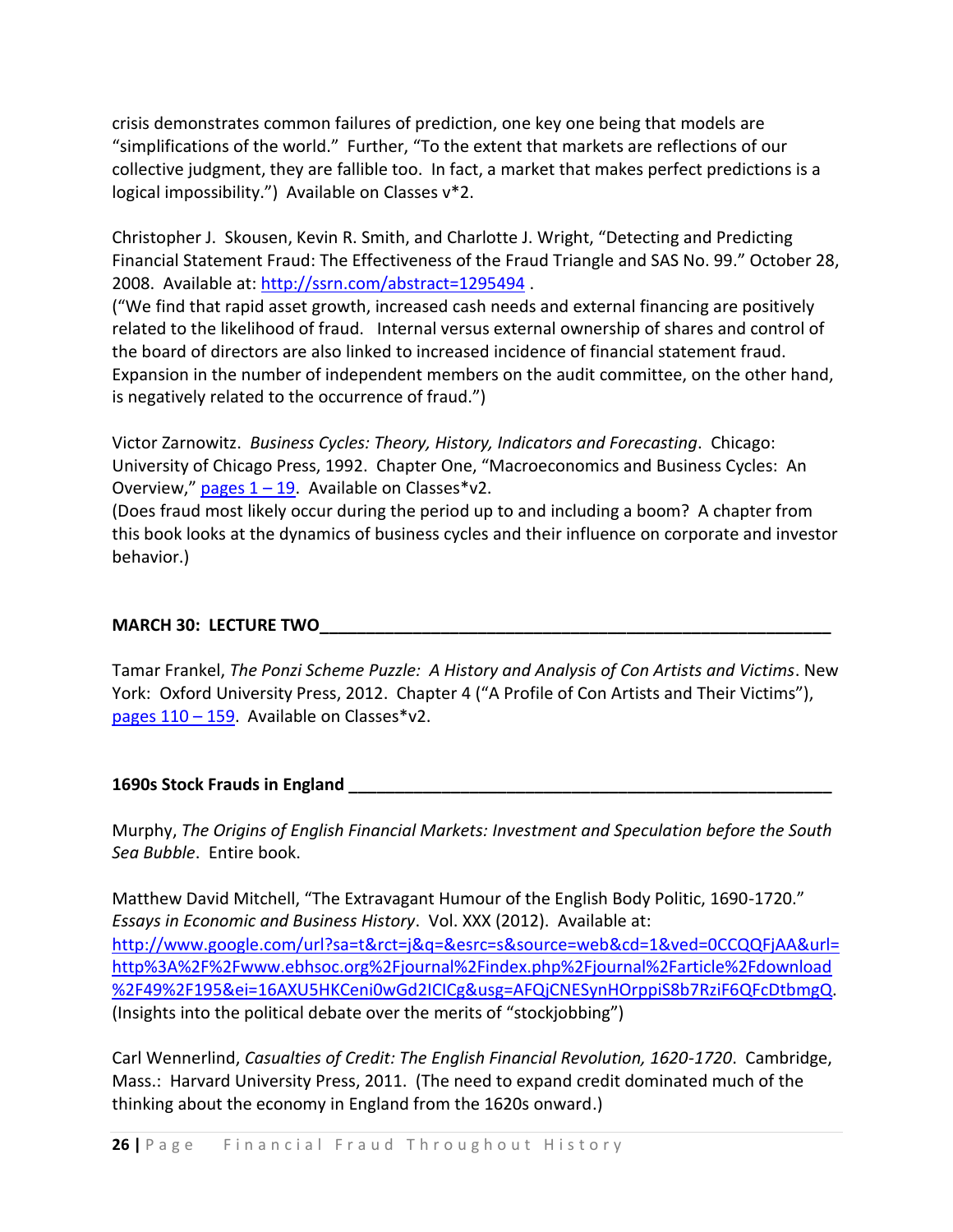crisis demonstrates common failures of prediction, one key one being that models are "simplifications of the world." Further, "To the extent that markets are reflections of our collective judgment, they are fallible too. In fact, a market that makes perfect predictions is a logical impossibility.") Available on Classes v\*2.

Christopher J. Skousen, Kevin R. Smith, and Charlotte J. Wright, "Detecting and Predicting Financial Statement Fraud: The Effectiveness of the Fraud Triangle and SAS No. 99." October 28, 2008. Available at:<http://ssrn.com/abstract=1295494> .

("We find that rapid asset growth, increased cash needs and external financing are positively related to the likelihood of fraud. Internal versus external ownership of shares and control of the board of directors are also linked to increased incidence of financial statement fraud. Expansion in the number of independent members on the audit committee, on the other hand, is negatively related to the occurrence of fraud.")

Victor Zarnowitz. *Business Cycles: Theory, History, Indicators and Forecasting*. Chicago: University of Chicago Press, 1992. Chapter One, "Macroeconomics and Business Cycles: An Overview," pages  $1 - 19$ . Available on Classes\*v2.

(Does fraud most likely occur during the period up to and including a boom? A chapter from this book looks at the dynamics of business cycles and their influence on corporate and investor behavior.)

## **MARCH 30: LECTURE TWO**

Tamar Frankel, *The Ponzi Scheme Puzzle: A History and Analysis of Con Artists and Victims*. New York: Oxford University Press, 2012. Chapter 4 ("A Profile of Con Artists and Their Victims"), pages  $110 - 159$ . Available on Classes\*v2.

### **1690s Stock Frauds in England \_\_\_\_\_\_\_\_\_\_\_\_\_\_\_\_\_\_\_\_\_\_\_\_\_\_\_\_\_\_\_\_\_\_\_\_\_\_\_\_\_\_\_\_\_\_\_\_\_\_\_\_**

Murphy, *The Origins of English Financial Markets: Investment and Speculation before the South Sea Bubble*. Entire book.

Matthew David Mitchell, "The Extravagant Humour of the English Body Politic, 1690-1720." *Essays in Economic and Business History*. Vol. XXX (2012). Available at: [http://www.google.com/url?sa=t&rct=j&q=&esrc=s&source=web&cd=1&ved=0CCQQFjAA&url=](http://www.google.com/url?sa=t&rct=j&q=&esrc=s&source=web&cd=1&ved=0CCQQFjAA&url=http%3A%2F%2Fwww.ebhsoc.org%2Fjournal%2Findex.php%2Fjournal%2Farticle%2Fdownload%2F49%2F195&ei=16AXU5HKCeni0wGd2ICICg&usg=AFQjCNESynHOrppiS8b7RziF6QFcDtbmgQ) [http%3A%2F%2Fwww.ebhsoc.org%2Fjournal%2Findex.php%2Fjournal%2Farticle%2Fdownload](http://www.google.com/url?sa=t&rct=j&q=&esrc=s&source=web&cd=1&ved=0CCQQFjAA&url=http%3A%2F%2Fwww.ebhsoc.org%2Fjournal%2Findex.php%2Fjournal%2Farticle%2Fdownload%2F49%2F195&ei=16AXU5HKCeni0wGd2ICICg&usg=AFQjCNESynHOrppiS8b7RziF6QFcDtbmgQ) [%2F49%2F195&ei=16AXU5HKCeni0wGd2ICICg&usg=AFQjCNESynHOrppiS8b7RziF6QFcDtbmgQ.](http://www.google.com/url?sa=t&rct=j&q=&esrc=s&source=web&cd=1&ved=0CCQQFjAA&url=http%3A%2F%2Fwww.ebhsoc.org%2Fjournal%2Findex.php%2Fjournal%2Farticle%2Fdownload%2F49%2F195&ei=16AXU5HKCeni0wGd2ICICg&usg=AFQjCNESynHOrppiS8b7RziF6QFcDtbmgQ) (Insights into the political debate over the merits of "stockjobbing")

Carl Wennerlind, *Casualties of Credit: The English Financial Revolution, 1620-1720*. Cambridge, Mass.: Harvard University Press, 2011. (The need to expand credit dominated much of the thinking about the economy in England from the 1620s onward.)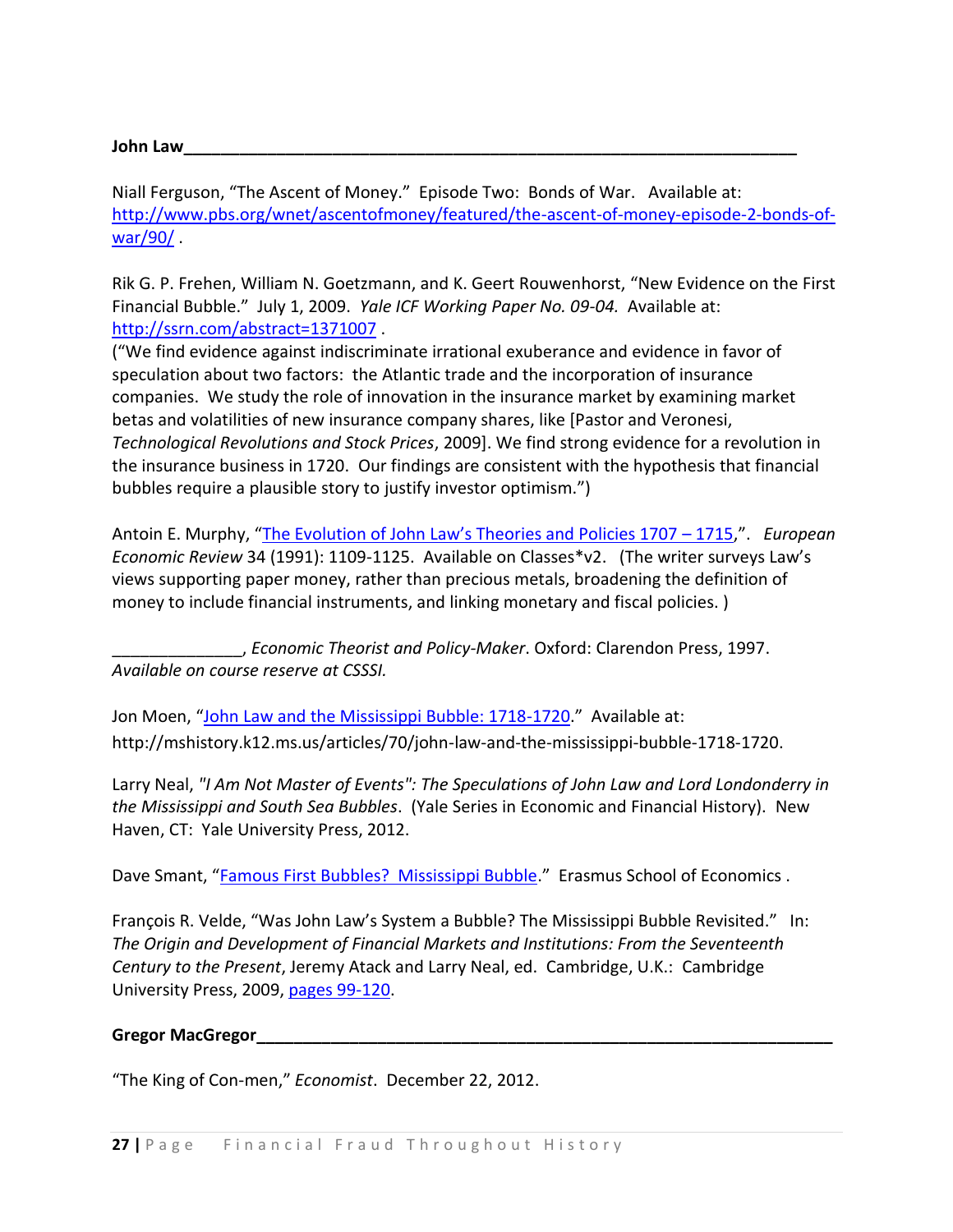### **John Law\_\_\_\_\_\_\_\_\_\_\_\_\_\_\_\_\_\_\_\_\_\_\_\_\_\_\_\_\_\_\_\_\_\_\_\_\_\_\_\_\_\_\_\_\_\_\_\_\_\_\_\_\_\_\_\_\_\_\_\_\_\_\_\_\_\_**

Niall Ferguson, "The Ascent of Money." Episode Two: Bonds of War. Available at: [http://www.pbs.org/wnet/ascentofmoney/featured/the-ascent-of-money-episode-2-bonds-of](http://www.pbs.org/wnet/ascentofmoney/featured/the-ascent-of-money-episode-2-bonds-of-war/90/)[war/90/](http://www.pbs.org/wnet/ascentofmoney/featured/the-ascent-of-money-episode-2-bonds-of-war/90/) .

Rik G. P. Frehen, William N. Goetzmann, and K. Geert Rouwenhorst, "New Evidence on the First Financial Bubble." July 1, 2009. *Yale ICF Working Paper No. 09-04.* Available at: <http://ssrn.com/abstract=1371007> .

("We find evidence against indiscriminate irrational exuberance and evidence in favor of speculation about two factors: the Atlantic trade and the incorporation of insurance companies. We study the role of innovation in the insurance market by examining market betas and volatilities of new insurance company shares, like [Pastor and Veronesi, *Technological Revolutions and Stock Prices*, 2009]. We find strong evidence for a revolution in the insurance business in 1720. Our findings are consistent with the hypothesis that financial bubbles require a plausible story to justify investor optimism.")

Antoin E. Murphy, ["The Evolution of John Law's Theories and Policies 1707 –](http://dx.doi.org/10.1016/0014-2921(91)90008-7) 1715,". *European Economic Review* 34 (1991): 1109-1125. Available on Classes\*v2. (The writer surveys Law's views supporting paper money, rather than precious metals, broadening the definition of money to include financial instruments, and linking monetary and fiscal policies. )

\_\_\_\_\_\_\_\_\_\_\_\_\_\_, *Economic Theorist and Policy-Maker*. Oxford: Clarendon Press, 1997. *Available on course reserve at CSSSI.*

Jon Moen, "[John Law and the Mississippi Bubble: 1718-1720](http://mshistory.k12.ms.us/articles/70/john-law-and-the-mississippi-bubble-1718-1720)." Available at: http://mshistory.k12.ms.us/articles/70/john-law-and-the-mississippi-bubble-1718-1720.

Larry Neal, *"I Am Not Master of Events": The Speculations of John Law and Lord Londonderry in the Mississippi and South Sea Bubbles*. (Yale Series in Economic and Financial History). New Haven, CT: Yale University Press, 2012.

Dave Smant, "[Famous First Bubbles? Mississippi Bubble](https://sites.google.com/site/davesmant/monetary-economics/famous-first-bubbles/mississippi-bubble)." Erasmus School of Economics .

François R. Velde, "Was John Law's System a Bubble? The Mississippi Bubble Revisited." In: *The Origin and Development of Financial Markets and Institutions: From the Seventeenth Century to the Present*, Jeremy Atack and Larry Neal, ed. Cambridge, U.K.: Cambridge University Press, 2009, [pages 99-120.](http://resources.library.yale.edu/ereserves/default.asp?class=MGT848B&File=MGT_848B_11.pdf)

#### Gregor MacGregor

"The King of Con-men," *Economist*. December 22, 2012.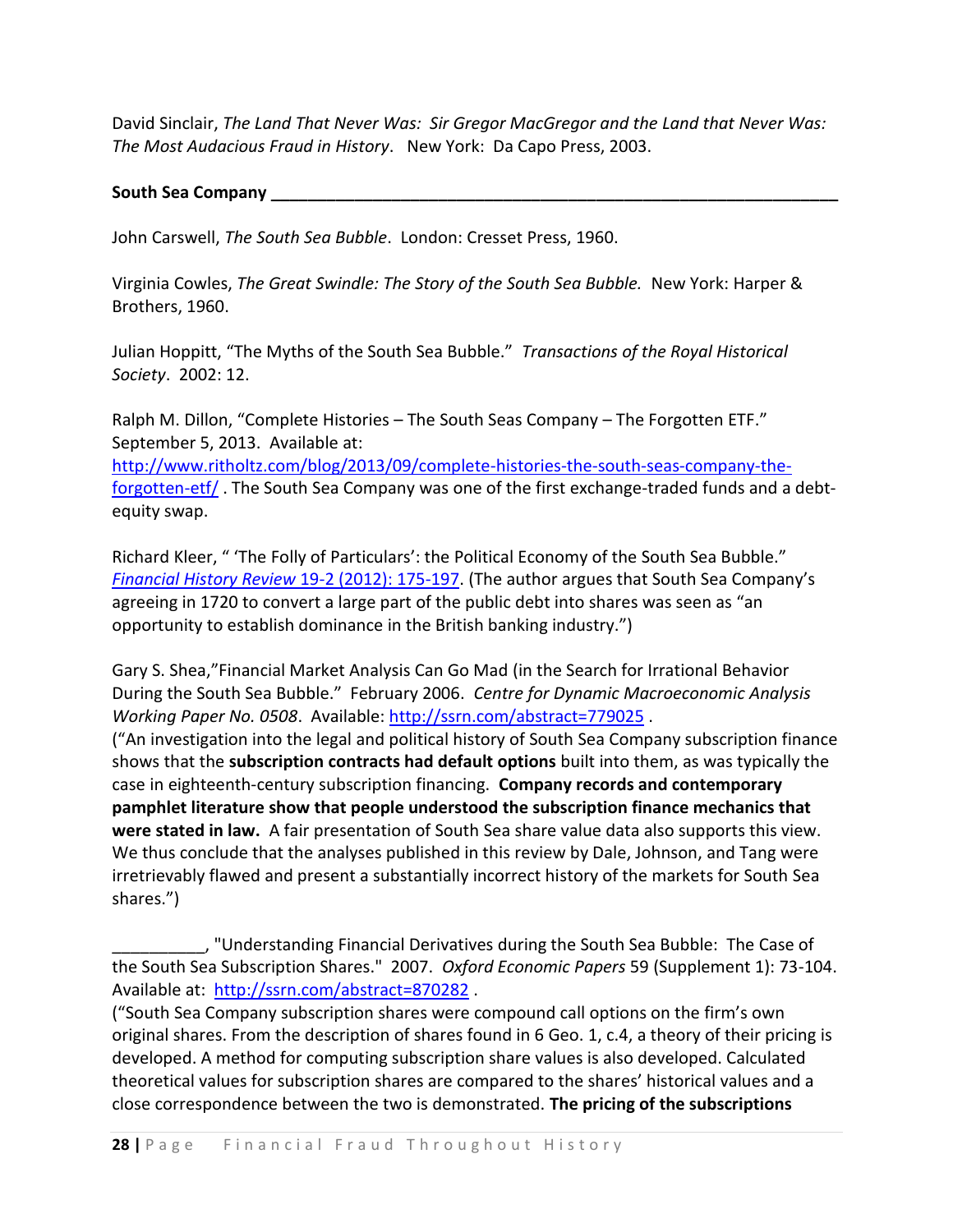David Sinclair, *The Land That Never Was: Sir Gregor MacGregor and the Land that Never Was: The Most Audacious Fraud in History*. New York: Da Capo Press, 2003.

#### **South Sea Company \_\_\_\_\_\_\_\_\_\_\_\_\_\_\_\_\_\_\_\_\_\_\_\_\_\_\_\_\_\_\_\_\_\_\_\_\_\_\_\_\_\_\_\_\_\_\_\_\_\_\_\_\_\_\_\_\_\_\_\_\_**

John Carswell, *The South Sea Bubble*. London: Cresset Press, 1960.

Virginia Cowles, *The Great Swindle: The Story of the South Sea Bubble.* New York: Harper & Brothers, 1960.

Julian Hoppitt, "The Myths of the South Sea Bubble." *Transactions of the Royal Historical Society*. 2002: 12.

Ralph M. Dillon, "Complete Histories – The South Seas Company – The Forgotten ETF." September 5, 2013. Available at: [http://www.ritholtz.com/blog/2013/09/complete-histories-the-south-seas-company-the](http://www.ritholtz.com/blog/2013/09/complete-histories-the-south-seas-company-the-forgotten-etf/)[forgotten-etf/](http://www.ritholtz.com/blog/2013/09/complete-histories-the-south-seas-company-the-forgotten-etf/) . The South Sea Company was one of the first exchange-traded funds and a debtequity swap.

Richard Kleer, " 'The Folly of Particulars': the Political Economy of the South Sea Bubble." *[Financial History Review](http://journals.cambridge.org/action/displayAbstract?fromPage=online&aid=8626453&fulltextType=RA&fileId=S0968565012000078)* 19-2 (2012): 175-197. (The author argues that South Sea Company's agreeing in 1720 to convert a large part of the public debt into shares was seen as "an opportunity to establish dominance in the British banking industry.")

Gary S. Shea,"Financial Market Analysis Can Go Mad (in the Search for Irrational Behavior During the South Sea Bubble." February 2006. *Centre for Dynamic Macroeconomic Analysis Working Paper No. 0508*. Available:<http://ssrn.com/abstract=779025> . ("An investigation into the legal and political history of South Sea Company subscription finance shows that the **subscription contracts had default options** built into them, as was typically the case in eighteenth-century subscription financing. **Company records and contemporary pamphlet literature show that people understood the subscription finance mechanics that were stated in law.** A fair presentation of South Sea share value data also supports this view. We thus conclude that the analyses published in this review by Dale, Johnson, and Tang were irretrievably flawed and present a substantially incorrect history of the markets for South Sea shares.")

\_\_\_\_\_\_\_\_\_\_, "Understanding Financial Derivatives during the South Sea Bubble: The Case of the South Sea Subscription Shares." 2007. *Oxford Economic Papers* 59 (Supplement 1): 73-104. Available at: <http://ssrn.com/abstract=870282> .

("South Sea Company subscription shares were compound call options on the firm's own original shares. From the description of shares found in 6 Geo. 1, c.4, a theory of their pricing is developed. A method for computing subscription share values is also developed. Calculated theoretical values for subscription shares are compared to the shares' historical values and a close correspondence between the two is demonstrated. **The pricing of the subscriptions**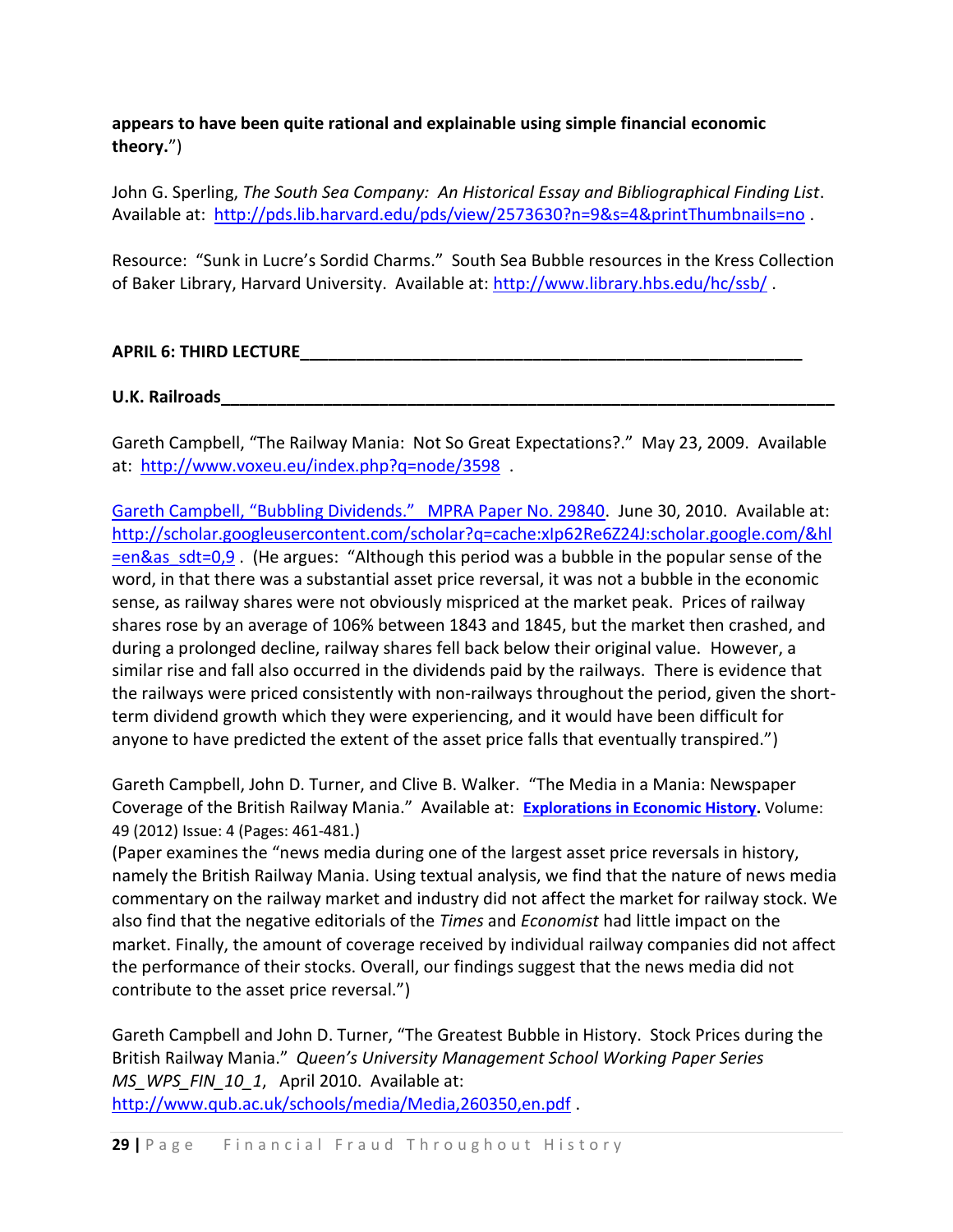# **appears to have been quite rational and explainable using simple financial economic theory.**")

John G. Sperling, *The South Sea Company: An Historical Essay and Bibliographical Finding List*. Available at: <http://pds.lib.harvard.edu/pds/view/2573630?n=9&s=4&printThumbnails=no> .

Resource: "Sunk in Lucre's Sordid Charms." South Sea Bubble resources in the Kress Collection of Baker Library, Harvard University. Available at:<http://www.library.hbs.edu/hc/ssb/> .

## **APRIL 6: THIRD LECTURE\_\_\_\_\_\_\_\_\_\_\_\_\_\_\_\_\_\_\_\_\_\_\_\_\_\_\_\_\_\_\_\_\_\_\_\_\_\_\_\_\_\_\_\_\_\_\_\_\_\_\_\_\_\_**

**U.K. Railroads\_\_\_\_\_\_\_\_\_\_\_\_\_\_\_\_\_\_\_\_\_\_\_\_\_\_\_\_\_\_\_\_\_\_\_\_\_\_\_\_\_\_\_\_\_\_\_\_\_\_\_\_\_\_\_\_\_\_\_\_\_\_\_\_\_\_**

Gareth Campbell, "The Railway Mania: Not So Great Expectations?." May 23, 2009. Available at: <http://www.voxeu.eu/index.php?q=node/3598>.

[Gareth Campbell, "Bubbling Dividends." MPRA Paper No. 29840](http://ideas.repec.org/p/pra/mprapa/21821.html). June 30, 2010. Available at: [http://scholar.googleusercontent.com/scholar?q=cache:xIp62Re6Z24J:scholar.google.com/&hl](http://scholar.googleusercontent.com/scholar?q=cache:xIp62Re6Z24J:scholar.google.com/&hl=en&as_sdt=0,9) [=en&as\\_sdt=0,9](http://scholar.googleusercontent.com/scholar?q=cache:xIp62Re6Z24J:scholar.google.com/&hl=en&as_sdt=0,9) . (He argues: "Although this period was a bubble in the popular sense of the word, in that there was a substantial asset price reversal, it was not a bubble in the economic sense, as railway shares were not obviously mispriced at the market peak. Prices of railway shares rose by an average of 106% between 1843 and 1845, but the market then crashed, and during a prolonged decline, railway shares fell back below their original value. However, a similar rise and fall also occurred in the dividends paid by the railways. There is evidence that the railways were priced consistently with non-railways throughout the period, given the shortterm dividend growth which they were experiencing, and it would have been difficult for anyone to have predicted the extent of the asset price falls that eventually transpired.")

Gareth Campbell, John D. Turner, and Clive B. Walker. "The Media in a Mania: Newspaper Coverage of the British Railway Mania." Available at: **[Explorations in Economic History.](http://ideas.repec.org/s/eee/exehis.html)** Volume: 49 (2012) Issue: 4 (Pages: 461-481.)

(Paper examines the "news media during one of the largest asset price reversals in history, namely the British Railway Mania. Using textual analysis, we find that the nature of news media commentary on the railway market and industry did not affect the market for railway stock. We also find that the negative editorials of the *Times* and *Economist* had little impact on the market. Finally, the amount of coverage received by individual railway companies did not affect the performance of their stocks. Overall, our findings suggest that the news media did not contribute to the asset price reversal.")

Gareth Campbell and John D. Turner, "The Greatest Bubble in History. Stock Prices during the British Railway Mania." *Queen's University Management School Working Paper Series MS\_WPS\_FIN\_10\_1*, April 2010. Available at: <http://www.qub.ac.uk/schools/media/Media,260350,en.pdf> .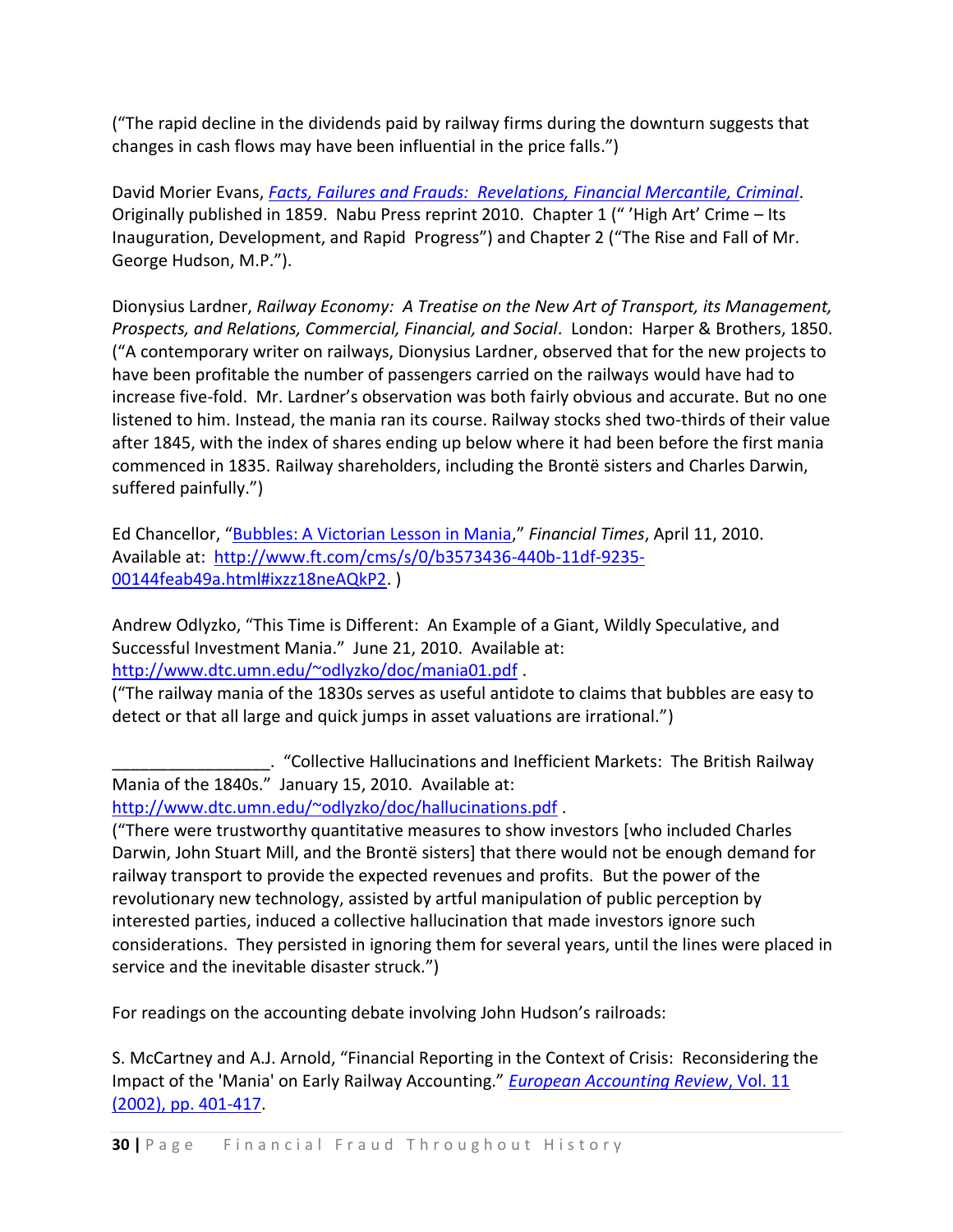("The rapid decline in the dividends paid by railway firms during the downturn suggests that changes in cash flows may have been influential in the price falls.")

David Morier Evans, *[Facts, Failures and Frauds: Revelations, Financial Mercantile, Criminal](http://galenet.galegroup.com/servlet/MOML?dd=0&af=RN&locID=29002&srchtp=a&c=1&ste=11&d4=0.33&stp=Author&dc=flc&docNum=F104378636&ae=F104378636&tiPG=1&an=19005465200)*. Originally published in 1859. Nabu Press reprint 2010. Chapter 1 (" 'High Art' Crime – Its Inauguration, Development, and Rapid Progress") and Chapter 2 ("The Rise and Fall of Mr. George Hudson, M.P.").

Dionysius Lardner, *Railway Economy: A Treatise on the New Art of Transport, its Management, Prospects, and Relations, Commercial, Financial, and Social*. London: Harper & Brothers, 1850. ("A contemporary writer on railways, Dionysius Lardner, observed that for the new projects to have been profitable the number of passengers carried on the railways would have had to increase five-fold. Mr. Lardner's observation was both fairly obvious and accurate. But no one listened to him. Instead, the mania ran its course. Railway stocks shed two-thirds of their value after 1845, with the index of shares ending up below where it had been before the first mania commenced in 1835. Railway shareholders, including the Brontë sisters and Charles Darwin, suffered painfully.")

Ed Chancellor, "[Bubbles: A Victorian Lesson in Mania](http://search.proquest.com/docview/229286072/fulltext/13C1A987B342C102CEB/1?accountid=15172)," *Financial Times*, April 11, 2010. Available at: [http://www.ft.com/cms/s/0/b3573436-440b-11df-9235-](http://www.ft.com/cms/s/0/b3573436-440b-11df-9235-00144feab49a.html#ixzz18neAQkP2) [00144feab49a.html#ixzz18neAQkP2.](http://www.ft.com/cms/s/0/b3573436-440b-11df-9235-00144feab49a.html#ixzz18neAQkP2) )

Andrew Odlyzko, "This Time is Different: An Example of a Giant, Wildly Speculative, and Successful Investment Mania." June 21, 2010. Available at: <http://www.dtc.umn.edu/~odlyzko/doc/mania01.pdf> .

("The railway mania of the 1830s serves as useful antidote to claims that bubbles are easy to detect or that all large and quick jumps in asset valuations are irrational.")

\_\_\_\_\_\_\_\_\_\_\_\_\_\_\_\_\_. "Collective Hallucinations and Inefficient Markets: The British Railway Mania of the 1840s." January 15, 2010. Available at:

<http://www.dtc.umn.edu/~odlyzko/doc/hallucinations.pdf> .

("There were trustworthy quantitative measures to show investors [who included Charles Darwin, John Stuart Mill, and the Brontë sisters] that there would not be enough demand for railway transport to provide the expected revenues and profits. But the power of the revolutionary new technology, assisted by artful manipulation of public perception by interested parties, induced a collective hallucination that made investors ignore such considerations. They persisted in ignoring them for several years, until the lines were placed in service and the inevitable disaster struck.")

For readings on the accounting debate involving John Hudson's railroads:

S. McCartney and A.J. Arnold, "Financial Reporting in the Context of Crisis: Reconsidering the Impact of the 'Mania' on Early Railway Accounting." *[European Accounting Review](http://www.tandfonline.com/doi/abs/10.1080/09638180220145687)*, Vol. 11 [\(2002\), pp. 401-417.](http://www.tandfonline.com/doi/abs/10.1080/09638180220145687)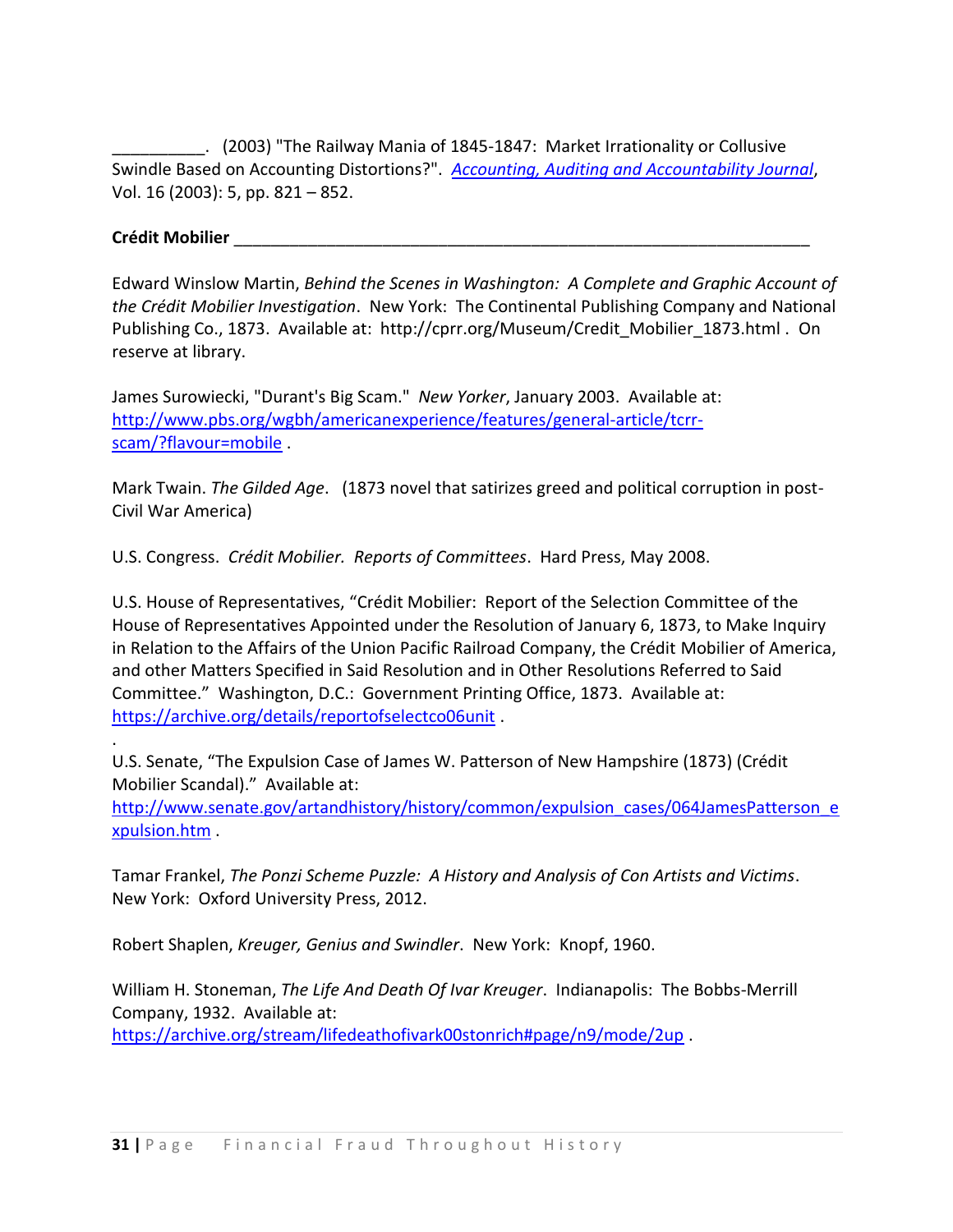\_\_\_\_\_\_\_\_\_\_. (2003) "The Railway Mania of 1845-1847: Market Irrationality or Collusive Swindle Based on Accounting Distortions?". *[Accounting, Auditing and Accountability Journal](http://search.proquest.com/docview/211253637/13C455504E16B7F1F2F/6?accountid=15172)*, Vol. 16 (2003): 5, pp. 821 – 852.

#### **Crédit Mobilier** \_\_\_\_\_\_\_\_\_\_\_\_\_\_\_\_\_\_\_\_\_\_\_\_\_\_\_\_\_\_\_\_\_\_\_\_\_\_\_\_\_\_\_\_\_\_\_\_\_\_\_\_\_\_\_\_\_\_\_\_\_\_

.

Edward Winslow Martin, *Behind the Scenes in Washington: A Complete and Graphic Account of the Crédit Mobilier Investigation*. New York: The Continental Publishing Company and National Publishing Co., 1873. Available at: http://cprr.org/Museum/Credit\_Mobilier\_1873.html . On reserve at library.

James Surowiecki, "Durant's Big Scam." *New Yorker*, January 2003. Available at: [http://www.pbs.org/wgbh/americanexperience/features/general-article/tcrr](http://www.pbs.org/wgbh/americanexperience/features/general-article/tcrr-scam/?flavour=mobile)[scam/?flavour=mobile](http://www.pbs.org/wgbh/americanexperience/features/general-article/tcrr-scam/?flavour=mobile) .

Mark Twain. *The Gilded Age*. (1873 novel that satirizes greed and political corruption in post-Civil War America)

U.S. Congress. *Crédit Mobilier. Reports of Committees*. Hard Press, May 2008.

U.S. House of Representatives, "Crédit Mobilier: Report of the Selection Committee of the House of Representatives Appointed under the Resolution of January 6, 1873, to Make Inquiry in Relation to the Affairs of the Union Pacific Railroad Company, the Crédit Mobilier of America, and other Matters Specified in Said Resolution and in Other Resolutions Referred to Said Committee." Washington, D.C.: Government Printing Office, 1873. Available at: <https://archive.org/details/reportofselectco06unit> .

U.S. Senate, "The Expulsion Case of James W. Patterson of New Hampshire (1873) (Crédit Mobilier Scandal)." Available at:

[http://www.senate.gov/artandhistory/history/common/expulsion\\_cases/064JamesPatterson\\_e](http://www.senate.gov/artandhistory/history/common/expulsion_cases/064JamesPatterson_expulsion.htm) [xpulsion.htm](http://www.senate.gov/artandhistory/history/common/expulsion_cases/064JamesPatterson_expulsion.htm) .

Tamar Frankel, *The Ponzi Scheme Puzzle: A History and Analysis of Con Artists and Victims*. New York: Oxford University Press, 2012.

Robert Shaplen, *Kreuger, Genius and Swindler*. New York: Knopf, 1960.

William H. Stoneman, *The Life And Death Of Ivar Kreuger*. Indianapolis: The Bobbs-Merrill Company, 1932. Available at:

<https://archive.org/stream/lifedeathofivark00stonrich#page/n9/mode/2up> .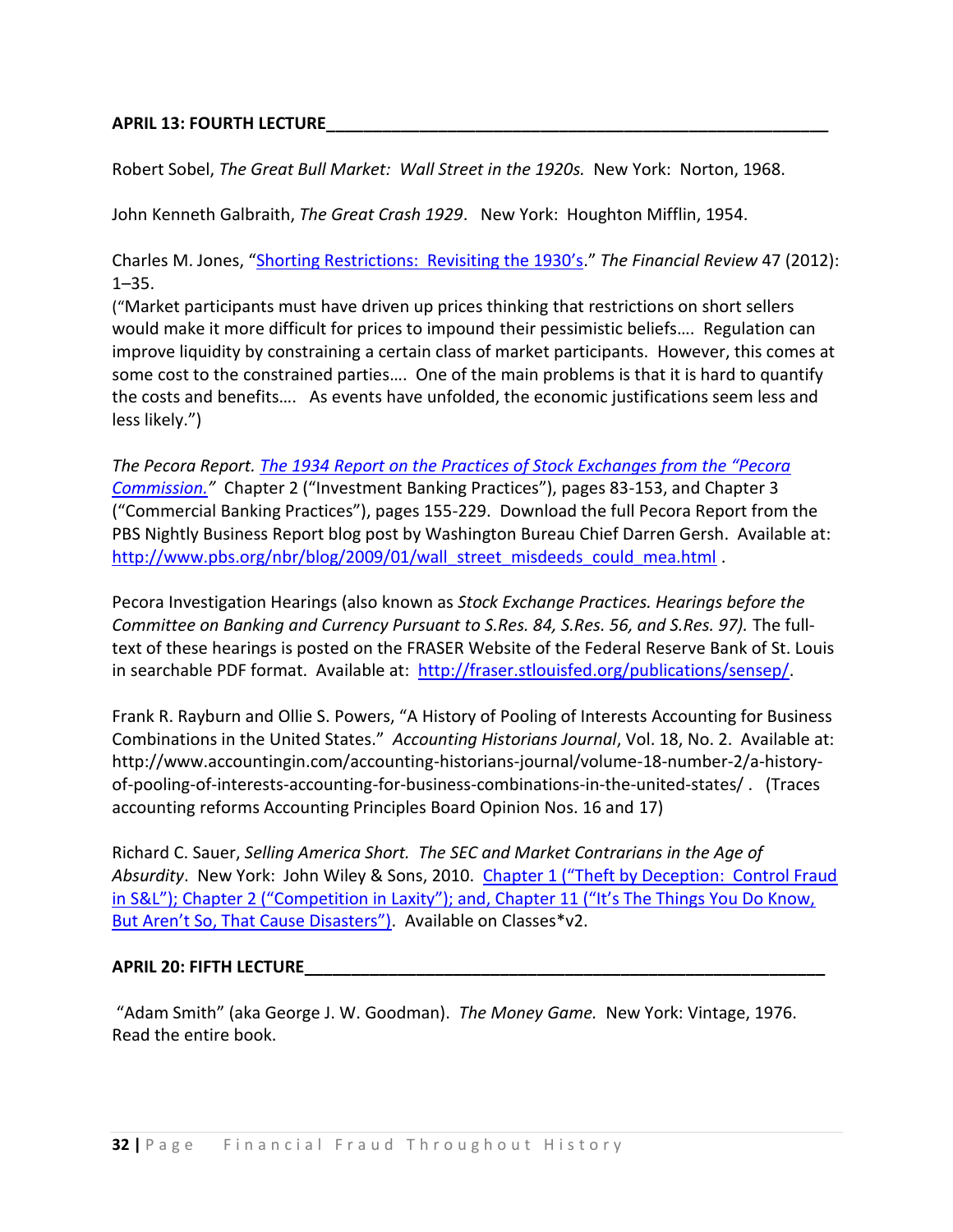### **APRIL 13: FOURTH LECTURE\_\_\_\_\_\_\_\_\_\_\_\_\_\_\_\_\_\_\_\_\_\_\_\_\_\_\_\_\_\_\_\_\_\_\_\_\_\_\_\_\_\_\_\_\_\_\_\_\_\_\_\_\_\_**

Robert Sobel, *The Great Bull Market: Wall Street in the 1920s.* New York: Norton, 1968.

John Kenneth Galbraith, *The Great Crash 1929*. New York: Houghton Mifflin, 1954.

Charles M. Jones, "Shorting Re[strictions: Revisiting the 1930's.](http://search.ebscohost.com/login.aspx?direct=true&db=bth&AN=70117626&site=ehost-live)" *The Financial Review* 47 (2012): 1–35.

("Market participants must have driven up prices thinking that restrictions on short sellers would make it more difficult for prices to impound their pessimistic beliefs…. Regulation can improve liquidity by constraining a certain class of market participants. However, this comes at some cost to the constrained parties…. One of the main problems is that it is hard to quantify the costs and benefits…. As events have unfolded, the economic justifications seem less and less likely.")

*The Pecora Report. [The 1934 Report on the Practices of Stock Exchanges from the "Pecora](http://docs.newsbank.com/select/serialset/11E3FB3AB69B3B98.html)  [Commission.](http://docs.newsbank.com/select/serialset/11E3FB3AB69B3B98.html)"* Chapter 2 ("Investment Banking Practices"), pages 83-153, and Chapter 3 ("Commercial Banking Practices"), pages 155-229. Download the full Pecora Report from the PBS Nightly Business Report blog post by Washington Bureau Chief Darren Gersh. Available at: [http://www.pbs.org/nbr/blog/2009/01/wall\\_street\\_misdeeds\\_could\\_mea.html](http://www.pbs.org/nbr/blog/2009/01/wall_street_misdeeds_could_mea.html) .

[Pecora Investigation Hearings](http://fraser.stlouisfed.org/publications/sensep/) (also known as *Stock Exchange Practices. Hearings before the Committee on Banking and Currency Pursuant to S.Res. 84, S.Res. 56, and S.Res. 97).* The fulltext of these hearings is posted on the FRASER Website of the Federal Reserve Bank of St. Louis in searchable PDF format. Available at: [http://fraser.stlouisfed.org/publications/sensep/.](http://fraser.stlouisfed.org/publications/sensep/)

Frank R. Rayburn and Ollie S. Powers, "A History of Pooling of Interests Accounting for Business Combinations in the United States." *Accounting Historians Journal*, Vol. 18, No. 2. Available at: http://www.accountingin.com/accounting-historians-journal/volume-18-number-2/a-historyof-pooling-of-interests-accounting-for-business-combinations-in-the-united-states/ . (Traces accounting reforms Accounting Principles Board Opinion Nos. 16 and 17)

Richard C. Sauer, *Selling America Short. The SEC and Market Contrarians in the Age of Absurdity*. New York: John Wiley & Sons, 2010. [Chapter 1 \("Theft by Deception: Control Fraud](http://resources.library.yale.edu/ereserves/default.asp?class=MGT848B&File=MGT_848B_18.pdf)  [in S&L"\); Chapter 2 \("Competition in Laxity"\); and, Chapter 11 \("It's The Things You Do Know,](http://resources.library.yale.edu/ereserves/default.asp?class=MGT848B&File=MGT_848B_18.pdf)  [But Aren't So, That Cause Disasters"\)](http://resources.library.yale.edu/ereserves/default.asp?class=MGT848B&File=MGT_848B_18.pdf). Available on Classes\*v2.

### **APRIL 20: FIFTH LECTURE\_\_\_\_\_\_\_\_\_\_\_\_\_\_\_\_\_\_\_\_\_\_\_\_\_\_\_\_\_\_\_\_\_\_\_\_\_\_\_\_\_\_\_\_\_\_\_\_\_\_\_\_\_\_\_\_**

"Adam Smith" (aka George J. W. Goodman). *The Money Game.* New York: Vintage, 1976. Read the entire book.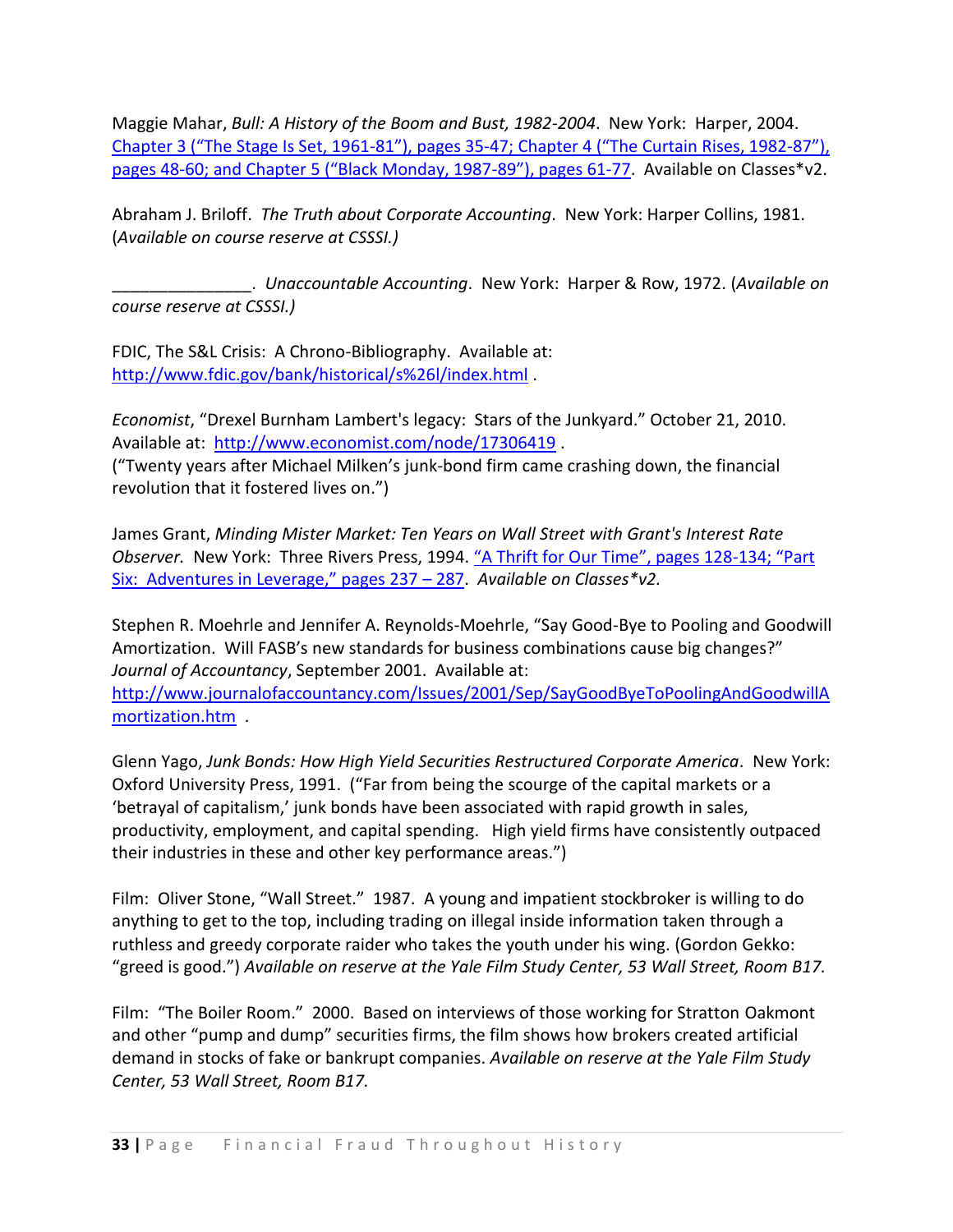Maggie Mahar, *Bull: A History of the Boom and Bust, 1982-2004*. New York: Harper, 2004. Chapter 3 ("The Stage Is Set, 1961-81"), pages 35-[47; Chapter 4 \("The Curtain Rises, 1982](http://resources.library.yale.edu/ereserves/default.asp?class=MGT848B&File=MGT_848B_17.pdf)-87"), pages 48-[60; and Chapter 5 \("Black Monday, 1987](http://resources.library.yale.edu/ereserves/default.asp?class=MGT848B&File=MGT_848B_17.pdf)-89"), pages 61-77. Available on Classes\*v2.

Abraham J. Briloff. *The Truth about Corporate Accounting*. New York: Harper Collins, 1981. (*Available on course reserve at CSSSI.)*

\_\_\_\_\_\_\_\_\_\_\_\_\_\_\_. *Unaccountable Accounting*. New York: Harper & Row, 1972. (*Available on course reserve at CSSSI.)*

FDIC, The S&L Crisis: A Chrono-Bibliography. Available at: <http://www.fdic.gov/bank/historical/s%26l/index.html> .

*Economist*, "Drexel Burnham Lambert's legacy: Stars of the Junkyard." October 21, 2010. Available at: <http://www.economist.com/node/17306419> . ("Twenty years after Michael Milken's junk-bond firm came crashing down, the financial revolution that it fostered lives on.")

James Grant, *Minding Mister Market: Ten Years on Wall Street with Grant's Interest Rate Observer.* New York: Three Rivers Press, 1994. ["A Thrift for Our Time", pages 128](http://resources.library.yale.edu/ereserves/default.asp?class=MGT848B&File=MGT_848B_15.pdf)-134; "Part [Six: Adventures in Leverage," pages 237 –](http://resources.library.yale.edu/ereserves/default.asp?class=MGT848B&File=MGT_848B_15.pdf) 287. *Available on Classes\*v2.*

Stephen R. Moehrle and Jennifer A. Reynolds-Moehrle, "Say Good-Bye to Pooling and Goodwill Amortization. Will FASB's new standards for business combinations cause big changes?" *Journal of Accountancy*, September 2001. Available at:

[http://www.journalofaccountancy.com/Issues/2001/Sep/SayGoodByeToPoolingAndGoodwillA](http://www.journalofaccountancy.com/Issues/2001/Sep/SayGoodByeToPoolingAndGoodwillAmortization.htm) [mortization.htm](http://www.journalofaccountancy.com/Issues/2001/Sep/SayGoodByeToPoolingAndGoodwillAmortization.htm) .

Glenn Yago, *Junk Bonds: How High Yield Securities Restructured Corporate America*. New York: Oxford University Press, 1991. ("Far from being the scourge of the capital markets or a 'betrayal of capitalism,' junk bonds have been associated with rapid growth in sales, productivity, employment, and capital spending. High yield firms have consistently outpaced their industries in these and other key performance areas.")

Film: Oliver Stone, "Wall Street." 1987. A young and impatient stockbroker is willing to do anything to get to the top, including trading on illegal inside information taken through a ruthless and greedy corporate raider who takes the youth under his wing. (Gordon Gekko: "greed is good.") *Available on reserve at the Yale Film Study Center, 53 Wall Street, Room B17.*

Film: "The Boiler Room." 2000. Based on interviews of those working for Stratton Oakmont and other "pump and dump" securities firms, the film shows how brokers created artificial demand in stocks of fake or bankrupt companies. *Available on reserve at the Yale Film Study Center, 53 Wall Street, Room B17.*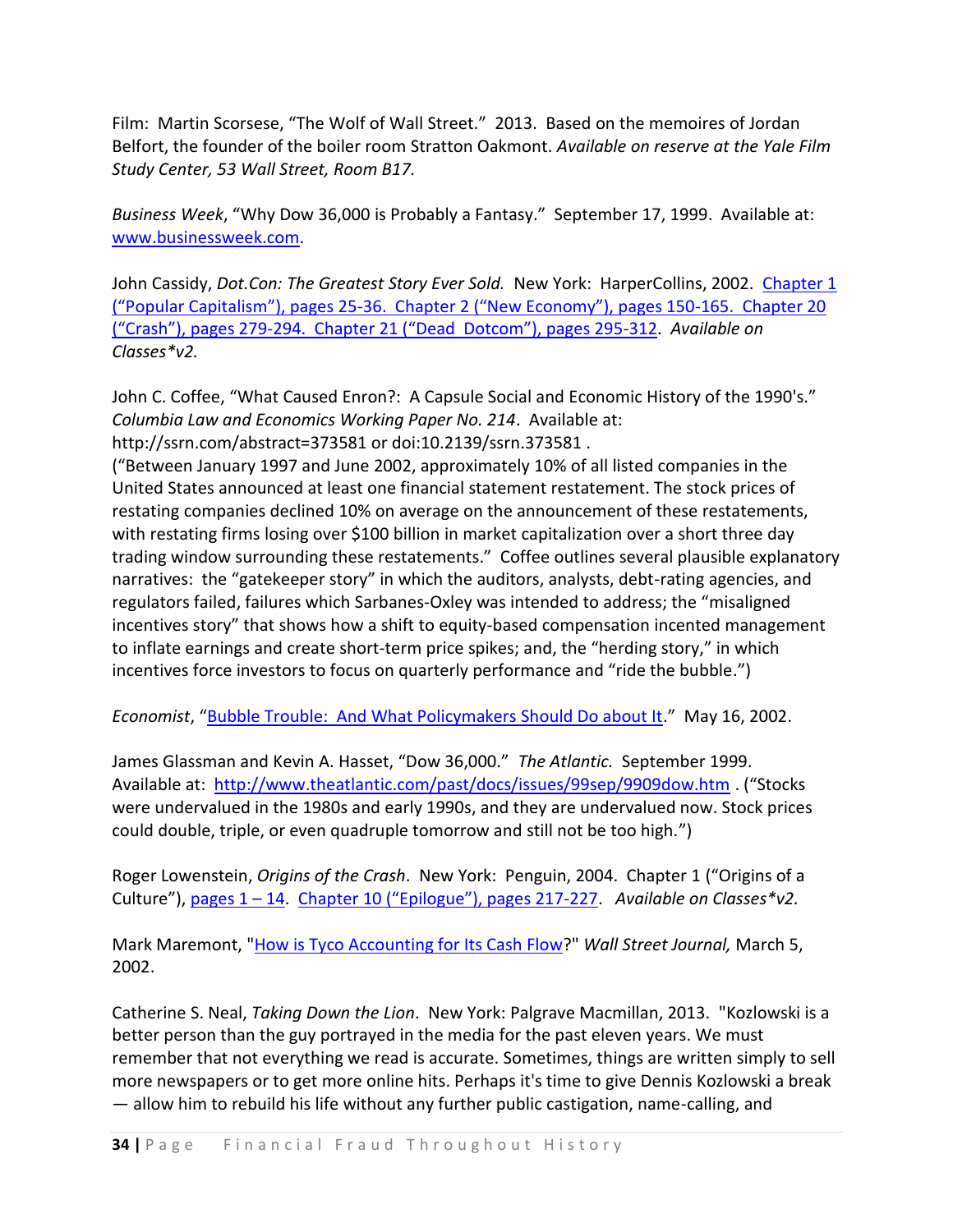Film: Martin Scorsese, "The Wolf of Wall Street." 2013. Based on the memoires of Jordan Belfort, the founder of the boiler room Stratton Oakmont. *Available on reserve at the Yale Film Study Center, 53 Wall Street, Room B17.*

*Business Week*, "Why Dow 36,000 is Probably a Fantasy." September 17, 1999. Available at: [www.businessweek.com.](http://www.businessweek.com/)

John Cassidy, *Dot.Con: The Greatest Story Ever Sold.* New York: HarperCollins, 2002. [Chapter 1](http://resources.library.yale.edu/ereserves/default.asp?class=MGT848B&File=MGT_848B_21.pdf)  ("Popular Capitalism"), pages 25-[36. Chapter 2 \("New Economy"\), pages 150](http://resources.library.yale.edu/ereserves/default.asp?class=MGT848B&File=MGT_848B_21.pdf)-165. Chapter 20 ("Crash"), pages 279-[294. Chapter 21 \("Dead Dotcom"\), pages 295](http://resources.library.yale.edu/ereserves/default.asp?class=MGT848B&File=MGT_848B_21.pdf)-312. *Available on Classes\*v2.*

John C. Coffee, "What Caused Enron?: A Capsule Social and Economic History of the 1990's." *Columbia Law and Economics Working Paper No. 214*. Available at: http://ssrn.com/abstract=373581 or doi:10.2139/ssrn.373581 .

("Between January 1997 and June 2002, approximately 10% of all listed companies in the United States announced at least one financial statement restatement. The stock prices of restating companies declined 10% on average on the announcement of these restatements, with restating firms losing over \$100 billion in market capitalization over a short three day trading window surrounding these restatements." Coffee outlines several plausible explanatory narratives: the "gatekeeper story" in which the auditors, analysts, debt-rating agencies, and regulators failed, failures which Sarbanes-Oxley was intended to address; the "misaligned incentives story" that shows how a shift to equity-based compensation incented management to inflate earnings and create short-term price spikes; and, the "herding story," in which incentives force investors to focus on quarterly performance and "ride the bubble.")

*Economist*, "[Bubble Trouble: And What Policymakers Should Do about It](http://search.proquest.com/docview/224034566/13C5840ACCF60FA3FCA/5?accountid=15172)." May 16, 2002.

James Glassman and Kevin A. Hasset, "Dow 36,000." *The Atlantic.* September 1999. Available at: <http://www.theatlantic.com/past/docs/issues/99sep/9909dow.htm> . ("Stocks were undervalued in the 1980s and early 1990s, and they are undervalued now. Stock prices could double, triple, or even quadruple tomorrow and still not be too high.")

Roger Lowenstein, *Origins of the Crash*. New York: Penguin, 2004. Chapter 1 ("Origins of a Culture"), [pages 1](http://resources.library.yale.edu/ereserves/default.asp?class=MGT848B&File=MGT_848B_16.pdf) – 14. [Chapter 10 \("Epilogue"\), pages 217](http://resources.library.yale.edu/ereserves/default.asp?class=MGT848B&File=MGT_848B_22.pdf)-227. *Available on Classes\*v2.*

Mark Maremont, ["How is Tyco Accounting for Its Cash Flow?](http://search.proquest.com/docview/398796382/13C4ADAC0B820E6C37A/1?accountid=15172)" *Wall Street Journal,* March 5, 2002.

Catherine S. Neal, *Taking Down the Lion*. New York: Palgrave Macmillan, 2013. "Kozlowski is a better person than the guy portrayed in the media for the past eleven years. We must remember that not everything we read is accurate. Sometimes, things are written simply to sell more newspapers or to get more online hits. Perhaps it's time to give Dennis Kozlowski a break — allow him to rebuild his life without any further public castigation, name-calling, and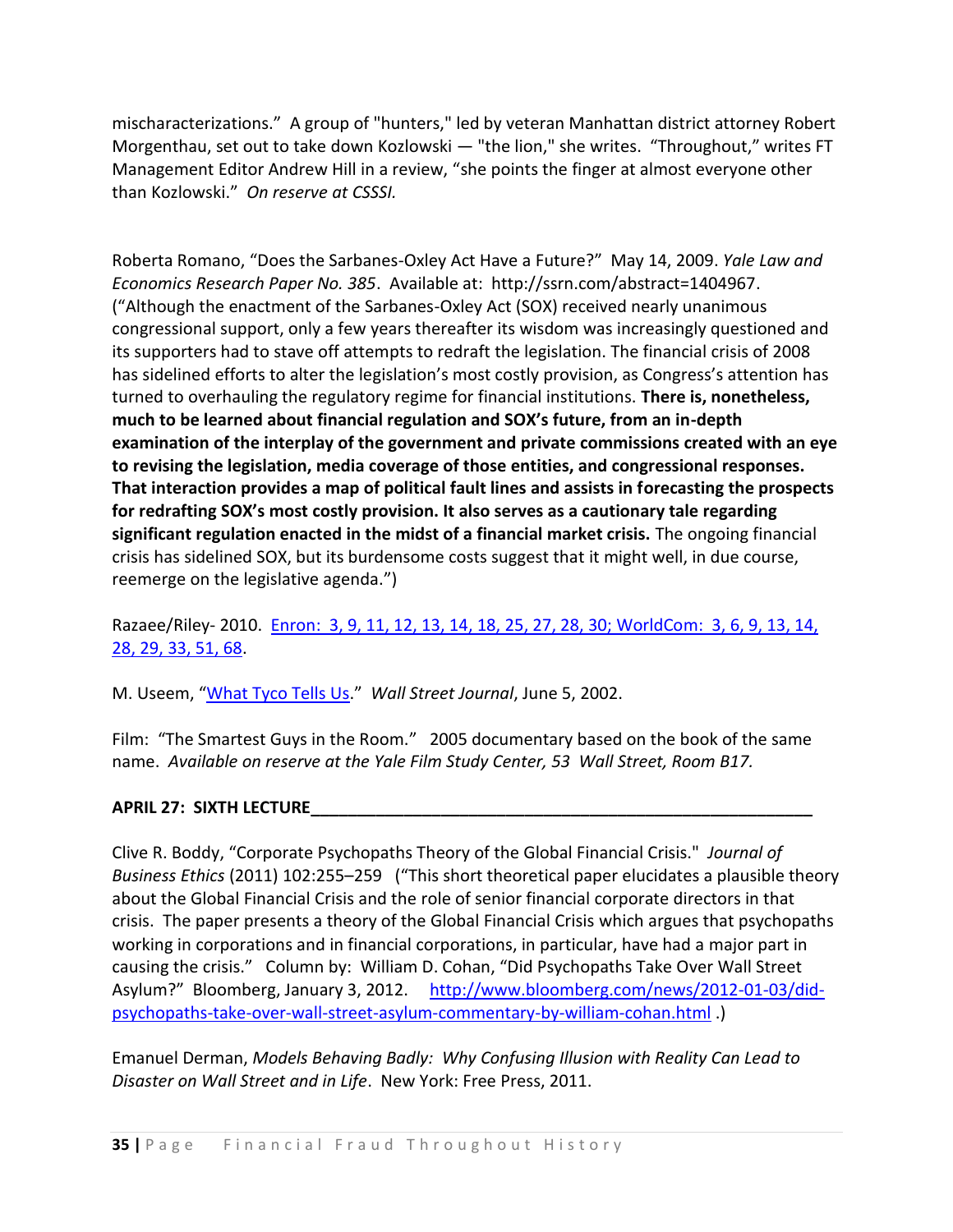mischaracterizations." A group of "hunters," led by veteran Manhattan district attorney Robert Morgenthau, set out to take down Kozlowski — "the lion," she writes. "Throughout," writes FT Management Editor Andrew Hill in a review, "she points the finger at almost everyone other than Kozlowski." *On reserve at CSSSI.*

Roberta Romano, "Does the Sarbanes-Oxley Act Have a Future?" May 14, 2009. *Yale Law and Economics Research Paper No. 385*. Available at: http://ssrn.com/abstract=1404967. ("Although the enactment of the Sarbanes-Oxley Act (SOX) received nearly unanimous congressional support, only a few years thereafter its wisdom was increasingly questioned and its supporters had to stave off attempts to redraft the legislation. The financial crisis of 2008 has sidelined efforts to alter the legislation's most costly provision, as Congress's attention has turned to overhauling the regulatory regime for financial institutions. **There is, nonetheless, much to be learned about financial regulation and SOX's future, from an in-depth examination of the interplay of the government and private commissions created with an eye to revising the legislation, media coverage of those entities, and congressional responses. That interaction provides a map of political fault lines and assists in forecasting the prospects for redrafting SOX's most costly provision. It also serves as a cautionary tale regarding significant regulation enacted in the midst of a financial market crisis.** The ongoing financial crisis has sidelined SOX, but its burdensome costs suggest that it might well, in due course, reemerge on the legislative agenda.")

Razaee/Riley- 2010. [Enron: 3, 9, 11, 12, 13, 14, 18, 25, 27, 28, 30; WorldCom: 3, 6, 9, 13, 14,](http://resources.library.yale.edu/ereserves/default.asp?class=MGT848B&File=MGT_848B_26.pdf)  [28, 29, 33, 51, 68.](http://resources.library.yale.edu/ereserves/default.asp?class=MGT848B&File=MGT_848B_26.pdf)

M. Useem, "[What Tyco Tells Us](http://search.proquest.com/docview/398803112/13C4AD99B402A2B67C2/2?accountid=15172)." *Wall Street Journal*, June 5, 2002.

Film: "The Smartest Guys in the Room." 2005 documentary based on the book of the same name. *Available on reserve at the Yale Film Study Center, 53 Wall Street, Room B17.*

# **APRIL 27: SIXTH LECTURE\_\_\_\_\_\_\_\_\_\_\_\_\_\_\_\_\_\_\_\_\_\_\_\_\_\_\_\_\_\_\_\_\_\_\_\_\_\_\_\_\_\_\_\_\_\_\_\_\_\_\_\_\_\_**

Clive R. Boddy, "Corporate Psychopaths Theory of the Global Financial Crisis." *Journal of Business Ethics* (2011) 102:255–259 ("This short theoretical paper elucidates a plausible theory about the Global Financial Crisis and the role of senior financial corporate directors in that crisis. The paper presents a theory of the Global Financial Crisis which argues that psychopaths working in corporations and in financial corporations, in particular, have had a major part in causing the crisis." Column by: William D. Cohan, "Did Psychopaths Take Over Wall Street Asylum?" Bloomberg, January 3, 2012. [http://www.bloomberg.com/news/2012-01-03/did](http://www.bloomberg.com/news/2012-01-03/did-psychopaths-take-over-wall-street-asylum-commentary-by-william-cohan.html)[psychopaths-take-over-wall-street-asylum-commentary-by-william-cohan.html](http://www.bloomberg.com/news/2012-01-03/did-psychopaths-take-over-wall-street-asylum-commentary-by-william-cohan.html) .)

Emanuel Derman, *Models Behaving Badly: Why Confusing Illusion with Reality Can Lead to Disaster on Wall Street and in Life*. New York: Free Press, 2011.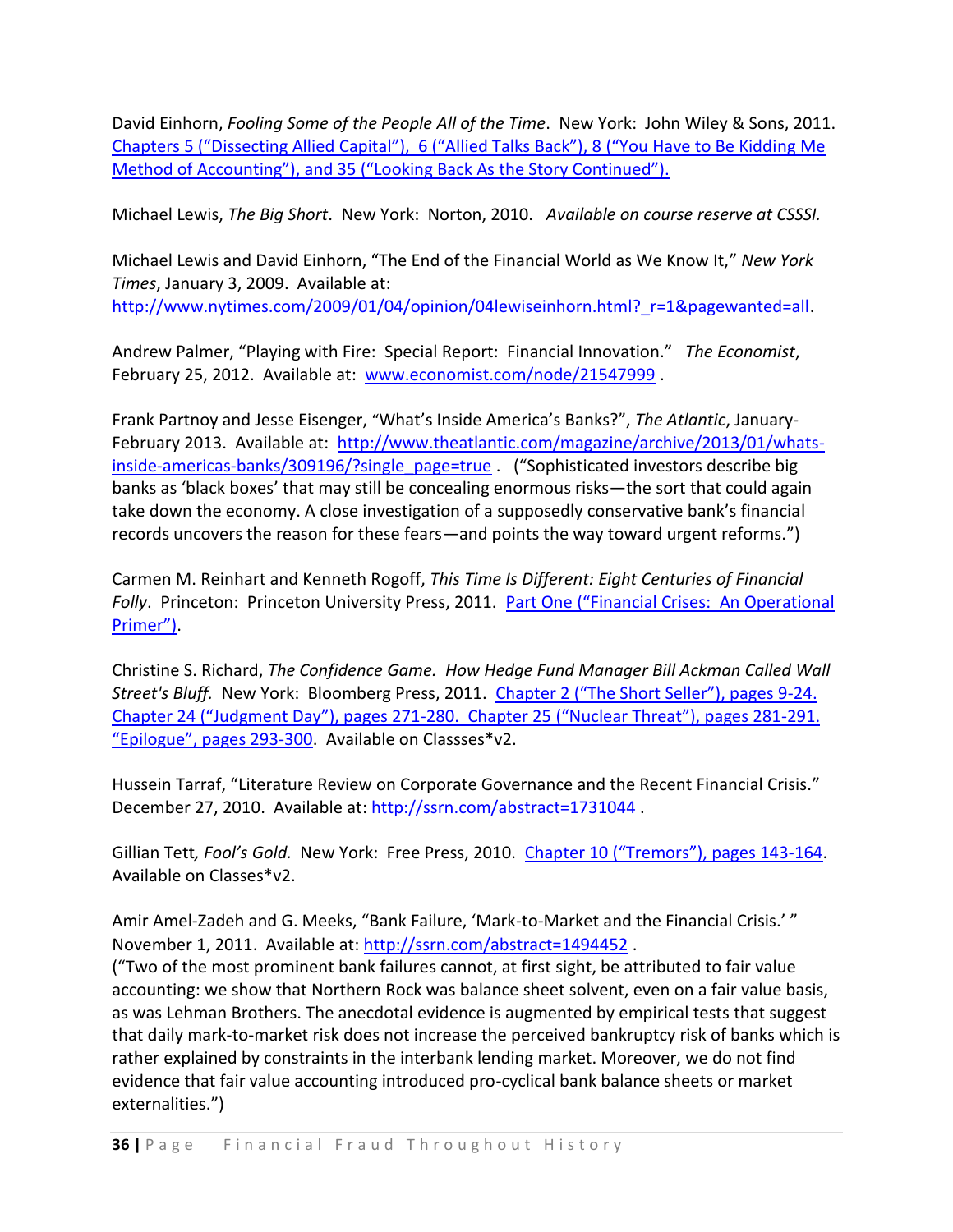David Einhorn, *Fooling Some of the People All of the Time*. New York: John Wiley & Sons, 2011. [Chapters 5 \("Dissecting Allied Capital"\), 6 \("Allied Talks Back"\), 8 \("You Have to Be Kiddi](http://resources.library.yale.edu/ereserves/default.asp?class=MGT848B&File=MGT_848B_23.pdf)ng Me [Method of Accounting"\), and 35 \("Looking Back As the Story Continued"\).](http://resources.library.yale.edu/ereserves/default.asp?class=MGT848B&File=MGT_848B_23.pdf)

Michael Lewis, *The Big Short*. New York: Norton, 2010. *Available on course reserve at CSSSI.*

Michael Lewis and David Einhorn, "The End of the Financial World as We Know It," *New York Times*, January 3, 2009. Available at: [http://www.nytimes.com/2009/01/04/opinion/04lewiseinhorn.html?\\_r=1&pagewanted=all.](http://www.nytimes.com/2009/01/04/opinion/04lewiseinhorn.html?_r=1&pagewanted=all)

Andrew Palmer, "Playing with Fire: Special Report: Financial Innovation." *The Economist*, February 25, 2012. Available at: [www.economist.com/node/21547999](http://www.economist.com/node/21547999).

Frank Partnoy and Jesse Eisenger, "What's Inside America's Banks?", *The Atlantic*, JanuaryFebruary 2013. Available at: [http://www.theatlantic.com/magazine/archive/2013/01/whats](http://www.theatlantic.com/magazine/archive/2013/01/whats-inside-americas-banks/309196/?single_page=true)[inside-americas-banks/309196/?single\\_page=true](http://www.theatlantic.com/magazine/archive/2013/01/whats-inside-americas-banks/309196/?single_page=true) . ("Sophisticated investors describe big banks as 'black boxes' that may still be concealing enormous risks—the sort that could again take down the economy. A close investigation of a supposedly conservative bank's financial records uncovers the reason for these fears—and points the way toward urgent reforms.")

Carmen M. Reinhart and Kenneth Rogoff, *This Time Is Different: Eight Centuries of Financial Folly*. Princeton: Princeton University Press, 2011. [Part One \("Financial Crises: An Operational](http://resources.library.yale.edu/ereserves/default.asp?class=MGT848B&File=MGT_848B_31.pdf)  [Primer"\)](http://resources.library.yale.edu/ereserves/default.asp?class=MGT848B&File=MGT_848B_31.pdf).

Christine S. Richard, *The Confidence Game. How Hedge Fund Manager Bill Ackman Called Wall Street's Bluff.* New York: Bloomberg Press, 2011. [Chapter 2 \("The Short Seller"\), pages 9](http://resources.library.yale.edu/ereserves/default.asp?class=MGT848B&File=MGT_848B_27.pdf)-24. Chapter 24 ("Judgment Day"), pages 271-[280. Chapter 25 \("Nuclear Threat"\), pages 281](http://resources.library.yale.edu/ereserves/default.asp?class=MGT848B&File=MGT_848B_27.pdf)-291. ["Epilogue", pages 293](http://resources.library.yale.edu/ereserves/default.asp?class=MGT848B&File=MGT_848B_27.pdf)-300. Available on Classses\*v2.

Hussein Tarraf, "Literature Review on Corporate Governance and the Recent Financial Crisis." December 27, 2010. Available at[: http://ssrn.com/abstract=1731044](http://ssrn.com/abstract=1731044).

Gillian Tett*, Fool's Gold.* New York: Free Press, 2010. [Chapter 10 \("Tremors"\), pages 143](http://resources.library.yale.edu/ereserves/default.asp?class=MGT848B&File=MGT_848B_28.pdf)-164. Available on Classes\*v2.

Amir Amel-Zadeh and G. Meeks, "Bank Failure, 'Mark-to-Market and the Financial Crisis.' " November 1, 2011. Available at:<http://ssrn.com/abstract=1494452> .

("Two of the most prominent bank failures cannot, at first sight, be attributed to fair value accounting: we show that Northern Rock was balance sheet solvent, even on a fair value basis, as was Lehman Brothers. The anecdotal evidence is augmented by empirical tests that suggest that daily mark-to-market risk does not increase the perceived bankruptcy risk of banks which is rather explained by constraints in the interbank lending market. Moreover, we do not find evidence that fair value accounting introduced pro-cyclical bank balance sheets or market externalities.")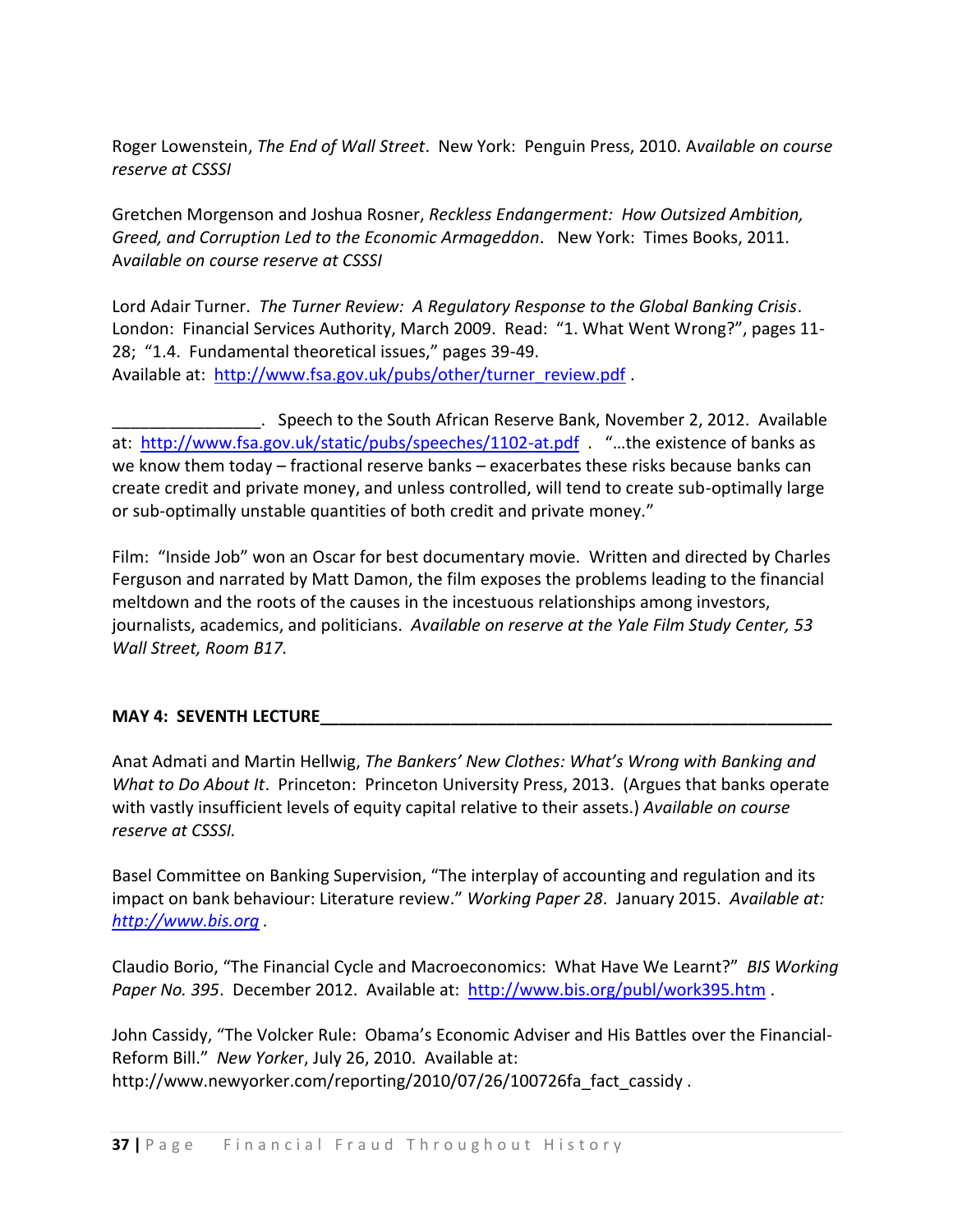Roger Lowenstein, *The End of Wall Street*. New York: Penguin Press, 2010. A*vailable on course reserve at CSSSI*

Gretchen Morgenson and Joshua Rosner, *Reckless Endangerment: How Outsized Ambition, Greed, and Corruption Led to the Economic Armageddon*. New York: Times Books, 2011. A*vailable on course reserve at CSSSI*

Lord Adair Turner. *The Turner Review: A Regulatory Response to the Global Banking Crisis*. London: Financial Services Authority, March 2009. Read: "1. What Went Wrong?", pages 11- 28; "1.4. Fundamental theoretical issues," pages 39-49. Available at: [http://www.fsa.gov.uk/pubs/other/turner\\_review.pdf](http://www.fsa.gov.uk/pubs/other/turner_review.pdf) .

\_\_\_\_\_\_\_\_\_\_\_\_\_\_\_\_. Speech to the South African Reserve Bank, November 2, 2012. Available at: <http://www.fsa.gov.uk/static/pubs/speeches/1102-at.pdf> . "...the existence of banks as we know them today – fractional reserve banks – exacerbates these risks because banks can create credit and private money, and unless controlled, will tend to create sub-optimally large or sub-optimally unstable quantities of both credit and private money."

Film: "Inside Job" won an Oscar for best documentary movie. Written and directed by Charles Ferguson and narrated by Matt Damon, the film exposes the problems leading to the financial meltdown and the roots of the causes in the incestuous relationships among investors, journalists, academics, and politicians. *Available on reserve at the Yale Film Study Center, 53 Wall Street, Room B17.*

### **MAY 4: SEVENTH LECTURE**

Anat Admati and Martin Hellwig, *The Bankers' New Clothes: What's Wrong with Banking and What to Do About It*. Princeton: Princeton University Press, 2013. (Argues that banks operate with vastly insufficient levels of equity capital relative to their assets.) *Available on course reserve at CSSSI.*

Basel Committee on Banking Supervision, "The interplay of accounting and regulation and its impact on bank behaviour: Literature review." *Working Paper 28*. January 2015. *Available at: [http://www.bis.org](http://www.bis.org/) .*

Claudio Borio, "The Financial Cycle and Macroeconomics: What Have We Learnt?" *BIS Working Paper No. 395*. December 2012. Available at:<http://www.bis.org/publ/work395.htm> .

John Cassidy, "The Volcker Rule: Obama's Economic Adviser and His Battles over the Financial-Reform Bill." *New Yorke*r, July 26, 2010. Available at: http://www.newyorker.com/reporting/2010/07/26/100726fa\_fact\_cassidy .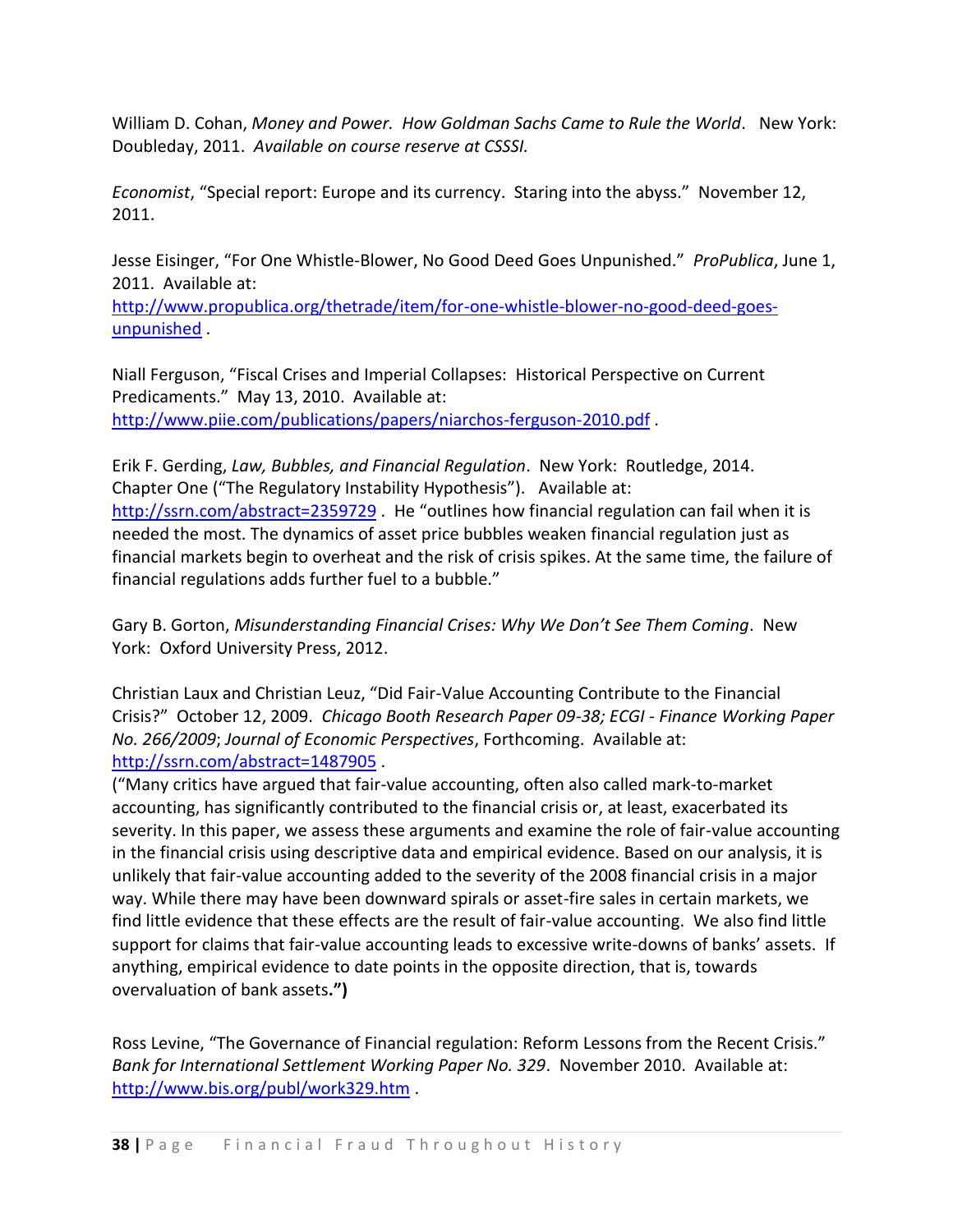William D. Cohan, *Money and Power. How Goldman Sachs Came to Rule the World*. New York: Doubleday, 2011. *Available on course reserve at CSSSI.*

*Economist*, "Special report: Europe and its currency. Staring into the abyss." November 12, 2011.

Jesse Eisinger, "For One Whistle-Blower, No Good Deed Goes Unpunished." *ProPublica*, June 1, 2011. Available at:

[http://www.propublica.org/thetrade/item/for-one-whistle-blower-no-good-deed-goes](http://www.propublica.org/thetrade/item/for-one-whistle-blower-no-good-deed-goes-unpunished)[unpunished](http://www.propublica.org/thetrade/item/for-one-whistle-blower-no-good-deed-goes-unpunished) .

Niall Ferguson, "Fiscal Crises and Imperial Collapses: Historical Perspective on Current Predicaments." May 13, 2010. Available at: <http://www.piie.com/publications/papers/niarchos-ferguson-2010.pdf> .

Erik F. Gerding, *Law, Bubbles, and Financial Regulation*. New York: Routledge, 2014. Chapter One ("The Regulatory Instability Hypothesis"). Available at: <http://ssrn.com/abstract=2359729> . He "outlines how financial regulation can fail when it is needed the most. The dynamics of asset price bubbles weaken financial regulation just as financial markets begin to overheat and the risk of crisis spikes. At the same time, the failure of financial regulations adds further fuel to a bubble."

Gary B. Gorton, *Misunderstanding Financial Crises: Why We Don't See Them Coming*. New York: Oxford University Press, 2012.

Christian Laux and Christian Leuz, "Did Fair-Value Accounting Contribute to the Financial Crisis?" October 12, 2009. *Chicago Booth Research Paper 09-38; ECGI - Finance Working Paper No. 266/2009*; *Journal of Economic Perspectives*, Forthcoming. Available at: <http://ssrn.com/abstract=1487905> .

("Many critics have argued that fair-value accounting, often also called mark-to-market accounting, has significantly contributed to the financial crisis or, at least, exacerbated its severity. In this paper, we assess these arguments and examine the role of fair-value accounting in the financial crisis using descriptive data and empirical evidence. Based on our analysis, it is unlikely that fair-value accounting added to the severity of the 2008 financial crisis in a major way. While there may have been downward spirals or asset-fire sales in certain markets, we find little evidence that these effects are the result of fair-value accounting. We also find little support for claims that fair-value accounting leads to excessive write-downs of banks' assets. If anything, empirical evidence to date points in the opposite direction, that is, towards overvaluation of bank assets**.")**

Ross Levine, "The Governance of Financial regulation: Reform Lessons from the Recent Crisis." *Bank for International Settlement Working Paper No. 329*. November 2010. Available at: <http://www.bis.org/publ/work329.htm> .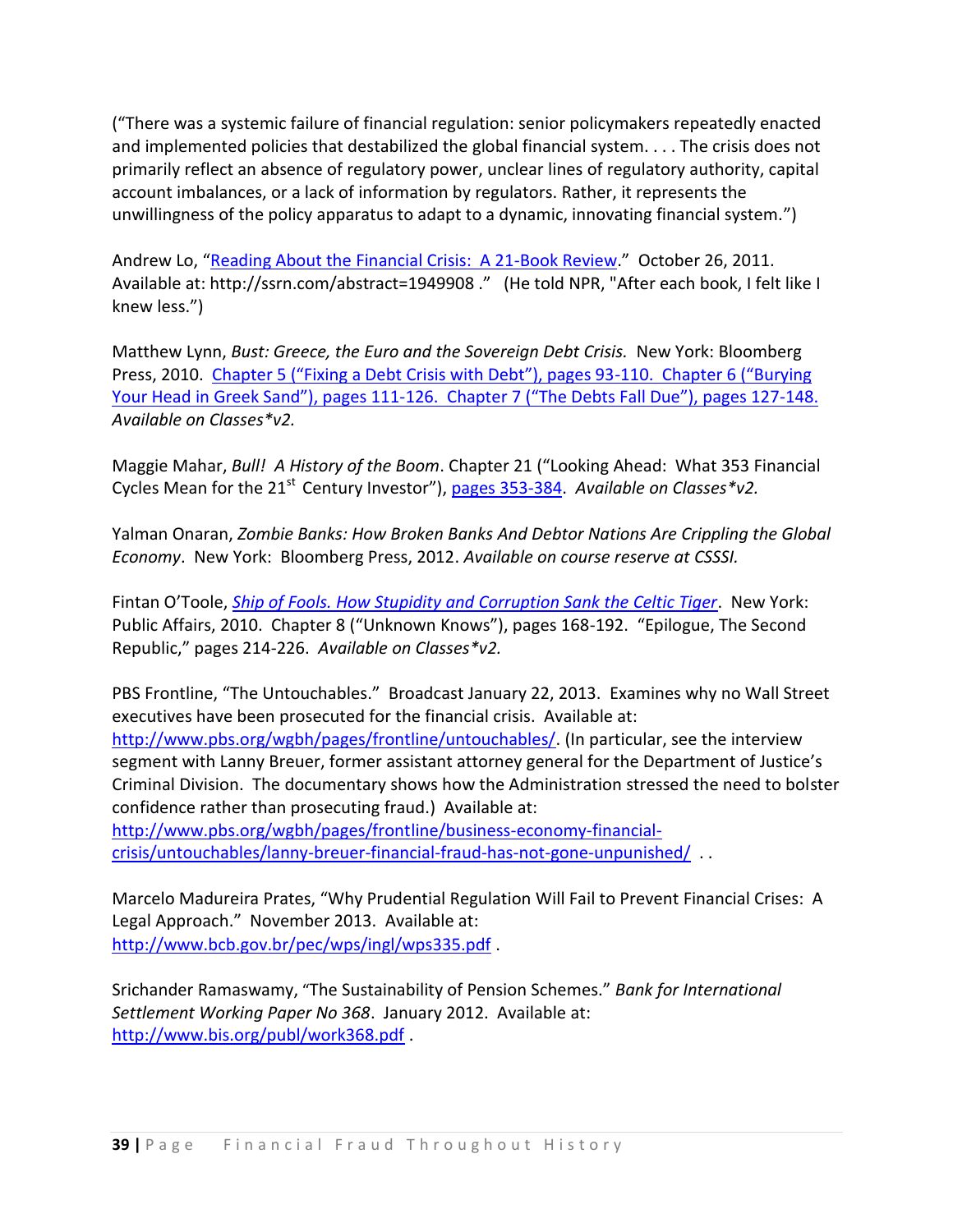("There was a systemic failure of financial regulation: senior policymakers repeatedly enacted and implemented policies that destabilized the global financial system. . . . The crisis does not primarily reflect an absence of regulatory power, unclear lines of regulatory authority, capital account imbalances, or a lack of information by regulators. Rather, it represents the unwillingness of the policy apparatus to adapt to a dynamic, innovating financial system.")

Andrew Lo, "[Reading About the Financial Crisis: A 21-Book Review](http://papers.ssrn.com/sol3/papers.cfm?abstract_id=1949908)." October 26, 2011. Available at: http://ssrn.com/abstract=1949908 ." (He told NPR, "After each book, I felt like I knew less.")

Matthew Lynn, *Bust: Greece, the Euro and the Sovereign Debt Crisis.* New York: Bloomberg Press, 2010. [Chapter 5 \("Fixing a Debt Crisis with Debt"\), pages 93](http://resources.library.yale.edu/ereserves/default.asp?class=MGT848B&File=MGT_848B_29.pdf)-110. Chapter 6 ("Burying Your Head in Greek Sand"), pages 111-[126. Chapter 7 \("The Debts Fall Due"\), pages 127](http://resources.library.yale.edu/ereserves/default.asp?class=MGT848B&File=MGT_848B_29.pdf)-148. *Available on Classes\*v2.*

Maggie Mahar, *Bull! A History of the Boom*. Chapter 21 ("Looking Ahead: What 353 Financial Cycles Mean for the 21<sup>st</sup> Century Investor"), [pages 353-384.](http://resources.library.yale.edu/ereserves/default.asp?class=MGT848B&File=MGT_848B_30.pdf) Available on Classes\*v2.

Yalman Onaran, *Zombie Banks: How Broken Banks And Debtor Nations Are Crippling the Global Economy*. New York: Bloomberg Press, 2012. *Available on course reserve at CSSSI.*

Fintan O'Toole, *[Ship of Fools. How Stupidity and Corruption Sank the Celtic Tiger](http://site.ebrary.com/lib/yale/docDetail.action?docID=10372964)*. New York: Public Affairs, 2010. Chapter 8 ("Unknown Knows"), pages 168-192. "Epilogue, The Second Republic," pages 214-226. *Available on Classes\*v2.*

PBS Frontline, "The Untouchables." Broadcast January 22, 2013. Examines why no Wall Street executives have been prosecuted for the financial crisis. Available at: [http://www.pbs.org/wgbh/pages/frontline/untouchables/.](http://www.pbs.org/wgbh/pages/frontline/untouchables/) (In particular, see the interview segment with Lanny Breuer, former assistant attorney general for the Department of Justice's Criminal Division. The documentary shows how the Administration stressed the need to bolster confidence rather than prosecuting fraud.) Available at: [http://www.pbs.org/wgbh/pages/frontline/business-economy-financial-](http://www.pbs.org/wgbh/pages/frontline/business-economy-financial-crisis/untouchables/lanny-breuer-financial-fraud-has-not-gone-unpunished/)

[crisis/untouchables/lanny-breuer-financial-fraud-has-not-gone-unpunished/](http://www.pbs.org/wgbh/pages/frontline/business-economy-financial-crisis/untouchables/lanny-breuer-financial-fraud-has-not-gone-unpunished/) . .

Marcelo Madureira Prates, "Why Prudential Regulation Will Fail to Prevent Financial Crises: A Legal Approach." November 2013. Available at: <http://www.bcb.gov.br/pec/wps/ingl/wps335.pdf> .

Srichander Ramaswamy, "The Sustainability of Pension Schemes." *Bank for International Settlement Working Paper No 368*. January 2012. Available at: <http://www.bis.org/publ/work368.pdf> .